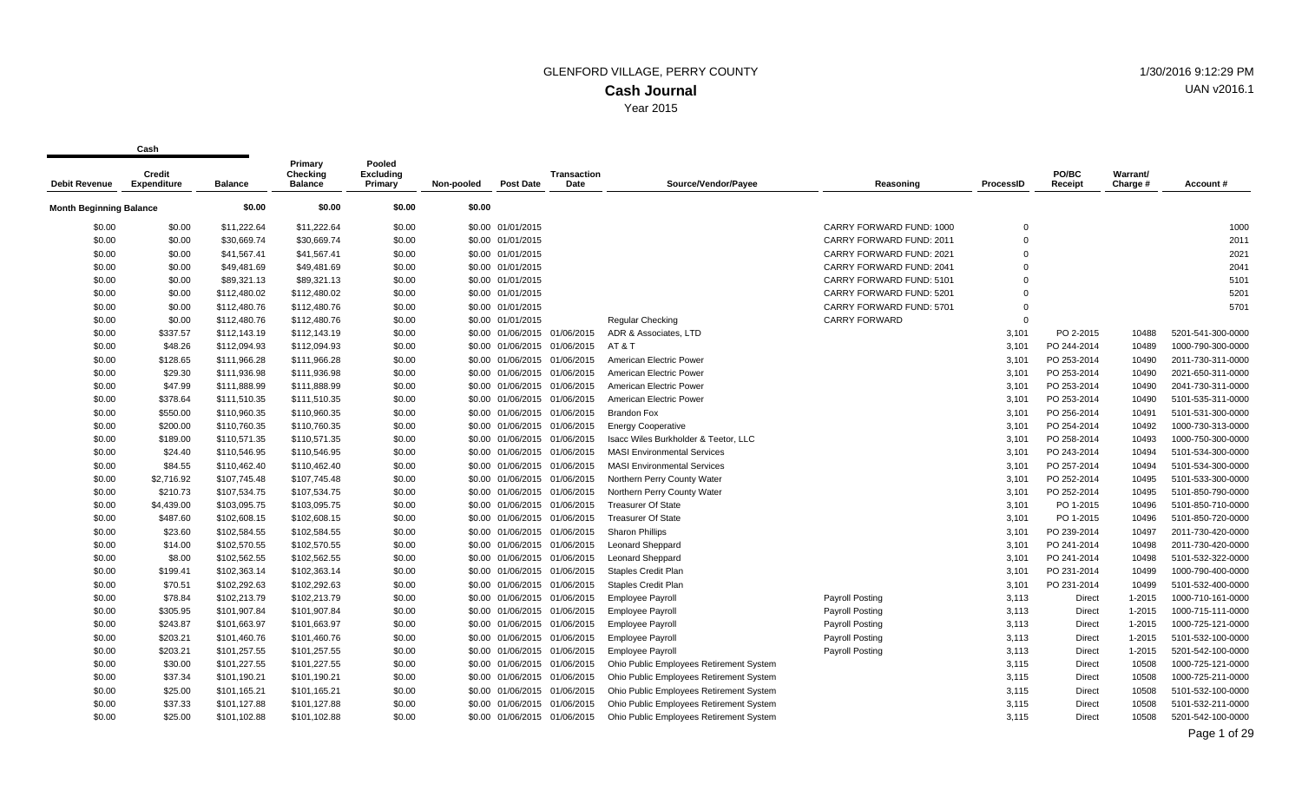Year 2015

**Cash**

| Debit Revenue           | Credit<br><b>Expenditure</b> | <b>Balance</b> | Primary<br><b>Checking</b><br><b>Balance</b> | Pooled<br><b>Excluding</b><br>Primary | Non-pooled | <b>Post Date</b>  | <b>Transaction</b><br>Date   | Source/Vendor/Payee                     | Reasoning                | ProcessID   | PO/BC<br>Receipt | Warrant/<br>Charge # | Account#          |
|-------------------------|------------------------------|----------------|----------------------------------------------|---------------------------------------|------------|-------------------|------------------------------|-----------------------------------------|--------------------------|-------------|------------------|----------------------|-------------------|
| Month Beginning Balance |                              | \$0.00         | \$0.00                                       | \$0.00                                | \$0.00     |                   |                              |                                         |                          |             |                  |                      |                   |
| \$0.00                  | \$0.00                       | \$11,222.64    | \$11,222.64                                  | \$0.00                                |            | \$0.00 01/01/2015 |                              |                                         | CARRY FORWARD FUND: 1000 | $\mathbf 0$ |                  |                      | 1000              |
| \$0.00                  | \$0.00                       | \$30,669.74    | \$30,669.74                                  | \$0.00                                |            | \$0.00 01/01/2015 |                              |                                         | CARRY FORWARD FUND: 2011 | $\Omega$    |                  |                      | 2011              |
| \$0.00                  | \$0.00                       | \$41,567.41    | \$41,567.41                                  | \$0.00                                |            | \$0.00 01/01/2015 |                              |                                         | CARRY FORWARD FUND: 2021 | $\mathbf 0$ |                  |                      | 2021              |
| \$0.00                  | \$0.00                       | \$49,481.69    | \$49,481.69                                  | \$0.00                                |            | \$0.00 01/01/2015 |                              |                                         | CARRY FORWARD FUND: 2041 | $\Omega$    |                  |                      | 2041              |
| \$0.00                  | \$0.00                       | \$89,321.13    | \$89,321.13                                  | \$0.00                                |            | \$0.00 01/01/2015 |                              |                                         | CARRY FORWARD FUND: 5101 | $\Omega$    |                  |                      | 5101              |
| \$0.00                  | \$0.00                       | \$112,480.02   | \$112,480.02                                 | \$0.00                                |            | \$0.00 01/01/2015 |                              |                                         | CARRY FORWARD FUND: 5201 | $\Omega$    |                  |                      | 5201              |
| \$0.00                  | \$0.00                       | \$112,480.76   | \$112,480.76                                 | \$0.00                                |            | \$0.00 01/01/2015 |                              |                                         | CARRY FORWARD FUND: 5701 | $\mathbf 0$ |                  |                      | 5701              |
| \$0.00                  | \$0.00                       | \$112,480.76   | \$112,480.76                                 | \$0.00                                |            | \$0.00 01/01/2015 |                              | Regular Checking                        | <b>CARRY FORWARD</b>     | $\mathbf 0$ |                  |                      |                   |
| \$0.00                  | \$337.57                     | \$112,143.19   | \$112,143.19                                 | \$0.00                                |            |                   | \$0.00 01/06/2015 01/06/2015 | ADR & Associates, LTD                   |                          | 3,101       | PO 2-2015        | 10488                | 5201-541-300-0000 |
| \$0.00                  | \$48.26                      | \$112,094.93   | \$112,094.93                                 | \$0.00                                |            | \$0.00 01/06/2015 | 01/06/2015                   | AT&T                                    |                          | 3,101       | PO 244-2014      | 10489                | 1000-790-300-0000 |
| \$0.00                  | \$128.65                     | \$111,966.28   | \$111,966.28                                 | \$0.00                                |            |                   | \$0.00 01/06/2015 01/06/2015 | American Electric Power                 |                          | 3,101       | PO 253-2014      | 10490                | 2011-730-311-0000 |
| \$0.00                  | \$29.30                      | \$111,936.98   | \$111,936.98                                 | \$0.00                                |            |                   | \$0.00 01/06/2015 01/06/2015 | American Electric Power                 |                          | 3,101       | PO 253-2014      | 10490                | 2021-650-311-0000 |
| \$0.00                  | \$47.99                      | \$111,888.99   | \$111,888.99                                 | \$0.00                                |            |                   | \$0.00 01/06/2015 01/06/2015 | American Electric Power                 |                          | 3,101       | PO 253-2014      | 10490                | 2041-730-311-0000 |
| \$0.00                  | \$378.64                     | \$111,510.35   | \$111,510.35                                 | \$0.00                                |            | \$0.00 01/06/2015 | 01/06/2015                   | American Electric Power                 |                          | 3,101       | PO 253-2014      | 10490                | 5101-535-311-0000 |
| \$0.00                  | \$550.00                     | \$110,960.35   | \$110,960.35                                 | \$0.00                                |            |                   | \$0.00 01/06/2015 01/06/2015 | <b>Brandon Fox</b>                      |                          | 3,101       | PO 256-2014      | 10491                | 5101-531-300-0000 |
| \$0.00                  | \$200.00                     | \$110,760.35   | \$110,760.35                                 | \$0.00                                |            |                   | \$0.00 01/06/2015 01/06/2015 | <b>Energy Cooperative</b>               |                          | 3,101       | PO 254-2014      | 10492                | 1000-730-313-0000 |
| \$0.00                  | \$189.00                     | \$110,571.35   | \$110,571.35                                 | \$0.00                                |            |                   | \$0.00 01/06/2015 01/06/2015 | Isacc Wiles Burkholder & Teetor, LLC    |                          | 3,101       | PO 258-2014      | 10493                | 1000-750-300-0000 |
| \$0.00                  | \$24.40                      | \$110,546.95   | \$110,546.95                                 | \$0.00                                |            | \$0.00 01/06/2015 | 01/06/2015                   | <b>MASI Environmental Services</b>      |                          | 3,101       | PO 243-2014      | 10494                | 5101-534-300-0000 |
| \$0.00                  | \$84.55                      | \$110,462.40   | \$110,462.40                                 | \$0.00                                |            |                   | \$0.00 01/06/2015 01/06/2015 | <b>MASI Environmental Services</b>      |                          | 3,101       | PO 257-2014      | 10494                | 5101-534-300-0000 |
| \$0.00                  | \$2,716.92                   | \$107,745.48   | \$107,745.48                                 | \$0.00                                |            |                   | \$0.00 01/06/2015 01/06/2015 | Northern Perry County Water             |                          | 3,101       | PO 252-2014      | 10495                | 5101-533-300-0000 |
| \$0.00                  | \$210.73                     | \$107,534.75   | \$107,534.75                                 | \$0.00                                |            |                   | \$0.00 01/06/2015 01/06/2015 | Northern Perry County Water             |                          | 3,101       | PO 252-2014      | 10495                | 5101-850-790-0000 |
| \$0.00                  | \$4,439.00                   | \$103,095.75   | \$103,095.75                                 | \$0.00                                |            |                   | \$0.00 01/06/2015 01/06/2015 | <b>Treasurer Of State</b>               |                          | 3,101       | PO 1-2015        | 10496                | 5101-850-710-0000 |
| \$0.00                  | \$487.60                     | \$102,608.15   | \$102,608.15                                 | \$0.00                                |            |                   | \$0.00 01/06/2015 01/06/2015 | <b>Treasurer Of State</b>               |                          | 3,101       | PO 1-2015        | 10496                | 5101-850-720-0000 |
| \$0.00                  | \$23.60                      | \$102,584.55   | \$102,584.55                                 | \$0.00                                |            |                   | \$0.00 01/06/2015 01/06/2015 | <b>Sharon Phillips</b>                  |                          | 3,101       | PO 239-2014      | 10497                | 2011-730-420-0000 |
| \$0.00                  | \$14.00                      | \$102,570.55   | \$102,570.55                                 | \$0.00                                |            |                   | \$0.00 01/06/2015 01/06/2015 | <b>Leonard Sheppard</b>                 |                          | 3,101       | PO 241-2014      | 10498                | 2011-730-420-0000 |
| \$0.00                  | \$8.00                       | \$102,562.55   | \$102,562.55                                 | \$0.00                                |            |                   | \$0.00 01/06/2015 01/06/2015 | Leonard Sheppard                        |                          | 3,101       | PO 241-2014      | 10498                | 5101-532-322-0000 |
| \$0.00                  | \$199.41                     | \$102,363.14   | \$102,363.14                                 | \$0.00                                |            |                   | \$0.00 01/06/2015 01/06/2015 | <b>Staples Credit Plan</b>              |                          | 3,101       | PO 231-2014      | 10499                | 1000-790-400-0000 |
| \$0.00                  | \$70.51                      | \$102,292.63   | \$102,292.63                                 | \$0.00                                |            |                   | \$0.00 01/06/2015 01/06/2015 | <b>Staples Credit Plan</b>              |                          | 3,101       | PO 231-2014      | 10499                | 5101-532-400-0000 |
| \$0.00                  | \$78.84                      | \$102,213.79   | \$102,213.79                                 | \$0.00                                |            |                   | \$0.00 01/06/2015 01/06/2015 | <b>Employee Payroll</b>                 | Payroll Posting          | 3,113       | Direct           | $1 - 2015$           | 1000-710-161-0000 |
| \$0.00                  | \$305.95                     | \$101,907.84   | \$101,907.84                                 | \$0.00                                |            |                   | \$0.00 01/06/2015 01/06/2015 | <b>Employee Payroll</b>                 | <b>Payroll Posting</b>   | 3,113       | <b>Direct</b>    | $1-2015$             | 1000-715-111-0000 |
| \$0.00                  | \$243.87                     | \$101,663.97   | \$101,663.97                                 | \$0.00                                |            |                   | \$0.00 01/06/2015 01/06/2015 | <b>Employee Payroll</b>                 | <b>Payroll Posting</b>   | 3,113       | Direct           | 1-2015               | 1000-725-121-0000 |
| \$0.00                  | \$203.21                     | \$101,460.76   | \$101,460.76                                 | \$0.00                                |            |                   | \$0.00 01/06/2015 01/06/2015 | <b>Employee Payroll</b>                 | <b>Payroll Posting</b>   | 3,113       | Direct           | $1 - 2015$           | 5101-532-100-0000 |
| \$0.00                  | \$203.21                     | \$101,257.55   | \$101,257.55                                 | \$0.00                                |            |                   | \$0.00 01/06/2015 01/06/2015 | <b>Employee Payroll</b>                 | <b>Payroll Posting</b>   | 3,113       | Direct           | 1-2015               | 5201-542-100-0000 |
| \$0.00                  | \$30.00                      | \$101,227.55   | \$101,227.55                                 | \$0.00                                |            |                   | \$0.00 01/06/2015 01/06/2015 | Ohio Public Employees Retirement System |                          | 3,115       | <b>Direct</b>    | 10508                | 1000-725-121-0000 |
| \$0.00                  | \$37.34                      | \$101,190.21   | \$101,190.21                                 | \$0.00                                |            | \$0.00 01/06/2015 | 01/06/2015                   | Ohio Public Employees Retirement System |                          | 3,115       | <b>Direct</b>    | 10508                | 1000-725-211-0000 |
| \$0.00                  | \$25.00                      | \$101,165.21   | \$101,165.21                                 | \$0.00                                |            |                   | \$0.00 01/06/2015 01/06/2015 | Ohio Public Employees Retirement System |                          | 3,115       | <b>Direct</b>    | 10508                | 5101-532-100-0000 |
| \$0.00                  | \$37.33                      | \$101,127.88   | \$101,127.88                                 | \$0.00                                |            |                   | \$0.00 01/06/2015 01/06/2015 | Ohio Public Employees Retirement System |                          | 3.115       | <b>Direct</b>    | 10508                | 5101-532-211-0000 |
| \$0.00                  | \$25.00                      | \$101,102.88   | \$101,102.88                                 | \$0.00                                |            |                   | \$0.00 01/06/2015 01/06/2015 | Ohio Public Employees Retirement System |                          | 3,115       | Direct           | 10508                | 5201-542-100-0000 |

UAN v2016.1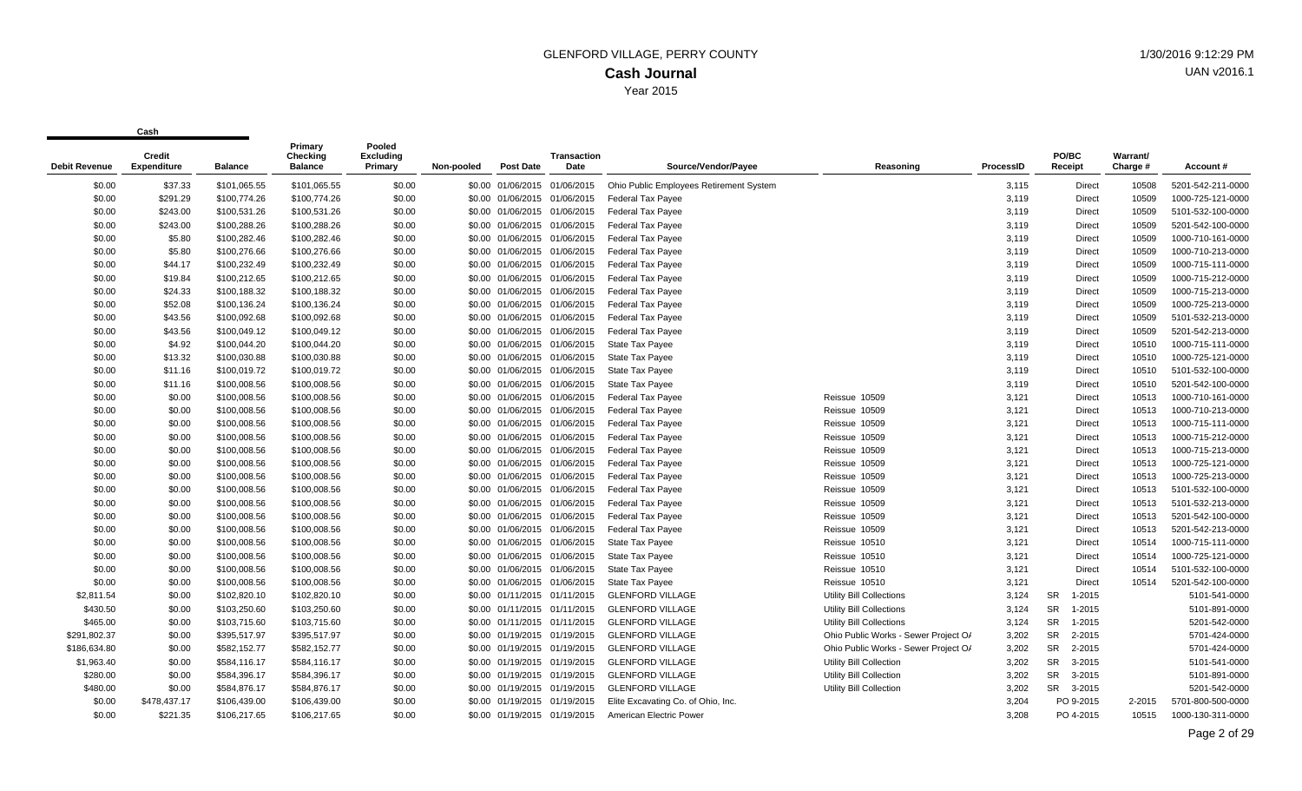| <b>Debit Revenue</b> | Credit<br><b>Expenditure</b> | <b>Balance</b> | Primary<br>Checking<br><b>Balance</b> | Pooled<br><b>Excluding</b><br>Primary | Non-pooled | <b>Post Date</b>             | <b>Transaction</b><br>Date | Source/Vendor/Pavee                     | Reasoning                            | ProcessID | PO/BC<br>Receipt    | Warrant/<br>Charge # | Account #         |
|----------------------|------------------------------|----------------|---------------------------------------|---------------------------------------|------------|------------------------------|----------------------------|-----------------------------------------|--------------------------------------|-----------|---------------------|----------------------|-------------------|
| \$0.00               | \$37.33                      | \$101,065.55   | \$101,065.55                          | \$0.00                                |            | \$0.00 01/06/2015 01/06/2015 |                            | Ohio Public Employees Retirement System |                                      | 3,115     | <b>Direct</b>       | 10508                | 5201-542-211-0000 |
| \$0.00               | \$291.29                     | \$100,774.26   | \$100,774.26                          | \$0.00                                |            | \$0.00 01/06/2015 01/06/2015 |                            | <b>Federal Tax Payee</b>                |                                      | 3,119     | <b>Direct</b>       | 10509                | 1000-725-121-0000 |
| \$0.00               | \$243.00                     | \$100,531.26   | \$100,531.26                          | \$0.00                                |            | \$0.00 01/06/2015 01/06/2015 |                            | <b>Federal Tax Payee</b>                |                                      | 3,119     | <b>Direct</b>       | 10509                | 5101-532-100-0000 |
| \$0.00               | \$243.00                     | \$100,288.26   | \$100,288.26                          | \$0.00                                |            | \$0.00 01/06/2015 01/06/2015 |                            | <b>Federal Tax Payee</b>                |                                      | 3,119     | Direct              | 10509                | 5201-542-100-0000 |
| \$0.00               | \$5.80                       | \$100,282.46   | \$100,282.46                          | \$0.00                                |            | \$0.00 01/06/2015 01/06/2015 |                            | <b>Federal Tax Payee</b>                |                                      | 3,119     | Direct              | 10509                | 1000-710-161-0000 |
| \$0.00               | \$5.80                       | \$100,276.66   | \$100,276.66                          | \$0.00                                |            | \$0.00 01/06/2015 01/06/2015 |                            | <b>Federal Tax Payee</b>                |                                      | 3,119     | <b>Direct</b>       | 10509                | 1000-710-213-0000 |
| \$0.00               | \$44.17                      | \$100,232.49   | \$100,232.49                          | \$0.00                                |            | \$0.00 01/06/2015 01/06/2015 |                            | <b>Federal Tax Payee</b>                |                                      | 3,119     | <b>Direct</b>       | 10509                | 1000-715-111-0000 |
| \$0.00               | \$19.84                      | \$100,212.65   | \$100,212.65                          | \$0.00                                |            | \$0.00 01/06/2015 01/06/2015 |                            | <b>Federal Tax Payee</b>                |                                      | 3,119     | <b>Direct</b>       | 10509                | 1000-715-212-0000 |
| \$0.00               | \$24.33                      | \$100,188.32   | \$100,188.32                          | \$0.00                                |            | \$0.00 01/06/2015 01/06/2015 |                            | <b>Federal Tax Payee</b>                |                                      | 3,119     | <b>Direct</b>       | 10509                | 1000-715-213-0000 |
| \$0.00               | \$52.08                      | \$100,136.24   | \$100,136.24                          | \$0.00                                |            | \$0.00 01/06/2015 01/06/2015 |                            | <b>Federal Tax Payee</b>                |                                      | 3,119     | <b>Direct</b>       | 10509                | 1000-725-213-0000 |
| \$0.00               | \$43.56                      | \$100,092.68   | \$100,092.68                          | \$0.00                                |            | \$0.00 01/06/2015 01/06/2015 |                            | <b>Federal Tax Payee</b>                |                                      | 3,119     | Direct              | 10509                | 5101-532-213-0000 |
| \$0.00               | \$43.56                      | \$100,049.12   | \$100,049.12                          | \$0.00                                |            | \$0.00 01/06/2015 01/06/2015 |                            | <b>Federal Tax Payee</b>                |                                      | 3,119     | Direct              | 10509                | 5201-542-213-0000 |
| \$0.00               | \$4.92                       | \$100,044.20   | \$100,044.20                          | \$0.00                                |            | \$0.00 01/06/2015 01/06/2015 |                            | <b>State Tax Payee</b>                  |                                      | 3,119     | <b>Direct</b>       | 10510                | 1000-715-111-0000 |
| \$0.00               | \$13.32                      | \$100,030.88   | \$100,030.88                          | \$0.00                                |            | \$0.00 01/06/2015 01/06/2015 |                            | <b>State Tax Payee</b>                  |                                      | 3,119     | <b>Direct</b>       | 10510                | 1000-725-121-0000 |
| \$0.00               | \$11.16                      | \$100,019.72   | \$100,019.72                          | \$0.00                                |            | \$0.00 01/06/2015 01/06/2015 |                            | <b>State Tax Payee</b>                  |                                      | 3,119     | Direct              | 10510                | 5101-532-100-0000 |
| \$0.00               | \$11.16                      | \$100,008.56   | \$100,008.56                          | \$0.00                                |            | \$0.00 01/06/2015 01/06/2015 |                            | <b>State Tax Payee</b>                  |                                      | 3,119     | <b>Direct</b>       | 10510                | 5201-542-100-0000 |
| \$0.00               | \$0.00                       | \$100,008.56   | \$100,008.56                          | \$0.00                                |            | \$0.00 01/06/2015 01/06/2015 |                            | <b>Federal Tax Payee</b>                | Reissue 10509                        | 3,121     | <b>Direct</b>       | 10513                | 1000-710-161-0000 |
| \$0.00               | \$0.00                       | \$100,008.56   | \$100,008.56                          | \$0.00                                |            | \$0.00 01/06/2015 01/06/2015 |                            | <b>Federal Tax Payee</b>                | Reissue 10509                        | 3,121     | Direct              | 10513                | 1000-710-213-0000 |
| \$0.00               | \$0.00                       | \$100,008.56   | \$100,008.56                          | \$0.00                                |            | \$0.00 01/06/2015 01/06/2015 |                            | <b>Federal Tax Payee</b>                | Reissue 10509                        | 3,121     | Direct              | 10513                | 1000-715-111-0000 |
| \$0.00               | \$0.00                       | \$100,008.56   | \$100,008.56                          | \$0.00                                |            | \$0.00 01/06/2015 01/06/2015 |                            | <b>Federal Tax Payee</b>                | Reissue 10509                        | 3,121     | <b>Direct</b>       | 10513                | 1000-715-212-0000 |
| \$0.00               | \$0.00                       | \$100,008.56   | \$100,008.56                          | \$0.00                                |            | \$0.00 01/06/2015 01/06/2015 |                            | <b>Federal Tax Payee</b>                | Reissue 10509                        | 3,121     | <b>Direct</b>       | 10513                | 1000-715-213-0000 |
| \$0.00               | \$0.00                       | \$100,008.56   | \$100,008.56                          | \$0.00                                |            | \$0.00 01/06/2015 01/06/2015 |                            | Federal Tax Payee                       | Reissue 10509                        | 3,121     | Direct              | 10513                | 1000-725-121-0000 |
| \$0.00               | \$0.00                       | \$100,008.56   | \$100,008.56                          | \$0.00                                |            | \$0.00 01/06/2015 01/06/2015 |                            | <b>Federal Tax Payee</b>                | Reissue 10509                        | 3,121     | Direct              | 10513                | 1000-725-213-0000 |
| \$0.00               | \$0.00                       | \$100,008.56   | \$100,008.56                          | \$0.00                                |            | \$0.00 01/06/2015 01/06/2015 |                            | <b>Federal Tax Payee</b>                | Reissue 10509                        | 3,121     | <b>Direct</b>       | 10513                | 5101-532-100-0000 |
| \$0.00               | \$0.00                       | \$100,008.56   | \$100,008.56                          | \$0.00                                |            | \$0.00 01/06/2015 01/06/2015 |                            | Federal Tax Payee                       | Reissue 10509                        | 3,121     | <b>Direct</b>       | 10513                | 5101-532-213-0000 |
| \$0.00               | \$0.00                       | \$100,008.56   | \$100,008.56                          | \$0.00                                |            | \$0.00 01/06/2015 01/06/2015 |                            | <b>Federal Tax Payee</b>                | Reissue 10509                        | 3,121     | <b>Direct</b>       | 10513                | 5201-542-100-0000 |
| \$0.00               | \$0.00                       | \$100,008.56   | \$100,008.56                          | \$0.00                                |            | \$0.00 01/06/2015 01/06/2015 |                            | <b>Federal Tax Payee</b>                | Reissue 10509                        | 3,121     | <b>Direct</b>       | 10513                | 5201-542-213-0000 |
| \$0.00               | \$0.00                       | \$100,008.56   | \$100,008.56                          | \$0.00                                |            | \$0.00 01/06/2015 01/06/2015 |                            | <b>State Tax Payee</b>                  | Reissue 10510                        | 3,121     | <b>Direct</b>       | 10514                | 1000-715-111-0000 |
| \$0.00               | \$0.00                       | \$100,008.56   | \$100,008.56                          | \$0.00                                |            | \$0.00 01/06/2015 01/06/2015 |                            | State Tax Payee                         | Reissue 10510                        | 3,121     | Direct              | 10514                | 1000-725-121-0000 |
| \$0.00               | \$0.00                       | \$100,008.56   | \$100,008.56                          | \$0.00                                |            | \$0.00 01/06/2015 01/06/2015 |                            | <b>State Tax Payee</b>                  | Reissue 10510                        | 3,121     | <b>Direct</b>       | 10514                | 5101-532-100-0000 |
| \$0.00               | \$0.00                       | \$100,008.56   | \$100,008.56                          | \$0.00                                |            | \$0.00 01/06/2015 01/06/2015 |                            | <b>State Tax Payee</b>                  | Reissue 10510                        | 3,121     | <b>Direct</b>       | 10514                | 5201-542-100-0000 |
| \$2,811.54           | \$0.00                       | \$102,820.10   | \$102,820.10                          | \$0.00                                |            | \$0.00 01/11/2015 01/11/2015 |                            | <b>GLENFORD VILLAGE</b>                 | Utility Bill Collections             | 3,124     | 1-2015<br>SR.       |                      | 5101-541-0000     |
| \$430.50             | \$0.00                       | \$103,250.60   | \$103,250.60                          | \$0.00                                |            | \$0.00 01/11/2015 01/11/2015 |                            | <b>GLENFORD VILLAGE</b>                 | Utility Bill Collections             | 3,124     | SR<br>1-2015        |                      | 5101-891-0000     |
| \$465.00             | \$0.00                       | \$103,715.60   | \$103,715.60                          | \$0.00                                |            | \$0.00 01/11/2015 01/11/2015 |                            | <b>GLENFORD VILLAGE</b>                 | <b>Utility Bill Collections</b>      | 3,124     | <b>SR</b><br>1-2015 |                      | 5201-542-0000     |
| \$291,802.37         | \$0.00                       | \$395,517.97   | \$395,517.97                          | \$0.00                                |            | \$0.00 01/19/2015 01/19/2015 |                            | <b>GLENFORD VILLAGE</b>                 | Ohio Public Works - Sewer Project O/ | 3,202     | SR<br>2-2015        |                      | 5701-424-0000     |
| \$186,634.80         | \$0.00                       | \$582,152.77   | \$582,152.77                          | \$0.00                                |            | \$0.00 01/19/2015 01/19/2015 |                            | <b>GLENFORD VILLAGE</b>                 | Ohio Public Works - Sewer Project O/ | 3,202     | SR<br>2-2015        |                      | 5701-424-0000     |
| \$1,963.40           | \$0.00                       | \$584,116.17   | \$584,116.17                          | \$0.00                                |            | \$0.00 01/19/2015 01/19/2015 |                            | <b>GLENFORD VILLAGE</b>                 | Utility Bill Collection              | 3,202     | SR<br>3-2015        |                      | 5101-541-0000     |
| \$280.00             | \$0.00                       | \$584,396.17   | \$584,396.17                          | \$0.00                                |            | \$0.00 01/19/2015 01/19/2015 |                            | <b>GLENFORD VILLAGE</b>                 | Utility Bill Collection              | 3,202     | SR<br>3-2015        |                      | 5101-891-0000     |
| \$480.00             | \$0.00                       | \$584,876.17   | \$584,876.17                          | \$0.00                                |            | \$0.00 01/19/2015 01/19/2015 |                            | <b>GLENFORD VILLAGE</b>                 | Utility Bill Collection              | 3,202     | SR 3-2015           |                      | 5201-542-0000     |
| \$0.00               | \$478,437.17                 | \$106,439.00   | \$106,439.00                          | \$0.00                                |            | \$0.00 01/19/2015 01/19/2015 |                            | Elite Excavating Co. of Ohio, Inc.      |                                      | 3,204     | PO 9-2015           | 2-2015               | 5701-800-500-0000 |
| \$0.00               | \$221.35                     | \$106,217.65   | \$106,217.65                          | \$0.00                                |            | \$0.00 01/19/2015 01/19/2015 |                            | American Electric Power                 |                                      | 3,208     | PO 4-2015           | 10515                | 1000-130-311-0000 |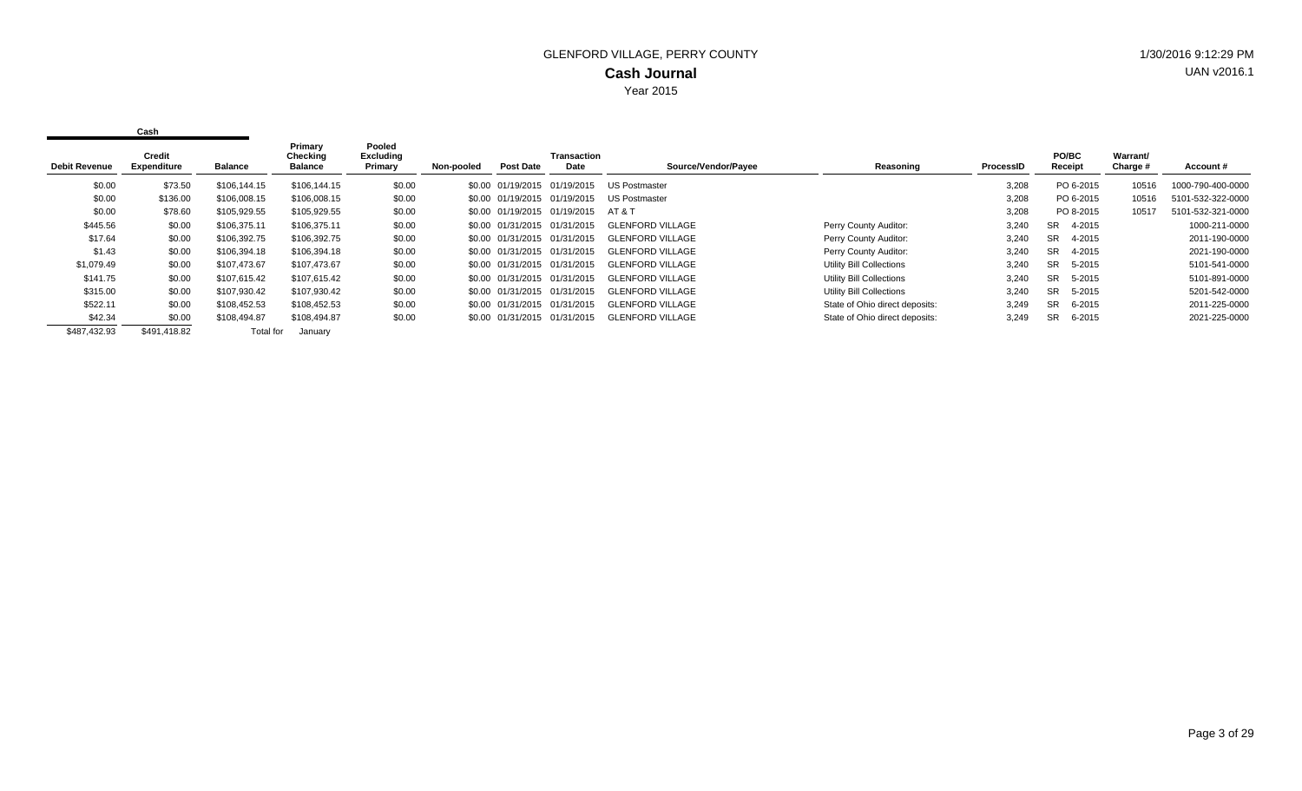| <b>Debit Revenue</b> | Credit<br><b>Expenditure</b> | Balance      | Primary<br>Checking<br><b>Balance</b> | Pooled<br><b>Excluding</b><br>Primary | Non-pooled | Post Date                    | <b>Transaction</b><br>Date   | Source/Vendor/Payee     | Reasoning                       | <b>ProcessID</b> | PO/BC<br>Receipt    | Warrant/<br>Charge # | Account#          |
|----------------------|------------------------------|--------------|---------------------------------------|---------------------------------------|------------|------------------------------|------------------------------|-------------------------|---------------------------------|------------------|---------------------|----------------------|-------------------|
|                      |                              |              |                                       |                                       |            |                              |                              |                         |                                 |                  |                     |                      |                   |
| \$0.00               | \$73.50                      | \$106,144.15 | \$106,144.15                          | \$0.00                                |            | \$0.00 01/19/2015 01/19/2015 |                              | <b>US Postmaster</b>    |                                 | 3,208            | PO 6-2015           | 10516                | 1000-790-400-0000 |
| \$0.00               | \$136.00                     | \$106,008.15 | \$106,008.15                          | \$0.00                                |            | \$0.00 01/19/2015 01/19/2015 |                              | US Postmaster           |                                 | 3,208            | PO 6-2015           | 10516                | 5101-532-322-0000 |
| \$0.00               | \$78.60                      | \$105,929.55 | \$105,929.55                          | \$0.00                                |            |                              | \$0.00 01/19/2015 01/19/2015 | AT & T                  |                                 | 3,208            | PO 8-2015           | 10517                | 5101-532-321-0000 |
| \$445.56             | \$0.00                       | \$106,375.11 | \$106,375.11                          | \$0.00                                |            | \$0.00 01/31/2015 01/31/2015 |                              | <b>GLENFORD VILLAGE</b> | Perry County Auditor:           | 3,240            | 4-2015<br>SR.       |                      | 1000-211-0000     |
| \$17.64              | \$0.00                       | \$106,392.75 | \$106,392.75                          | \$0.00                                |            | \$0.00 01/31/2015 01/31/2015 |                              | GLENFORD VILLAGE        | Perry County Auditor:           | 3,240            | <b>SR</b><br>4-2015 |                      | 2011-190-0000     |
| \$1.43               | \$0.00                       | \$106,394.18 | \$106,394.18                          | \$0.00                                |            | \$0.00 01/31/2015 01/31/2015 |                              | <b>GLENFORD VILLAGE</b> | Perry County Auditor:           | 3,240            | 4-2015<br><b>SR</b> |                      | 2021-190-0000     |
| \$1,079.49           | \$0.00                       | \$107,473.67 | \$107,473.67                          | \$0.00                                |            | \$0.00 01/31/2015 01/31/2015 |                              | <b>GLENFORD VILLAGE</b> | <b>Utility Bill Collections</b> | 3,240            | 5-2015<br>SR.       |                      | 5101-541-0000     |
| \$141.75             | \$0.00                       | \$107.615.42 | \$107,615.42                          | \$0.00                                |            | \$0.00 01/31/2015 01/31/2015 |                              | <b>GLENFORD VILLAGE</b> | <b>Utility Bill Collections</b> | 3,240            | 5-2015<br>SR.       |                      | 5101-891-0000     |
| \$315.00             | \$0.00                       | \$107,930.42 | \$107,930.42                          | \$0.00                                |            | \$0.00 01/31/2015 01/31/2015 |                              | <b>GLENFORD VILLAGE</b> | <b>Utility Bill Collections</b> | 3,240            | 5-2015<br>SR.       |                      | 5201-542-0000     |
| \$522.11             | \$0.00                       | \$108,452.53 | \$108.452.53                          | \$0.00                                |            | \$0.00 01/31/2015 01/31/2015 |                              | <b>GLENFORD VILLAGE</b> | State of Ohio direct deposits:  | 3,249            | 6-2015<br>SR.       |                      | 2011-225-0000     |
| \$42.34              | \$0.00                       | \$108,494.87 | \$108,494.87                          | \$0.00                                |            | \$0.00 01/31/2015 01/31/2015 |                              | <b>GLENFORD VILLAGE</b> | State of Ohio direct deposits:  | 3,249            | 6-2015<br>SR        |                      | 2021-225-0000     |
| \$487,432.93         | \$491,418.82                 | Total for    | January                               |                                       |            |                              |                              |                         |                                 |                  |                     |                      |                   |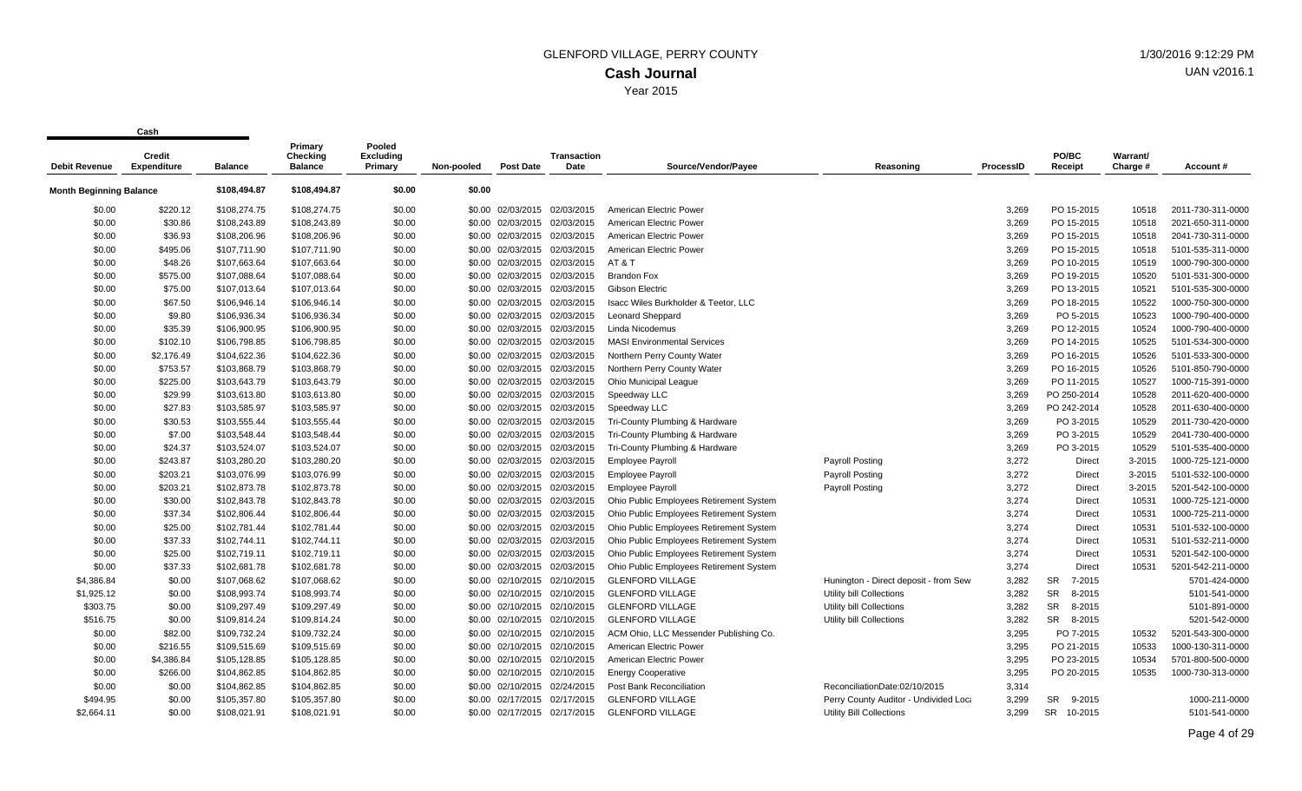|                                | <b>Credit</b>      |                | Primary<br><b>Checking</b> | Pooled<br><b>Excluding</b> |            |                              | <b>Transaction</b> |                                         |                                       |                  | PO/BC                | Warrant/ |                   |
|--------------------------------|--------------------|----------------|----------------------------|----------------------------|------------|------------------------------|--------------------|-----------------------------------------|---------------------------------------|------------------|----------------------|----------|-------------------|
| <b>Debit Revenue</b>           | <b>Expenditure</b> | <b>Balance</b> | <b>Balance</b>             | Primary                    | Non-pooled | <b>Post Date</b>             | Date               | Source/Vendor/Payee                     | Reasoning                             | <b>ProcessID</b> | Receipt              | Charge # | Account#          |
| <b>Month Beginning Balance</b> |                    | \$108,494.87   | \$108,494.87               | \$0.00                     | \$0.00     |                              |                    |                                         |                                       |                  |                      |          |                   |
| \$0.00                         | \$220.12           | \$108,274.75   | \$108,274.75               | \$0.00                     |            | \$0.00 02/03/2015 02/03/2015 |                    | American Electric Power                 |                                       | 3.269            | PO 15-2015           | 10518    | 2011-730-311-0000 |
| \$0.00                         | \$30.86            | \$108,243.89   | \$108,243.89               | \$0.00                     |            | \$0.00 02/03/2015            | 02/03/2015         | American Electric Power                 |                                       | 3,269            | PO 15-2015           | 10518    | 2021-650-311-0000 |
| \$0.00                         | \$36.93            | \$108,206.96   | \$108,206.96               | \$0.00                     |            | \$0.00 02/03/2015 02/03/2015 |                    | American Electric Power                 |                                       | 3,269            | PO 15-2015           | 10518    | 2041-730-311-0000 |
| \$0.00                         | \$495.06           | \$107,711.90   | \$107,711.90               | \$0.00                     |            | \$0.00 02/03/2015 02/03/2015 |                    | American Electric Power                 |                                       | 3,269            | PO 15-2015           | 10518    | 5101-535-311-0000 |
| \$0.00                         | \$48.26            | \$107,663.64   | \$107,663.64               | \$0.00                     |            | \$0.00 02/03/2015 02/03/2015 |                    | AT&T                                    |                                       | 3,269            | PO 10-2015           | 10519    | 1000-790-300-0000 |
| \$0.00                         | \$575.00           | \$107,088.64   | \$107,088.64               | \$0.00                     |            | \$0.00 02/03/2015 02/03/2015 |                    | <b>Brandon Fox</b>                      |                                       | 3,269            | PO 19-2015           | 10520    | 5101-531-300-0000 |
| \$0.00                         | \$75.00            | \$107,013.64   | \$107,013.64               | \$0.00                     |            | \$0.00 02/03/2015 02/03/2015 |                    | Gibson Electric                         |                                       | 3,269            | PO 13-2015           | 10521    | 5101-535-300-0000 |
| \$0.00                         | \$67.50            | \$106,946.14   | \$106,946.14               | \$0.00                     |            | \$0.00 02/03/2015 02/03/2015 |                    | Isacc Wiles Burkholder & Teetor, LLC    |                                       | 3,269            | PO 18-2015           | 10522    | 1000-750-300-0000 |
| \$0.00                         | \$9.80             | \$106,936.34   | \$106,936.34               | \$0.00                     |            | \$0.00 02/03/2015 02/03/2015 |                    | Leonard Sheppard                        |                                       | 3,269            | PO 5-2015            | 10523    | 1000-790-400-0000 |
| \$0.00                         | \$35.39            | \$106,900.95   | \$106,900.95               | \$0.00                     |            | \$0.00 02/03/2015 02/03/2015 |                    | Linda Nicodemus                         |                                       | 3,269            | PO 12-2015           | 10524    | 1000-790-400-0000 |
| \$0.00                         | \$102.10           | \$106,798.85   | \$106,798.85               | \$0.00                     |            | \$0.00 02/03/2015 02/03/2015 |                    | <b>MASI Environmental Services</b>      |                                       | 3,269            | PO 14-2015           | 10525    | 5101-534-300-0000 |
| \$0.00                         | \$2,176.49         | \$104,622.36   | \$104,622.36               | \$0.00                     |            | \$0.00 02/03/2015 02/03/2015 |                    | Northern Perry County Water             |                                       | 3.269            | PO 16-2015           | 10526    | 5101-533-300-0000 |
| \$0.00                         | \$753.57           | \$103,868.79   | \$103,868.79               | \$0.00                     |            | \$0.00 02/03/2015 02/03/2015 |                    | Northern Perry County Water             |                                       | 3,269            | PO 16-2015           | 10526    | 5101-850-790-0000 |
| \$0.00                         | \$225.00           | \$103,643.79   | \$103,643.79               | \$0.00                     |            | \$0.00 02/03/2015 02/03/2015 |                    | Ohio Municipal League                   |                                       | 3,269            | PO 11-2015           | 10527    | 1000-715-391-0000 |
| \$0.00                         | \$29.99            | \$103,613.80   | \$103,613.80               | \$0.00                     |            | \$0.00 02/03/2015            | 02/03/2015         | Speedway LLC                            |                                       | 3,269            | PO 250-2014          | 10528    | 2011-620-400-0000 |
| \$0.00                         | \$27.83            | \$103,585.97   | \$103,585.97               | \$0.00                     |            | \$0.00 02/03/2015 02/03/2015 |                    | Speedway LLC                            |                                       | 3,269            | PO 242-2014          | 10528    | 2011-630-400-0000 |
| \$0.00                         | \$30.53            | \$103,555.44   | \$103,555.44               | \$0.00                     |            | \$0.00 02/03/2015 02/03/2015 |                    | Tri-County Plumbing & Hardware          |                                       | 3,269            | PO 3-2015            | 10529    | 2011-730-420-0000 |
| \$0.00                         | \$7.00             | \$103,548.44   | \$103,548.44               | \$0.00                     |            | \$0.00 02/03/2015 02/03/2015 |                    | Tri-County Plumbing & Hardware          |                                       | 3,269            | PO 3-2015            | 10529    | 2041-730-400-0000 |
| \$0.00                         | \$24.37            | \$103,524.07   | \$103,524.07               | \$0.00                     |            | \$0.00 02/03/2015 02/03/2015 |                    | Tri-County Plumbing & Hardware          |                                       | 3,269            | PO 3-2015            | 10529    | 5101-535-400-0000 |
| \$0.00                         | \$243.87           | \$103,280.20   | \$103,280.20               | \$0.00                     |            | \$0.00 02/03/2015 02/03/2015 |                    | <b>Employee Payroll</b>                 | <b>Payroll Posting</b>                | 3,272            | <b>Direct</b>        | 3-2015   | 1000-725-121-0000 |
| \$0.00                         | \$203.21           | \$103,076.99   | \$103,076.99               | \$0.00                     |            | \$0.00 02/03/2015 02/03/2015 |                    | <b>Employee Payroll</b>                 | Payroll Posting                       | 3,272            | <b>Direct</b>        | 3-2015   | 5101-532-100-0000 |
| \$0.00                         | \$203.21           | \$102,873.78   | \$102,873.78               | \$0.00                     |            | \$0.00 02/03/2015 02/03/2015 |                    | <b>Employee Payroll</b>                 | <b>Payroll Posting</b>                | 3,272            | Direct               | 3-2015   | 5201-542-100-0000 |
| \$0.00                         | \$30.00            | \$102,843.78   | \$102,843.78               | \$0.00                     |            | \$0.00 02/03/2015 02/03/2015 |                    | Ohio Public Employees Retirement System |                                       | 3,274            | Direct               | 10531    | 1000-725-121-0000 |
| \$0.00                         | \$37.34            | \$102,806.44   | \$102,806.44               | \$0.00                     |            | \$0.00 02/03/2015 02/03/2015 |                    | Ohio Public Employees Retirement System |                                       | 3,274            | Direct               | 10531    | 1000-725-211-0000 |
| \$0.00                         | \$25.00            | \$102,781.44   | \$102,781.44               | \$0.00                     |            | \$0.00 02/03/2015 02/03/2015 |                    | Ohio Public Employees Retirement System |                                       | 3,274            | <b>Direct</b>        | 10531    | 5101-532-100-0000 |
| \$0.00                         | \$37.33            | \$102,744.11   | \$102,744.11               | \$0.00                     |            | \$0.00 02/03/2015 02/03/2015 |                    | Ohio Public Employees Retirement System |                                       | 3,274            | <b>Direct</b>        | 10531    | 5101-532-211-0000 |
| \$0.00                         | \$25.00            | \$102,719.11   | \$102,719.11               | \$0.00                     |            | \$0.00 02/03/2015 02/03/2015 |                    | Ohio Public Employees Retirement System |                                       | 3,274            | <b>Direct</b>        | 10531    | 5201-542-100-0000 |
| \$0.00                         | \$37.33            | \$102,681.78   | \$102,681.78               | \$0.00                     |            | \$0.00 02/03/2015 02/03/2015 |                    | Ohio Public Employees Retirement System |                                       | 3,274            | <b>Direct</b>        | 10531    | 5201-542-211-0000 |
| \$4,386.84                     | \$0.00             | \$107,068.62   | \$107,068.62               | \$0.00                     |            | \$0.00 02/10/2015 02/10/2015 |                    | <b>GLENFORD VILLAGE</b>                 | Hunington - Direct deposit - from Sew | 3,282            | 7-2015<br><b>SR</b>  |          | 5701-424-0000     |
| \$1,925.12                     | \$0.00             | \$108,993.74   | \$108,993.74               | \$0.00                     |            | \$0.00 02/10/2015 02/10/2015 |                    | <b>GLENFORD VILLAGE</b>                 | Utility bill Collections              | 3,282            | <b>SR</b><br>8-2015  |          | 5101-541-0000     |
| \$303.75                       | \$0.00             | \$109,297.49   | \$109,297.49               | \$0.00                     |            | \$0.00 02/10/2015 02/10/2015 |                    | <b>GLENFORD VILLAGE</b>                 | Utility bill Collections              | 3,282            | <b>SR</b><br>8-2015  |          | 5101-891-0000     |
| \$516.75                       | \$0.00             | \$109,814.24   | \$109,814.24               | \$0.00                     |            | \$0.00 02/10/2015 02/10/2015 |                    | <b>GLENFORD VILLAGE</b>                 | Utility bill Collections              | 3,282            | SR<br>8-2015         |          | 5201-542-0000     |
| \$0.00                         | \$82.00            | \$109,732.24   | \$109,732.24               | \$0.00                     |            | \$0.00 02/10/2015 02/10/2015 |                    | ACM Ohio, LLC Messender Publishing Co.  |                                       | 3,295            | PO 7-2015            | 10532    | 5201-543-300-0000 |
| \$0.00                         | \$216.55           | \$109,515.69   | \$109,515.69               | \$0.00                     |            | \$0.00 02/10/2015 02/10/2015 |                    | American Electric Power                 |                                       | 3,295            | PO 21-2015           | 10533    | 1000-130-311-0000 |
| \$0.00                         | \$4,386.84         | \$105,128.85   | \$105,128.85               | \$0.00                     |            | \$0.00 02/10/2015 02/10/2015 |                    | American Electric Power                 |                                       | 3,295            | PO 23-2015           | 10534    | 5701-800-500-0000 |
| \$0.00                         | \$266.00           | \$104,862.85   | \$104,862.85               | \$0.00                     |            | \$0.00 02/10/2015 02/10/2015 |                    | <b>Energy Cooperative</b>               |                                       | 3,295            | PO 20-2015           | 10535    | 1000-730-313-0000 |
| \$0.00                         | \$0.00             | \$104,862.85   | \$104,862.85               | \$0.00                     |            | \$0.00 02/10/2015 02/24/2015 |                    | Post Bank Reconciliation                | ReconciliationDate:02/10/2015         | 3,314            |                      |          |                   |
| \$494.95                       | \$0.00             | \$105,357.80   | \$105,357.80               | \$0.00                     |            | \$0.00 02/17/2015 02/17/2015 |                    | <b>GLENFORD VILLAGE</b>                 | Perry County Auditor - Undivided Loca | 3,299            | <b>SR</b><br>9-2015  |          | 1000-211-0000     |
| \$2.664.11                     | \$0.00             | \$108,021.91   | \$108,021.91               | \$0.00                     |            | \$0.00 02/17/2015 02/17/2015 |                    | <b>GLENFORD VILLAGE</b>                 | Utility Bill Collections              | 3.299            | <b>SR</b><br>10-2015 |          | 5101-541-0000     |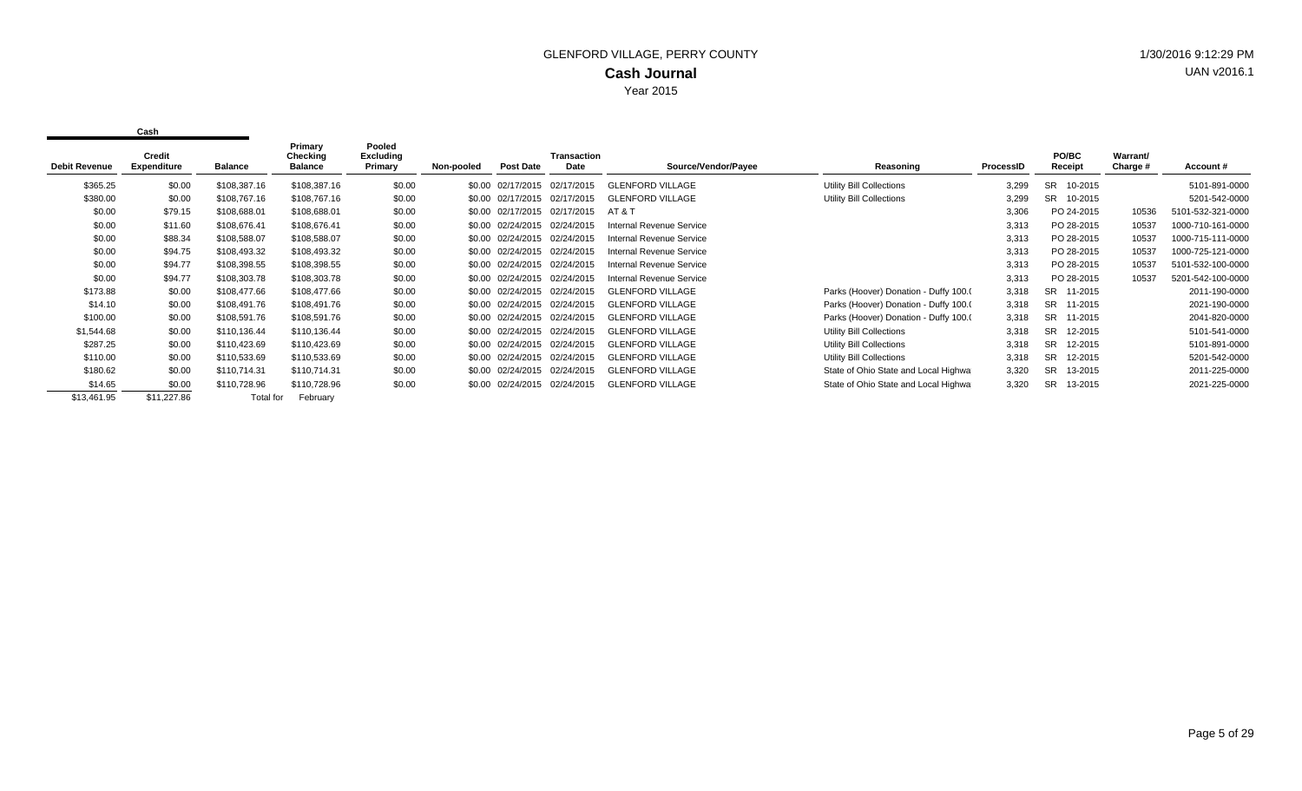| <b>Debit Revenue</b> | Credit<br><b>Expenditure</b> | <b>Balance</b> | Primary<br>Checking<br><b>Balance</b> | Pooled<br><b>Excluding</b><br>Primary | Non-pooled | Post Date                    | <b>Transaction</b><br>Date | Source/Vendor/Payee      | Reasoning                             | ProcessID | PO/BC<br>Receipt     | Warrant/<br>Charge # | Account#          |
|----------------------|------------------------------|----------------|---------------------------------------|---------------------------------------|------------|------------------------------|----------------------------|--------------------------|---------------------------------------|-----------|----------------------|----------------------|-------------------|
| \$365.25             | \$0.00                       | \$108,387.16   | \$108,387.16                          | \$0.00                                |            | \$0.00 02/17/2015            | 02/17/2015                 | <b>GLENFORD VILLAGE</b>  | Utility Bill Collections              | 3,299     | SR.<br>10-2015       |                      | 5101-891-0000     |
| \$380.00             | \$0.00                       | \$108,767.16   | \$108,767.16                          | \$0.00                                |            | \$0.00 02/17/2015 02/17/2015 |                            | <b>GLENFORD VILLAGE</b>  | Utility Bill Collections              | 3,299     | SR.<br>10-2015       |                      | 5201-542-0000     |
| \$0.00               | \$79.15                      | \$108,688.01   | \$108,688.01                          | \$0.00                                |            | \$0.00 02/17/2015            | 02/17/2015                 | AT & T                   |                                       | 3,306     | PO 24-2015           | 10536                | 5101-532-321-0000 |
| \$0.00               | \$11.60                      | \$108,676.41   | \$108,676.41                          | \$0.00                                |            | \$0.00 02/24/2015 02/24/2015 |                            | Internal Revenue Service |                                       | 3,313     | PO 28-2015           | 10537                | 1000-710-161-0000 |
| \$0.00               | \$88.34                      | \$108,588.07   | \$108,588.07                          | \$0.00                                |            | \$0.00 02/24/2015 02/24/2015 |                            | Internal Revenue Service |                                       | 3,313     | PO 28-2015           | 10537                | 1000-715-111-0000 |
| \$0.00               | \$94.75                      | \$108,493.32   | \$108,493.32                          | \$0.00                                |            | \$0.00 02/24/2015 02/24/2015 |                            | Internal Revenue Service |                                       | 3,313     | PO 28-2015           | 10537                | 1000-725-121-0000 |
| \$0.00               | \$94.77                      | \$108,398.55   | \$108,398.55                          | \$0.00                                |            | \$0.00 02/24/2015 02/24/2015 |                            | Internal Revenue Service |                                       | 3,313     | PO 28-2015           | 10537                | 5101-532-100-0000 |
| \$0.00               | \$94.77                      | \$108,303.78   | \$108,303.78                          | \$0.00                                |            | \$0.00 02/24/2015 02/24/2015 |                            | Internal Revenue Service |                                       | 3,313     | PO 28-2015           | 10537                | 5201-542-100-0000 |
| \$173.88             | \$0.00                       | \$108,477.66   | \$108,477.66                          | \$0.00                                |            | \$0.00 02/24/2015            | 02/24/2015                 | <b>GLENFORD VILLAGE</b>  | Parks (Hoover) Donation - Duffy 100.0 | 3,318     | SR.<br>11-2015       |                      | 2011-190-0000     |
| \$14.10              | \$0.00                       | \$108,491.76   | \$108,491.76                          | \$0.00                                |            | \$0.00 02/24/2015 02/24/2015 |                            | <b>GLENFORD VILLAGE</b>  | Parks (Hoover) Donation - Duffy 100.0 | 3,318     | <b>SR</b><br>11-2015 |                      | 2021-190-0000     |
| \$100.00             | \$0.00                       | \$108,591.76   | \$108,591.76                          | \$0.00                                |            | \$0.00 02/24/2015            | 02/24/2015                 | <b>GLENFORD VILLAGE</b>  | Parks (Hoover) Donation - Duffy 100.0 | 3,318     | SR.<br>11-2015       |                      | 2041-820-0000     |
| \$1,544.68           | \$0.00                       | \$110,136.44   | \$110,136.44                          | \$0.00                                |            | \$0.00 02/24/2015 02/24/2015 |                            | <b>GLENFORD VILLAGE</b>  | Utility Bill Collections              | 3,318     | SR.<br>12-2015       |                      | 5101-541-0000     |
| \$287.25             | \$0.00                       | \$110,423.69   | \$110,423.69                          | \$0.00                                |            | \$0.00 02/24/2015            | 02/24/2015                 | <b>GLENFORD VILLAGE</b>  | Utility Bill Collections              | 3,318     | <b>SR</b><br>12-2015 |                      | 5101-891-0000     |
| \$110.00             | \$0.00                       | \$110,533.69   | \$110,533.69                          | \$0.00                                |            | \$0.00 02/24/2015 02/24/2015 |                            | <b>GLENFORD VILLAGE</b>  | Utility Bill Collections              | 3,318     | <b>SR</b><br>12-2015 |                      | 5201-542-0000     |
| \$180.62             | \$0.00                       | \$110,714.31   | \$110,714.31                          | \$0.00                                |            | \$0.00 02/24/2015            | 02/24/2015                 | <b>GLENFORD VILLAGE</b>  | State of Ohio State and Local Highwa  | 3,320     | <b>SR</b><br>13-2015 |                      | 2011-225-0000     |
| \$14.65              | \$0.00                       | \$110,728.96   | \$110,728.96                          | \$0.00                                |            | \$0.00 02/24/2015 02/24/2015 |                            | <b>GLENFORD VILLAGE</b>  | State of Ohio State and Local Highwa  | 3,320     | <b>SR</b><br>13-2015 |                      | 2021-225-0000     |
| \$13,461.95          | \$11,227.86                  | Total for      | February                              |                                       |            |                              |                            |                          |                                       |           |                      |                      |                   |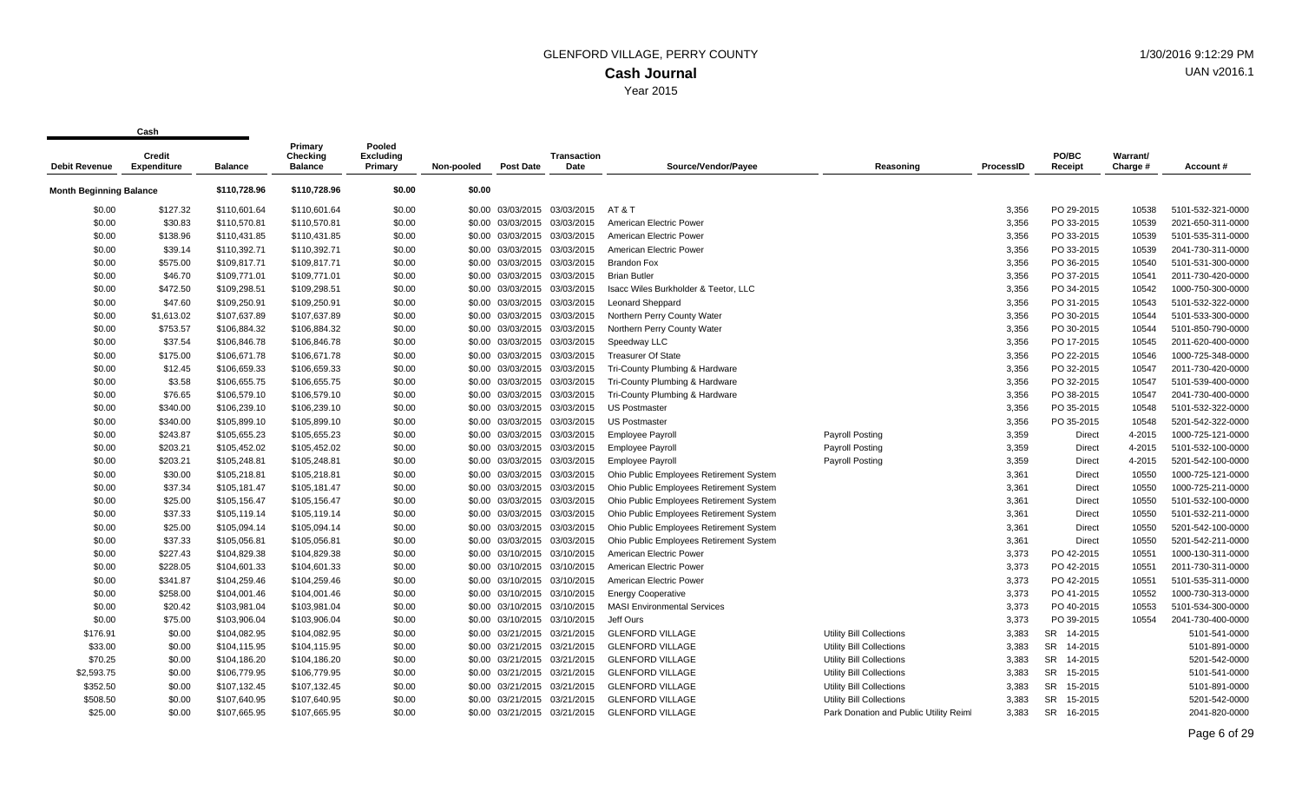| <b>Debit Revenue</b>           | vuj 1<br>Credit<br><b>Expenditure</b> | <b>Balance</b> | Primary<br>Checking<br><b>Balance</b> | Pooled<br><b>Excluding</b><br>Primary | Non-pooled | <b>Post Date</b>             | <b>Transaction</b><br>Date | Source/Vendor/Payee                     | Reasoning                              | ProcessID | PO/BC<br>Receipt     | Warrant/<br>Charge # | Account#          |
|--------------------------------|---------------------------------------|----------------|---------------------------------------|---------------------------------------|------------|------------------------------|----------------------------|-----------------------------------------|----------------------------------------|-----------|----------------------|----------------------|-------------------|
| <b>Month Beginning Balance</b> |                                       | \$110,728.96   | \$110,728.96                          | \$0.00                                | \$0.00     |                              |                            |                                         |                                        |           |                      |                      |                   |
| \$0.00                         | \$127.32                              | \$110,601.64   | \$110,601.64                          | \$0.00                                |            | \$0.00 03/03/2015 03/03/2015 |                            | AT & T                                  |                                        | 3,356     | PO 29-2015           | 10538                | 5101-532-321-0000 |
| \$0.00                         | \$30.83                               | \$110,570.81   | \$110,570.81                          | \$0.00                                |            | \$0.00 03/03/2015 03/03/2015 |                            | American Electric Power                 |                                        | 3,356     | PO 33-2015           | 10539                | 2021-650-311-0000 |
| \$0.00                         | \$138.96                              | \$110,431.85   | \$110,431.85                          | \$0.00                                |            | \$0.00 03/03/2015 03/03/2015 |                            | American Electric Power                 |                                        | 3,356     | PO 33-2015           | 10539                | 5101-535-311-0000 |
| \$0.00                         | \$39.14                               | \$110.392.71   | \$110,392.71                          | \$0.00                                |            | \$0.00 03/03/2015 03/03/2015 |                            | American Electric Power                 |                                        | 3.356     | PO 33-2015           | 10539                | 2041-730-311-0000 |
| \$0.00                         | \$575.00                              | \$109,817.71   | \$109,817.71                          | \$0.00                                |            | \$0.00 03/03/2015 03/03/2015 |                            | <b>Brandon Fox</b>                      |                                        | 3,356     | PO 36-2015           | 10540                | 5101-531-300-0000 |
| \$0.00                         | \$46.70                               | \$109,771.01   | \$109,771.01                          | \$0.00                                |            | \$0.00 03/03/2015 03/03/2015 |                            | <b>Brian Butler</b>                     |                                        | 3,356     | PO 37-2015           | 10541                | 2011-730-420-0000 |
| \$0.00                         | \$472.50                              | \$109,298.51   | \$109,298.51                          | \$0.00                                |            | \$0.00 03/03/2015 03/03/2015 |                            | Isacc Wiles Burkholder & Teetor, LLC    |                                        | 3,356     | PO 34-2015           | 10542                | 1000-750-300-0000 |
| \$0.00                         | \$47.60                               | \$109,250.91   | \$109,250.91                          | \$0.00                                |            | \$0.00 03/03/2015 03/03/2015 |                            | <b>Leonard Sheppard</b>                 |                                        | 3,356     | PO 31-2015           | 10543                | 5101-532-322-0000 |
| \$0.00                         | \$1,613.02                            | \$107,637.89   | \$107,637.89                          | \$0.00                                |            | \$0.00 03/03/2015 03/03/2015 |                            | Northern Perry County Water             |                                        | 3,356     | PO 30-2015           | 10544                | 5101-533-300-0000 |
| \$0.00                         | \$753.57                              | \$106,884.32   | \$106,884.32                          | \$0.00                                |            | \$0.00 03/03/2015 03/03/2015 |                            | Northern Perry County Water             |                                        | 3,356     | PO 30-2015           | 10544                | 5101-850-790-0000 |
| \$0.00                         | \$37.54                               | \$106,846.78   | \$106,846.78                          | \$0.00                                |            | \$0.00 03/03/2015 03/03/2015 |                            | Speedway LLC                            |                                        | 3,356     | PO 17-2015           | 10545                | 2011-620-400-0000 |
| \$0.00                         | \$175.00                              | \$106,671.78   | \$106,671.78                          | \$0.00                                |            | \$0.00 03/03/2015 03/03/2015 |                            | <b>Treasurer Of State</b>               |                                        | 3,356     | PO 22-2015           | 10546                | 1000-725-348-0000 |
| \$0.00                         | \$12.45                               | \$106,659.33   | \$106,659.33                          | \$0.00                                |            | \$0.00 03/03/2015 03/03/2015 |                            | Tri-County Plumbing & Hardware          |                                        | 3,356     | PO 32-2015           | 10547                | 2011-730-420-0000 |
| \$0.00                         | \$3.58                                | \$106,655.75   | \$106,655.75                          | \$0.00                                |            | \$0.00 03/03/2015 03/03/2015 |                            | Tri-County Plumbing & Hardware          |                                        | 3,356     | PO 32-2015           | 10547                | 5101-539-400-0000 |
| \$0.00                         | \$76.65                               | \$106,579.10   | \$106,579.10                          | \$0.00                                |            | \$0.00 03/03/2015 03/03/2015 |                            | Tri-County Plumbing & Hardware          |                                        | 3,356     | PO 38-2015           | 10547                | 2041-730-400-0000 |
| \$0.00                         | \$340.00                              | \$106,239.10   | \$106,239.10                          | \$0.00                                |            | \$0.00 03/03/2015 03/03/2015 |                            | <b>US Postmaster</b>                    |                                        | 3,356     | PO 35-2015           | 10548                | 5101-532-322-0000 |
| \$0.00                         | \$340.00                              | \$105,899.10   | \$105,899.10                          | \$0.00                                |            | \$0.00 03/03/2015 03/03/2015 |                            | <b>US Postmaster</b>                    |                                        | 3,356     | PO 35-2015           | 10548                | 5201-542-322-0000 |
| \$0.00                         | \$243.87                              | \$105,655.23   | \$105,655.23                          | \$0.00                                |            | \$0.00 03/03/2015 03/03/2015 |                            | <b>Employee Payroll</b>                 | Payroll Posting                        | 3,359     | <b>Direct</b>        | 4-2015               | 1000-725-121-0000 |
| \$0.00                         | \$203.21                              | \$105,452.02   | \$105,452.02                          | \$0.00                                |            | \$0.00 03/03/2015 03/03/2015 |                            | <b>Employee Payroll</b>                 | <b>Payroll Posting</b>                 | 3,359     | <b>Direct</b>        | 4-2015               | 5101-532-100-0000 |
| \$0.00                         | \$203.21                              | \$105,248.81   | \$105,248.81                          | \$0.00                                |            | \$0.00 03/03/2015 03/03/2015 |                            | <b>Employee Payroll</b>                 | <b>Payroll Posting</b>                 | 3,359     | <b>Direct</b>        | 4-2015               | 5201-542-100-0000 |
| \$0.00                         | \$30.00                               | \$105,218.81   | \$105,218.81                          | \$0.00                                |            | \$0.00 03/03/2015 03/03/2015 |                            | Ohio Public Employees Retirement System |                                        | 3,361     | <b>Direct</b>        | 10550                | 1000-725-121-0000 |
| \$0.00                         | \$37.34                               | \$105,181.47   | \$105,181.47                          | \$0.00                                |            | \$0.00 03/03/2015 03/03/2015 |                            | Ohio Public Employees Retirement System |                                        | 3,361     | <b>Direct</b>        | 10550                | 1000-725-211-0000 |
| \$0.00                         | \$25.00                               | \$105,156.47   | \$105,156.47                          | \$0.00                                |            | \$0.00 03/03/2015 03/03/2015 |                            | Ohio Public Employees Retirement System |                                        | 3,361     | Direct               | 10550                | 5101-532-100-0000 |
| \$0.00                         | \$37.33                               | \$105,119.14   | \$105,119.14                          | \$0.00                                |            | \$0.00 03/03/2015 03/03/2015 |                            | Ohio Public Employees Retirement System |                                        | 3,361     | <b>Direct</b>        | 10550                | 5101-532-211-0000 |
| \$0.00                         | \$25.00                               | \$105,094.14   | \$105,094.14                          | \$0.00                                |            | \$0.00 03/03/2015 03/03/2015 |                            | Ohio Public Employees Retirement System |                                        | 3,361     | <b>Direct</b>        | 10550                | 5201-542-100-0000 |
| \$0.00                         | \$37.33                               | \$105,056.81   | \$105,056.81                          | \$0.00                                |            | \$0.00 03/03/2015 03/03/2015 |                            | Ohio Public Employees Retirement System |                                        | 3,361     | <b>Direct</b>        | 10550                | 5201-542-211-0000 |
| \$0.00                         | \$227.43                              | \$104,829.38   | \$104,829.38                          | \$0.00                                |            | \$0.00 03/10/2015 03/10/2015 |                            | American Electric Power                 |                                        | 3,373     | PO 42-2015           | 10551                | 1000-130-311-0000 |
| \$0.00                         | \$228.05                              | \$104,601.33   | \$104,601.33                          | \$0.00                                |            | \$0.00 03/10/2015 03/10/2015 |                            | American Electric Power                 |                                        | 3,373     | PO 42-2015           | 10551                | 2011-730-311-0000 |
| \$0.00                         | \$341.87                              | \$104,259.46   | \$104,259.46                          | \$0.00                                |            | \$0.00 03/10/2015 03/10/2015 |                            | American Electric Power                 |                                        | 3,373     | PO 42-2015           | 10551                | 5101-535-311-0000 |
| \$0.00                         | \$258.00                              | \$104,001.46   | \$104,001.46                          | \$0.00                                |            | \$0.00 03/10/2015 03/10/2015 |                            | <b>Energy Cooperative</b>               |                                        | 3,373     | PO 41-2015           | 10552                | 1000-730-313-0000 |
| \$0.00                         | \$20.42                               | \$103,981.04   | \$103,981.04                          | \$0.00                                |            | \$0.00 03/10/2015 03/10/2015 |                            | <b>MASI Environmental Services</b>      |                                        | 3,373     | PO 40-2015           | 10553                | 5101-534-300-0000 |
| \$0.00                         | \$75.00                               | \$103,906.04   | \$103,906.04                          | \$0.00                                |            | \$0.00 03/10/2015 03/10/2015 |                            | Jeff Ours                               |                                        | 3,373     | PO 39-2015           | 10554                | 2041-730-400-0000 |
| \$176.91                       | \$0.00                                | \$104,082.95   | \$104,082.95                          | \$0.00                                |            | \$0.00 03/21/2015 03/21/2015 |                            | <b>GLENFORD VILLAGE</b>                 | <b>Utility Bill Collections</b>        | 3,383     | SR 14-2015           |                      | 5101-541-0000     |
| \$33.00                        | \$0.00                                | \$104,115.95   | \$104,115.95                          | \$0.00                                |            | \$0.00 03/21/2015 03/21/2015 |                            | <b>GLENFORD VILLAGE</b>                 | Utility Bill Collections               | 3,383     | SR 14-2015           |                      | 5101-891-0000     |
| \$70.25                        | \$0.00                                | \$104,186.20   | \$104,186.20                          | \$0.00                                |            | \$0.00 03/21/2015 03/21/2015 |                            | <b>GLENFORD VILLAGE</b>                 | Utility Bill Collections               | 3,383     | SR 14-2015           |                      | 5201-542-0000     |
| \$2,593.75                     | \$0.00                                | \$106,779.95   | \$106,779.95                          | \$0.00                                |            | \$0.00 03/21/2015 03/21/2015 |                            | <b>GLENFORD VILLAGE</b>                 | <b>Utility Bill Collections</b>        | 3,383     | 15-2015<br>SR        |                      | 5101-541-0000     |
| \$352.50                       | \$0.00                                | \$107,132.45   | \$107,132.45                          | \$0.00                                |            | \$0.00 03/21/2015 03/21/2015 |                            | <b>GLENFORD VILLAGE</b>                 | Utility Bill Collections               | 3,383     | 15-2015<br>SR        |                      | 5101-891-0000     |
| \$508.50                       | \$0.00                                | \$107,640.95   | \$107,640.95                          | \$0.00                                |            | \$0.00 03/21/2015 03/21/2015 |                            | <b>GLENFORD VILLAGE</b>                 | Utility Bill Collections               | 3,383     | SR<br>15-2015        |                      | 5201-542-0000     |
| \$25.00                        | \$0.00                                | \$107.665.95   | \$107,665.95                          | \$0.00                                |            | \$0.00 03/21/2015 03/21/2015 |                            | <b>GLENFORD VILLAGE</b>                 | Park Donation and Public Utility Reiml | 3,383     | <b>SR</b><br>16-2015 |                      | 2041-820-0000     |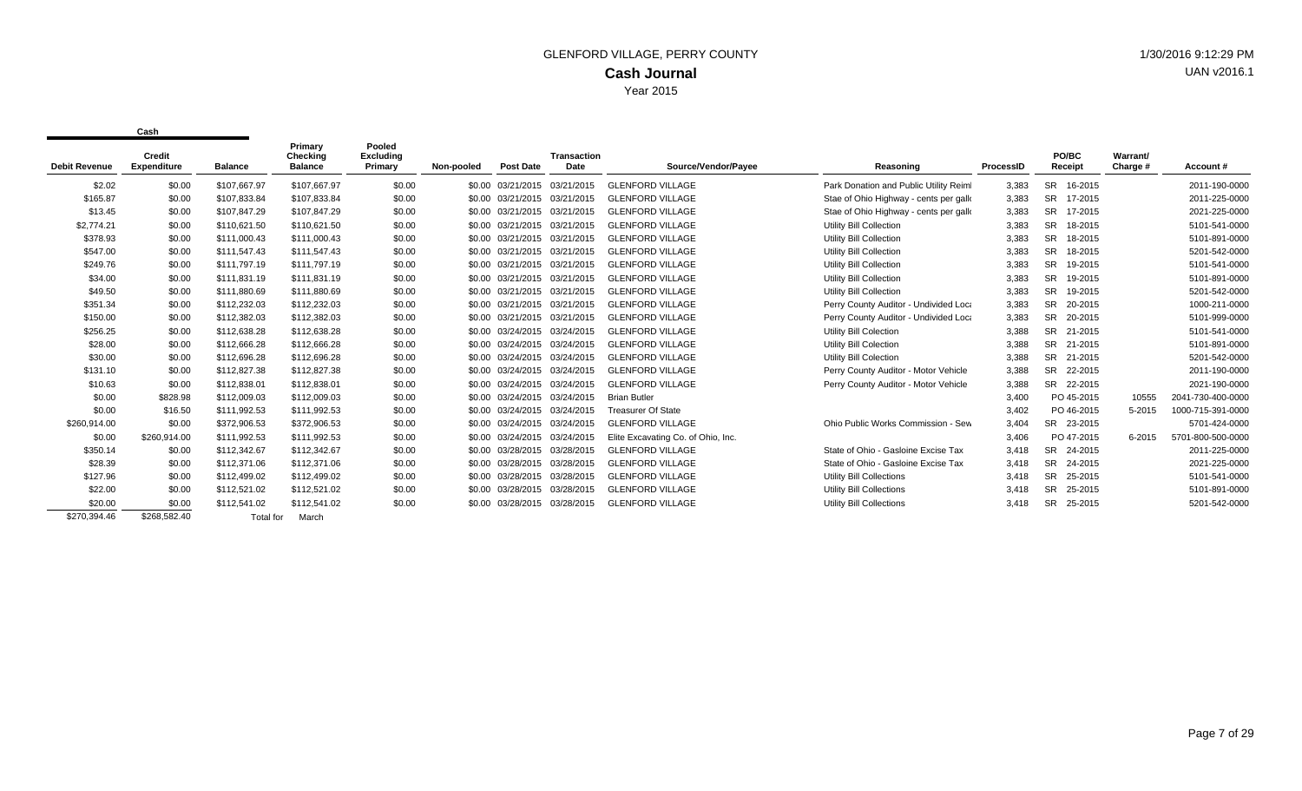| <b>Debit Revenue</b> | Credit<br>Expenditure | <b>Balance</b>   | Primary<br>Checking<br><b>Balance</b> | Pooled<br><b>Excluding</b><br>Primary | Non-pooled | <b>Post Date</b>             | <b>Transaction</b><br>Date | Source/Vendor/Payee                | Reasoning                              | ProcessID | PO/BC<br>Receipt     | Warrant/<br>Charge # | Account#          |
|----------------------|-----------------------|------------------|---------------------------------------|---------------------------------------|------------|------------------------------|----------------------------|------------------------------------|----------------------------------------|-----------|----------------------|----------------------|-------------------|
| \$2.02               | \$0.00                | \$107.667.97     | \$107.667.97                          | \$0.00                                |            | \$0.00 03/21/2015 03/21/2015 |                            | <b>GLENFORD VILLAGE</b>            | Park Donation and Public Utility Reiml | 3,383     | <b>SR</b><br>16-2015 |                      | 2011-190-0000     |
| \$165.87             | \$0.00                | \$107.833.84     | \$107,833.84                          | \$0.00                                |            | \$0.00 03/21/2015            | 03/21/2015                 | <b>GLENFORD VILLAGE</b>            | Stae of Ohio Highway - cents per galk  | 3,383     | <b>SR</b><br>17-2015 |                      | 2011-225-0000     |
| \$13.45              | \$0.00                | \$107,847.29     | \$107,847.29                          | \$0.00                                |            | \$0.00 03/21/2015            | 03/21/2015                 | <b>GLENFORD VILLAGE</b>            | Stae of Ohio Highway - cents per gallo | 3,383     | <b>SR</b><br>17-2015 |                      | 2021-225-0000     |
| \$2,774.21           | \$0.00                | \$110,621.50     | \$110,621.50                          | \$0.00                                |            | \$0.00 03/21/2015            | 03/21/2015                 | <b>GLENFORD VILLAGE</b>            | <b>Utility Bill Collection</b>         | 3,383     | 18-2015<br><b>SR</b> |                      | 5101-541-0000     |
| \$378.93             | \$0.00                | \$111.000.43     | \$111.000.43                          | \$0.00                                |            | \$0.00 03/21/2015            | 03/21/2015                 | <b>GLENFORD VILLAGE</b>            | <b>Utility Bill Collection</b>         | 3,383     | <b>SR</b><br>18-2015 |                      | 5101-891-0000     |
| \$547.00             | \$0.00                | \$111,547.43     | \$111,547.43                          | \$0.00                                |            | \$0.00 03/21/2015            | 03/21/2015                 | <b>GLENFORD VILLAGE</b>            | <b>Utility Bill Collection</b>         | 3,383     | <b>SR</b><br>18-2015 |                      | 5201-542-0000     |
| \$249.76             | \$0.00                | \$111.797.19     | \$111,797.19                          | \$0.00                                |            | \$0.00 03/21/2015            | 03/21/2015                 | <b>GLENFORD VILLAGE</b>            | <b>Utility Bill Collection</b>         | 3,383     | <b>SR</b><br>19-2015 |                      | 5101-541-0000     |
| \$34.00              | \$0.00                | \$111,831.19     | \$111,831.19                          | \$0.00                                |            | \$0.00 03/21/2015 03/21/2015 |                            | <b>GLENFORD VILLAGE</b>            | <b>Utility Bill Collection</b>         | 3,383     | <b>SR</b><br>19-2015 |                      | 5101-891-0000     |
| \$49.50              | \$0.00                | \$111.880.69     | \$111,880.69                          | \$0.00                                |            | \$0.00 03/21/2015            | 03/21/2015                 | <b>GLENFORD VILLAGE</b>            | <b>Utility Bill Collection</b>         | 3,383     | <b>SR</b><br>19-2015 |                      | 5201-542-0000     |
| \$351.34             | \$0.00                | \$112,232.03     | \$112,232.03                          | \$0.00                                |            | \$0.00 03/21/2015            | 03/21/2015                 | <b>GLENFORD VILLAGE</b>            | Perry County Auditor - Undivided Loca  | 3,383     | <b>SR</b><br>20-2015 |                      | 1000-211-0000     |
| \$150.00             | \$0.00                | \$112,382.03     | \$112,382.03                          | \$0.00                                |            | \$0.00 03/21/2015            | 03/21/2015                 | <b>GLENFORD VILLAGE</b>            | Perry County Auditor - Undivided Loca  | 3,383     | <b>SR</b><br>20-2015 |                      | 5101-999-0000     |
| \$256.25             | \$0.00                | \$112,638.28     | \$112,638.28                          | \$0.00                                |            | \$0.00 03/24/2015            | 03/24/2015                 | <b>GLENFORD VILLAGE</b>            | <b>Utility Bill Colection</b>          | 3,388     | <b>SR</b><br>21-2015 |                      | 5101-541-0000     |
| \$28.00              | \$0.00                | \$112,666.28     | \$112,666.28                          | \$0.00                                |            | \$0.00 03/24/2015            | 03/24/2015                 | <b>GLENFORD VILLAGE</b>            | <b>Utility Bill Colection</b>          | 3,388     | <b>SR</b><br>21-2015 |                      | 5101-891-0000     |
| \$30.00              | \$0.00                | \$112,696.28     | \$112,696.28                          | \$0.00                                |            | \$0.00 03/24/2015            | 03/24/2015                 | <b>GLENFORD VILLAGE</b>            | <b>Utility Bill Colection</b>          | 3,388     | <b>SR</b><br>21-2015 |                      | 5201-542-0000     |
| \$131.10             | \$0.00                | \$112,827.38     | \$112,827.38                          | \$0.00                                |            | \$0.00 03/24/2015            | 03/24/2015                 | <b>GLENFORD VILLAGE</b>            | Perry County Auditor - Motor Vehicle   | 3,388     | <b>SR</b><br>22-2015 |                      | 2011-190-0000     |
| \$10.63              | \$0.00                | \$112,838.01     | \$112,838.01                          | \$0.00                                |            | \$0.00 03/24/2015            | 03/24/2015                 | <b>GLENFORD VILLAGE</b>            | Perry County Auditor - Motor Vehicle   | 3,388     | <b>SR</b><br>22-2015 |                      | 2021-190-0000     |
| \$0.00               | \$828.98              | \$112,009.03     | \$112,009.03                          | \$0.00                                |            | \$0.00 03/24/2015            | 03/24/2015                 | <b>Brian Butler</b>                |                                        | 3,400     | PO 45-2015           | 10555                | 2041-730-400-0000 |
| \$0.00               | \$16.50               | \$111,992.53     | \$111,992.53                          | \$0.00                                |            | \$0.00 03/24/2015            | 03/24/2015                 | <b>Treasurer Of State</b>          |                                        | 3,402     | PO 46-2015           | 5-2015               | 1000-715-391-0000 |
| \$260,914.00         | \$0.00                | \$372,906.53     | \$372,906.53                          | \$0.00                                |            | \$0.00 03/24/2015            | 03/24/2015                 | <b>GLENFORD VILLAGE</b>            | Ohio Public Works Commission - Sew     | 3,404     | SR 23-2015           |                      | 5701-424-0000     |
| \$0.00               | \$260,914.00          | \$111,992.53     | \$111,992.53                          | \$0.00                                |            | \$0.00 03/24/2015            | 03/24/2015                 | Elite Excavating Co. of Ohio, Inc. |                                        | 3,406     | PO 47-2015           | 6-2015               | 5701-800-500-0000 |
| \$350.14             | \$0.00                | \$112.342.67     | \$112,342.67                          | \$0.00                                |            | \$0.00 03/28/2015            | 03/28/2015                 | <b>GLENFORD VILLAGE</b>            | State of Ohio - Gasloine Excise Tax    | 3.418     | <b>SR</b><br>24-2015 |                      | 2011-225-0000     |
| \$28.39              | \$0.00                | \$112,371.06     | \$112,371.06                          | \$0.00                                |            | \$0.00 03/28/2015            | 03/28/2015                 | <b>GLENFORD VILLAGE</b>            | State of Ohio - Gasloine Excise Tax    | 3,418     | <b>SR</b><br>24-2015 |                      | 2021-225-0000     |
| \$127.96             | \$0.00                | \$112,499.02     | \$112,499.02                          | \$0.00                                |            | \$0.00 03/28/2015            | 03/28/2015                 | <b>GLENFORD VILLAGE</b>            | <b>Utility Bill Collections</b>        | 3,418     | <b>SR</b><br>25-2015 |                      | 5101-541-0000     |
| \$22.00              | \$0.00                | \$112,521.02     | \$112,521.02                          | \$0.00                                |            | \$0.00 03/28/2015            | 03/28/2015                 | <b>GLENFORD VILLAGE</b>            | Utility Bill Collections               | 3,418     | <b>SR</b><br>25-2015 |                      | 5101-891-0000     |
| \$20.00              | \$0.00                | \$112,541.02     | \$112,541.02                          | \$0.00                                |            | \$0.00 03/28/2015            | 03/28/2015                 | <b>GLENFORD VILLAGE</b>            | Utility Bill Collections               | 3.418     | <b>SR</b><br>25-2015 |                      | 5201-542-0000     |
| \$270,394.46         | \$268,582.40          | <b>Total</b> for | March                                 |                                       |            |                              |                            |                                    |                                        |           |                      |                      |                   |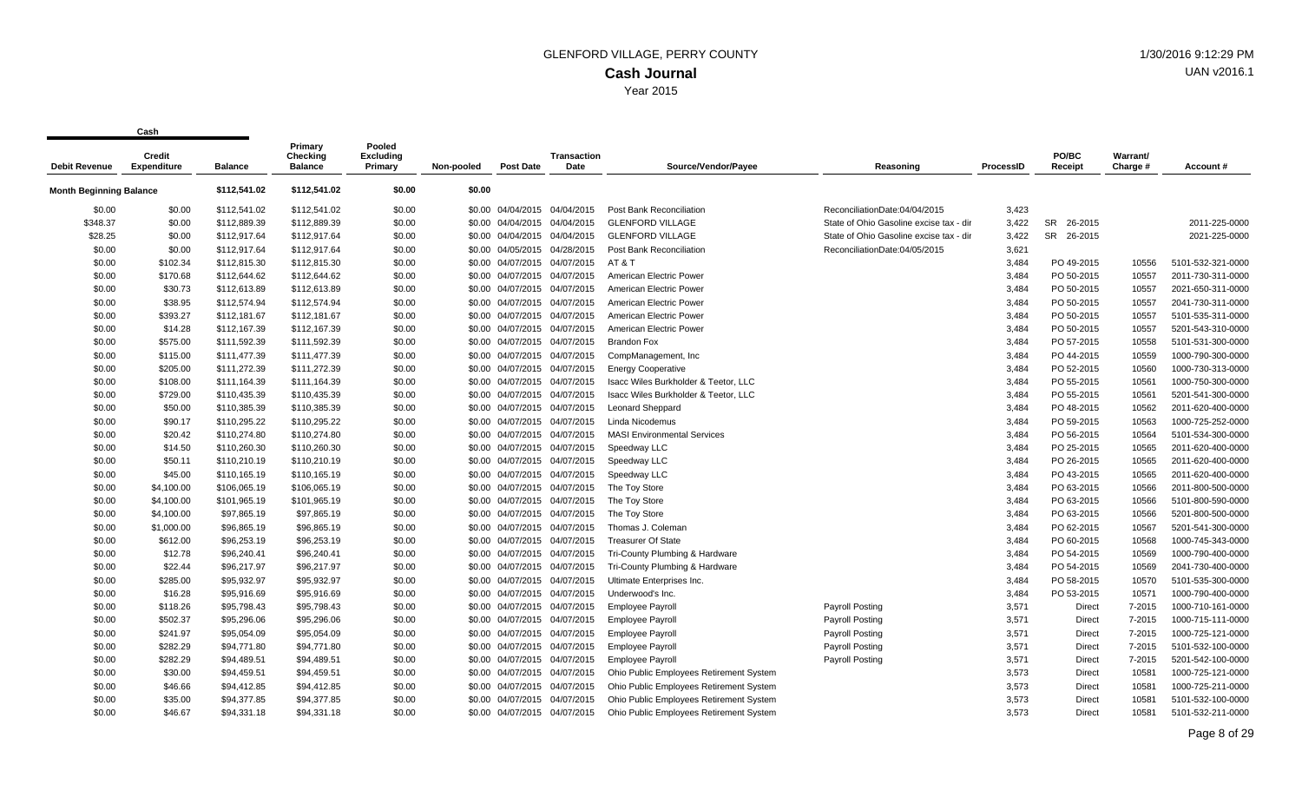|                                | Credit             |                | Primary<br>Checking | Pooled<br><b>Excluding</b> |            |                              | <b>Transaction</b> |                                         |                                         |           | PO/BC                | Warrant/ |                   |
|--------------------------------|--------------------|----------------|---------------------|----------------------------|------------|------------------------------|--------------------|-----------------------------------------|-----------------------------------------|-----------|----------------------|----------|-------------------|
| <b>Debit Revenue</b>           | <b>Expenditure</b> | <b>Balance</b> | <b>Balance</b>      | Primary                    | Non-pooled | Post Date                    | Date               | Source/Vendor/Payee                     | Reasoning                               | ProcessID | Receipt              | Charge # | Account#          |
| <b>Month Beginning Balance</b> |                    | \$112,541.02   | \$112,541.02        | \$0.00                     | \$0.00     |                              |                    |                                         |                                         |           |                      |          |                   |
| \$0.00                         | \$0.00             | \$112,541.02   | \$112,541.02        | \$0.00                     |            | \$0.00 04/04/2015 04/04/2015 |                    | <b>Post Bank Reconciliation</b>         | ReconciliationDate:04/04/2015           | 3,423     |                      |          |                   |
| \$348.37                       | \$0.00             | \$112,889.39   | \$112,889.39        | \$0.00                     |            | \$0.00 04/04/2015 04/04/2015 |                    | <b>GLENFORD VILLAGE</b>                 | State of Ohio Gasoline excise tax - dir | 3,422     | <b>SR</b><br>26-2015 |          | 2011-225-0000     |
| \$28.25                        | \$0.00             | \$112,917.64   | \$112,917.64        | \$0.00                     |            | \$0.00 04/04/2015 04/04/2015 |                    | <b>GLENFORD VILLAGE</b>                 | State of Ohio Gasoline excise tax - dir | 3,422     | SR 26-2015           |          | 2021-225-0000     |
| \$0.00                         | \$0.00             | \$112,917.64   | \$112,917.64        | \$0.00                     |            | \$0.00 04/05/2015 04/28/2015 |                    | Post Bank Reconciliation                | ReconciliationDate:04/05/2015           | 3,621     |                      |          |                   |
| \$0.00                         | \$102.34           | \$112,815.30   | \$112,815.30        | \$0.00                     |            | \$0.00 04/07/2015            | 04/07/2015         | AT & T                                  |                                         | 3,484     | PO 49-2015           | 10556    | 5101-532-321-0000 |
| \$0.00                         | \$170.68           | \$112,644.62   | \$112,644.62        | \$0.00                     |            | \$0.00 04/07/2015 04/07/2015 |                    | American Electric Power                 |                                         | 3,484     | PO 50-2015           | 10557    | 2011-730-311-0000 |
| \$0.00                         | \$30.73            | \$112,613.89   | \$112,613.89        | \$0.00                     |            | \$0.00 04/07/2015 04/07/2015 |                    | American Electric Power                 |                                         | 3,484     | PO 50-2015           | 10557    | 2021-650-311-0000 |
| \$0.00                         | \$38.95            | \$112,574.94   | \$112,574.94        | \$0.00                     |            | \$0.00 04/07/2015 04/07/2015 |                    | American Electric Power                 |                                         | 3,484     | PO 50-2015           | 10557    | 2041-730-311-0000 |
| \$0.00                         | \$393.27           | \$112,181.67   | \$112,181.67        | \$0.00                     |            | \$0.00 04/07/2015 04/07/2015 |                    | American Electric Power                 |                                         | 3,484     | PO 50-2015           | 10557    | 5101-535-311-0000 |
| \$0.00                         | \$14.28            | \$112,167.39   | \$112,167.39        | \$0.00                     |            | \$0.00 04/07/2015 04/07/2015 |                    | American Electric Power                 |                                         | 3,484     | PO 50-2015           | 10557    | 5201-543-310-0000 |
| \$0.00                         | \$575.00           | \$111,592.39   | \$111,592.39        | \$0.00                     |            | \$0.00 04/07/2015 04/07/2015 |                    | <b>Brandon Fox</b>                      |                                         | 3,484     | PO 57-2015           | 10558    | 5101-531-300-0000 |
| \$0.00                         | \$115.00           | \$111,477.39   | \$111,477.39        | \$0.00                     |            | \$0.00 04/07/2015            | 04/07/2015         | CompManagement, Inc                     |                                         | 3,484     | PO 44-2015           | 10559    | 1000-790-300-0000 |
| \$0.00                         | \$205.00           | \$111,272.39   | \$111,272.39        | \$0.00                     |            | \$0.00 04/07/2015 04/07/2015 |                    | <b>Energy Cooperative</b>               |                                         | 3,484     | PO 52-2015           | 10560    | 1000-730-313-0000 |
| \$0.00                         | \$108.00           | \$111,164.39   | \$111,164.39        | \$0.00                     |            | \$0.00 04/07/2015 04/07/2015 |                    | Isacc Wiles Burkholder & Teetor, LLC    |                                         | 3,484     | PO 55-2015           | 10561    | 1000-750-300-0000 |
| \$0.00                         | \$729.00           | \$110,435.39   | \$110,435.39        | \$0.00                     |            | \$0.00 04/07/2015 04/07/2015 |                    | Isacc Wiles Burkholder & Teetor, LLC    |                                         | 3,484     | PO 55-2015           | 10561    | 5201-541-300-0000 |
| \$0.00                         | \$50.00            | \$110,385.39   | \$110,385.39        | \$0.00                     |            | \$0.00 04/07/2015 04/07/2015 |                    | <b>Leonard Sheppard</b>                 |                                         | 3,484     | PO 48-2015           | 10562    | 2011-620-400-0000 |
| \$0.00                         | \$90.17            | \$110,295.22   | \$110,295.22        | \$0.00                     |            | \$0.00 04/07/2015 04/07/2015 |                    | Linda Nicodemus                         |                                         | 3,484     | PO 59-2015           | 10563    | 1000-725-252-0000 |
| \$0.00                         | \$20.42            | \$110,274.80   | \$110,274.80        | \$0.00                     |            | \$0.00 04/07/2015 04/07/2015 |                    | <b>MASI Environmental Services</b>      |                                         | 3,484     | PO 56-2015           | 10564    | 5101-534-300-0000 |
| \$0.00                         | \$14.50            | \$110,260.30   | \$110,260.30        | \$0.00                     |            | \$0.00 04/07/2015 04/07/2015 |                    | Speedway LLC                            |                                         | 3,484     | PO 25-2015           | 10565    | 2011-620-400-0000 |
| \$0.00                         | \$50.11            | \$110,210.19   | \$110,210.19        | \$0.00                     |            | \$0.00 04/07/2015 04/07/2015 |                    | Speedway LLC                            |                                         | 3,484     | PO 26-2015           | 10565    | 2011-620-400-0000 |
| \$0.00                         | \$45.00            | \$110,165.19   | \$110,165.19        | \$0.00                     |            | \$0.00 04/07/2015 04/07/2015 |                    | Speedway LLC                            |                                         | 3,484     | PO 43-2015           | 10565    | 2011-620-400-0000 |
| \$0.00                         | \$4,100.00         | \$106,065.19   | \$106,065.19        | \$0.00                     |            | \$0.00 04/07/2015 04/07/2015 |                    | The Toy Store                           |                                         | 3,484     | PO 63-2015           | 10566    | 2011-800-500-0000 |
| \$0.00                         | \$4,100.00         | \$101,965.19   | \$101,965.19        | \$0.00                     |            | \$0.00 04/07/2015 04/07/2015 |                    | The Toy Store                           |                                         | 3,484     | PO 63-2015           | 10566    | 5101-800-590-0000 |
| \$0.00                         | \$4,100.00         | \$97,865.19    | \$97,865.19         | \$0.00                     |            | \$0.00 04/07/2015 04/07/2015 |                    | The Toy Store                           |                                         | 3,484     | PO 63-2015           | 10566    | 5201-800-500-0000 |
| \$0.00                         | \$1,000.00         | \$96,865.19    | \$96,865.19         | \$0.00                     |            | \$0.00 04/07/2015 04/07/2015 |                    | Thomas J. Coleman                       |                                         | 3,484     | PO 62-2015           | 10567    | 5201-541-300-0000 |
| \$0.00                         | \$612.00           | \$96,253.19    | \$96,253.19         | \$0.00                     |            | \$0.00 04/07/2015 04/07/2015 |                    | <b>Treasurer Of State</b>               |                                         | 3,484     | PO 60-2015           | 10568    | 1000-745-343-0000 |
| \$0.00                         | \$12.78            | \$96,240.41    | \$96,240.41         | \$0.00                     |            | \$0.00 04/07/2015 04/07/2015 |                    | Tri-County Plumbing & Hardware          |                                         | 3,484     | PO 54-2015           | 10569    | 1000-790-400-0000 |
| \$0.00                         | \$22.44            | \$96,217.97    | \$96,217.97         | \$0.00                     |            | \$0.00 04/07/2015 04/07/2015 |                    | Tri-County Plumbing & Hardware          |                                         | 3,484     | PO 54-2015           | 10569    | 2041-730-400-0000 |
| \$0.00                         | \$285.00           | \$95,932.97    | \$95,932.97         | \$0.00                     |            | \$0.00 04/07/2015 04/07/2015 |                    | Ultimate Enterprises Inc.               |                                         | 3,484     | PO 58-2015           | 10570    | 5101-535-300-0000 |
| \$0.00                         | \$16.28            | \$95,916.69    | \$95,916.69         | \$0.00                     |            | \$0.00 04/07/2015 04/07/2015 |                    | Underwood's Inc.                        |                                         | 3,484     | PO 53-2015           | 10571    | 1000-790-400-0000 |
| \$0.00                         | \$118.26           | \$95,798.43    | \$95,798.43         | \$0.00                     |            | \$0.00 04/07/2015 04/07/2015 |                    | <b>Employee Payroll</b>                 | <b>Payroll Posting</b>                  | 3,571     | Direct               | 7-2015   | 1000-710-161-0000 |
| \$0.00                         | \$502.37           | \$95,296.06    | \$95,296.06         | \$0.00                     |            | \$0.00 04/07/2015            | 04/07/2015         | <b>Employee Payroll</b>                 | <b>Payroll Posting</b>                  | 3,571     | Direct               | 7-2015   | 1000-715-111-0000 |
| \$0.00                         | \$241.97           | \$95.054.09    | \$95,054.09         | \$0.00                     |            | \$0.00 04/07/2015 04/07/2015 |                    | <b>Employee Payroll</b>                 | <b>Payroll Posting</b>                  | 3,571     | Direct               | 7-2015   | 1000-725-121-0000 |
| \$0.00                         | \$282.29           | \$94,771.80    | \$94,771.80         | \$0.00                     |            | \$0.00 04/07/2015 04/07/2015 |                    | <b>Employee Payroll</b>                 | <b>Payroll Posting</b>                  | 3,571     | Direct               | 7-2015   | 5101-532-100-0000 |
| \$0.00                         | \$282.29           | \$94,489.51    | \$94,489.51         | \$0.00                     |            | \$0.00 04/07/2015 04/07/2015 |                    | <b>Employee Payroll</b>                 | <b>Payroll Posting</b>                  | 3,571     | Direct               | 7-2015   | 5201-542-100-0000 |
| \$0.00                         | \$30.00            | \$94,459.51    | \$94,459.51         | \$0.00                     |            | \$0.00 04/07/2015 04/07/2015 |                    | Ohio Public Employees Retirement System |                                         | 3,573     | Direct               | 10581    | 1000-725-121-0000 |
| \$0.00                         | \$46.66            | \$94,412.85    | \$94,412.85         | \$0.00                     |            | \$0.00 04/07/2015 04/07/2015 |                    | Ohio Public Employees Retirement System |                                         | 3,573     | Direct               | 10581    | 1000-725-211-0000 |
| \$0.00                         | \$35.00            | \$94,377.85    | \$94,377.85         | \$0.00                     |            | \$0.00 04/07/2015 04/07/2015 |                    | Ohio Public Employees Retirement System |                                         | 3,573     | Direct               | 10581    | 5101-532-100-0000 |
| \$0.00                         | \$46.67            | \$94.331.18    | \$94,331.18         | \$0.00                     |            | \$0.00 04/07/2015 04/07/2015 |                    | Ohio Public Employees Retirement System |                                         | 3.573     | <b>Direct</b>        | 10581    | 5101-532-211-0000 |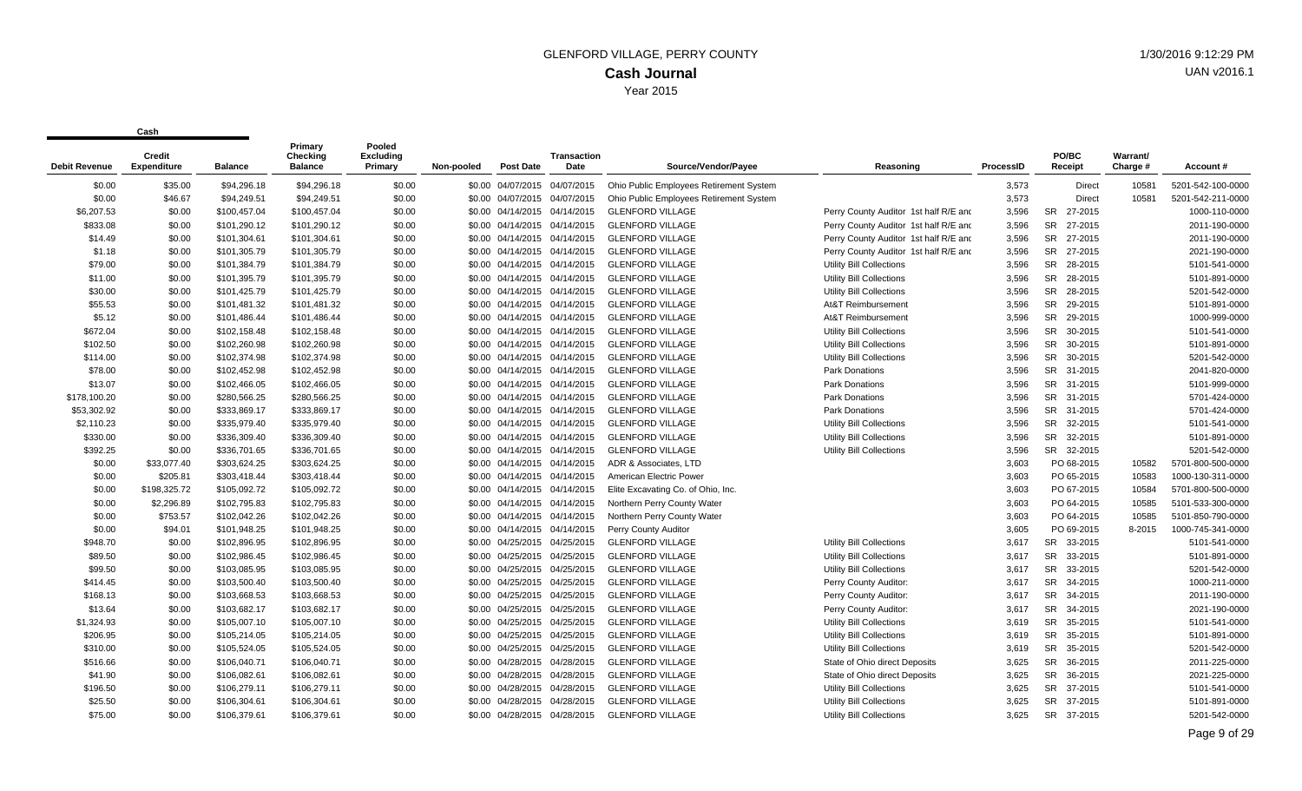| Debit Revenue | <b>Credit</b><br><b>Expenditure</b> | <b>Balance</b> | Primary<br>Checking<br><b>Balance</b> | Pooled<br><b>Excluding</b><br>Primary | Non-pooled | <b>Post Date</b>             | <b>Transaction</b><br>Date | Source/Vendor/Payee                     | Reasoning                             | ProcessID | PO/BC<br>Receipt     | Warrant/<br>Charge # | Account#          |
|---------------|-------------------------------------|----------------|---------------------------------------|---------------------------------------|------------|------------------------------|----------------------------|-----------------------------------------|---------------------------------------|-----------|----------------------|----------------------|-------------------|
| \$0.00        | \$35.00                             | \$94,296.18    | \$94,296.18                           | \$0.00                                |            | \$0.00 04/07/2015            | 04/07/2015                 | Ohio Public Employees Retirement System |                                       | 3,573     | Direct               | 10581                | 5201-542-100-0000 |
| \$0.00        | \$46.67                             | \$94,249.51    | \$94,249.51                           | \$0.00                                |            | \$0.00 04/07/2015 04/07/2015 |                            | Ohio Public Employees Retirement System |                                       | 3,573     | Direct               | 10581                | 5201-542-211-0000 |
| \$6,207.53    | \$0.00                              | \$100,457.04   | \$100,457.04                          | \$0.00                                |            | \$0.00 04/14/2015 04/14/2015 |                            | <b>GLENFORD VILLAGE</b>                 | Perry County Auditor 1st half R/E and | 3,596     | SR 27-2015           |                      | 1000-110-0000     |
| \$833.08      | \$0.00                              | \$101,290.12   | \$101,290.12                          | \$0.00                                |            | \$0.00 04/14/2015 04/14/2015 |                            | <b>GLENFORD VILLAGE</b>                 | Perry County Auditor 1st half R/E and | 3,596     | SR 27-2015           |                      | 2011-190-0000     |
| \$14.49       | \$0.00                              | \$101,304.61   | \$101,304.61                          | \$0.00                                |            | \$0.00 04/14/2015 04/14/2015 |                            | <b>GLENFORD VILLAGE</b>                 | Perry County Auditor 1st half R/E and | 3,596     | SR 27-2015           |                      | 2011-190-0000     |
| \$1.18        | \$0.00                              | \$101,305.79   | \$101,305.79                          | \$0.00                                |            | \$0.00 04/14/2015 04/14/2015 |                            | <b>GLENFORD VILLAGE</b>                 | Perry County Auditor 1st half R/E and | 3,596     | SR 27-2015           |                      | 2021-190-0000     |
| \$79.00       | \$0.00                              | \$101,384.79   | \$101,384.79                          | \$0.00                                |            | \$0.00 04/14/2015 04/14/2015 |                            | <b>GLENFORD VILLAGE</b>                 | Utility Bill Collections              | 3,596     | SR 28-2015           |                      | 5101-541-0000     |
| \$11.00       | \$0.00                              | \$101,395.79   | \$101,395.79                          | \$0.00                                |            | \$0.00 04/14/2015 04/14/2015 |                            | <b>GLENFORD VILLAGE</b>                 | <b>Utility Bill Collections</b>       | 3,596     | SR 28-2015           |                      | 5101-891-0000     |
| \$30.00       | \$0.00                              | \$101,425.79   | \$101,425.79                          | \$0.00                                |            | \$0.00 04/14/2015 04/14/2015 |                            | <b>GLENFORD VILLAGE</b>                 | <b>Utility Bill Collections</b>       | 3,596     | SR 28-2015           |                      | 5201-542-0000     |
| \$55.53       | \$0.00                              | \$101,481.32   | \$101,481.32                          | \$0.00                                |            | \$0.00 04/14/2015 04/14/2015 |                            | <b>GLENFORD VILLAGE</b>                 | At&T Reimbursement                    | 3,596     | SR 29-2015           |                      | 5101-891-0000     |
| \$5.12        | \$0.00                              | \$101,486.44   | \$101,486.44                          | \$0.00                                |            | \$0.00 04/14/2015 04/14/2015 |                            | <b>GLENFORD VILLAGE</b>                 | At&T Reimbursement                    | 3,596     | SR 29-2015           |                      | 1000-999-0000     |
| \$672.04      | \$0.00                              | \$102,158.48   | \$102,158.48                          | \$0.00                                |            | \$0.00 04/14/2015 04/14/2015 |                            | <b>GLENFORD VILLAGE</b>                 | Utility Bill Collections              | 3,596     | SR 30-2015           |                      | 5101-541-0000     |
| \$102.50      | \$0.00                              | \$102,260.98   | \$102,260.98                          | \$0.00                                |            | \$0.00 04/14/2015 04/14/2015 |                            | <b>GLENFORD VILLAGE</b>                 | <b>Utility Bill Collections</b>       | 3,596     | SR 30-2015           |                      | 5101-891-0000     |
| \$114.00      | \$0.00                              | \$102,374.98   | \$102,374.98                          | \$0.00                                |            | \$0.00 04/14/2015            | 04/14/2015                 | <b>GLENFORD VILLAGE</b>                 | <b>Utility Bill Collections</b>       | 3,596     | SR 30-2015           |                      | 5201-542-0000     |
| \$78.00       | \$0.00                              | \$102,452.98   | \$102,452.98                          | \$0.00                                |            | \$0.00 04/14/2015 04/14/2015 |                            | <b>GLENFORD VILLAGE</b>                 | Park Donations                        | 3,596     | SR 31-2015           |                      | 2041-820-0000     |
| \$13.07       | \$0.00                              | \$102,466.05   | \$102,466.05                          | \$0.00                                |            | \$0.00 04/14/2015 04/14/2015 |                            | <b>GLENFORD VILLAGE</b>                 | Park Donations                        | 3,596     | SR 31-2015           |                      | 5101-999-0000     |
| \$178,100.20  | \$0.00                              | \$280,566.25   | \$280,566.25                          | \$0.00                                |            | \$0.00 04/14/2015 04/14/2015 |                            | <b>GLENFORD VILLAGE</b>                 | <b>Park Donations</b>                 | 3,596     | SR 31-2015           |                      | 5701-424-0000     |
| \$53,302.92   | \$0.00                              | \$333,869.17   | \$333,869.17                          | \$0.00                                |            | \$0.00 04/14/2015 04/14/2015 |                            | <b>GLENFORD VILLAGE</b>                 | Park Donations                        | 3,596     | SR 31-2015           |                      | 5701-424-0000     |
| \$2,110.23    | \$0.00                              | \$335,979.40   | \$335,979.40                          | \$0.00                                |            | \$0.00 04/14/2015 04/14/2015 |                            | <b>GLENFORD VILLAGE</b>                 | <b>Utility Bill Collections</b>       | 3,596     | SR 32-2015           |                      | 5101-541-0000     |
| \$330.00      | \$0.00                              | \$336,309.40   | \$336,309.40                          | \$0.00                                |            | \$0.00 04/14/2015 04/14/2015 |                            | <b>GLENFORD VILLAGE</b>                 | <b>Utility Bill Collections</b>       | 3,596     | SR 32-2015           |                      | 5101-891-0000     |
| \$392.25      | \$0.00                              | \$336,701.65   | \$336,701.65                          | \$0.00                                |            | \$0.00 04/14/2015 04/14/2015 |                            | <b>GLENFORD VILLAGE</b>                 | <b>Utility Bill Collections</b>       | 3,596     | SR 32-2015           |                      | 5201-542-0000     |
| \$0.00        | \$33,077.40                         | \$303,624.25   | \$303,624.25                          | \$0.00                                |            | \$0.00 04/14/2015 04/14/2015 |                            | ADR & Associates, LTD                   |                                       | 3,603     | PO 68-2015           | 10582                | 5701-800-500-0000 |
| \$0.00        | \$205.81                            | \$303,418.44   | \$303,418.44                          | \$0.00                                |            | \$0.00 04/14/2015 04/14/2015 |                            | American Electric Power                 |                                       | 3,603     | PO 65-2015           | 10583                | 1000-130-311-0000 |
| \$0.00        | \$198,325.72                        | \$105,092.72   | \$105,092.72                          | \$0.00                                |            | \$0.00 04/14/2015 04/14/2015 |                            | Elite Excavating Co. of Ohio, Inc.      |                                       | 3,603     | PO 67-2015           | 10584                | 5701-800-500-0000 |
| \$0.00        | \$2,296.89                          | \$102,795.83   | \$102,795.83                          | \$0.00                                |            | \$0.00 04/14/2015 04/14/2015 |                            | Northern Perry County Water             |                                       | 3,603     | PO 64-2015           | 10585                | 5101-533-300-0000 |
| \$0.00        | \$753.57                            | \$102,042.26   | \$102,042.26                          | \$0.00                                |            | \$0.00 04/14/2015 04/14/2015 |                            | Northern Perry County Water             |                                       | 3,603     | PO 64-2015           | 10585                | 5101-850-790-0000 |
| \$0.00        | \$94.01                             | \$101,948.25   | \$101,948.25                          | \$0.00                                |            | \$0.00 04/14/2015 04/14/2015 |                            | Perry County Auditor                    |                                       | 3,605     | PO 69-2015           | 8-2015               | 1000-745-341-0000 |
| \$948.70      | \$0.00                              | \$102,896.95   | \$102,896.95                          | \$0.00                                |            | \$0.00 04/25/2015 04/25/2015 |                            | <b>GLENFORD VILLAGE</b>                 | <b>Utility Bill Collections</b>       | 3,617     | SR 33-2015           |                      | 5101-541-0000     |
| \$89.50       | \$0.00                              | \$102,986.45   | \$102,986.45                          | \$0.00                                |            | \$0.00 04/25/2015 04/25/2015 |                            | <b>GLENFORD VILLAGE</b>                 | <b>Utility Bill Collections</b>       | 3,617     | SR 33-2015           |                      | 5101-891-0000     |
| \$99.50       | \$0.00                              | \$103,085.95   | \$103,085.95                          | \$0.00                                |            | \$0.00 04/25/2015 04/25/2015 |                            | <b>GLENFORD VILLAGE</b>                 | Utility Bill Collections              | 3,617     | SR 33-2015           |                      | 5201-542-0000     |
| \$414.45      | \$0.00                              | \$103,500.40   | \$103,500.40                          | \$0.00                                |            | \$0.00 04/25/2015            | 04/25/2015                 | <b>GLENFORD VILLAGE</b>                 | Perry County Auditor:                 | 3,617     | <b>SR</b><br>34-2015 |                      | 1000-211-0000     |
| \$168.13      | \$0.00                              | \$103,668.53   | \$103,668.53                          | \$0.00                                |            | \$0.00 04/25/2015 04/25/2015 |                            | <b>GLENFORD VILLAGE</b>                 | Perry County Auditor:                 | 3,617     | SR 34-2015           |                      | 2011-190-0000     |
| \$13.64       | \$0.00                              | \$103,682.17   | \$103,682.17                          | \$0.00                                |            | \$0.00 04/25/2015 04/25/2015 |                            | <b>GLENFORD VILLAGE</b>                 | Perry County Auditor:                 | 3,617     | <b>SR</b><br>34-2015 |                      | 2021-190-0000     |
| \$1,324.93    | \$0.00                              | \$105,007.10   | \$105,007.10                          | \$0.00                                |            | \$0.00 04/25/2015            | 04/25/2015                 | <b>GLENFORD VILLAGE</b>                 | <b>Utility Bill Collections</b>       | 3,619     | <b>SR</b><br>35-2015 |                      | 5101-541-0000     |
| \$206.95      | \$0.00                              | \$105,214.05   | \$105,214.05                          | \$0.00                                |            | \$0.00 04/25/2015 04/25/2015 |                            | <b>GLENFORD VILLAGE</b>                 | <b>Utility Bill Collections</b>       | 3,619     | SR 35-2015           |                      | 5101-891-0000     |
| \$310.00      | \$0.00                              | \$105,524.05   | \$105,524.05                          | \$0.00                                |            | \$0.00 04/25/2015 04/25/2015 |                            | <b>GLENFORD VILLAGE</b>                 | <b>Utility Bill Collections</b>       | 3.619     | SR 35-2015           |                      | 5201-542-0000     |
| \$516.66      | \$0.00                              | \$106,040.71   | \$106,040.71                          | \$0.00                                |            | \$0.00 04/28/2015 04/28/2015 |                            | <b>GLENFORD VILLAGE</b>                 | State of Ohio direct Deposits         | 3,625     | SR 36-2015           |                      | 2011-225-0000     |
| \$41.90       | \$0.00                              | \$106,082.61   | \$106,082.61                          | \$0.00                                |            | \$0.00 04/28/2015 04/28/2015 |                            | <b>GLENFORD VILLAGE</b>                 | State of Ohio direct Deposits         | 3,625     | <b>SR</b><br>36-2015 |                      | 2021-225-0000     |
| \$196.50      | \$0.00                              | \$106,279.11   | \$106,279.11                          | \$0.00                                |            | \$0.00 04/28/2015 04/28/2015 |                            | <b>GLENFORD VILLAGE</b>                 | <b>Utility Bill Collections</b>       | 3,625     | SR 37-2015           |                      | 5101-541-0000     |
| \$25.50       | \$0.00                              | \$106,304.61   | \$106,304.61                          | \$0.00                                |            | \$0.00 04/28/2015 04/28/2015 |                            | <b>GLENFORD VILLAGE</b>                 | Utility Bill Collections              | 3.625     | SR 37-2015           |                      | 5101-891-0000     |
| \$75.00       | \$0.00                              | \$106.379.61   | \$106.379.61                          | \$0.00                                |            | \$0.00 04/28/2015 04/28/2015 |                            | <b>GLENFORD VILLAGE</b>                 | <b>Utility Bill Collections</b>       | 3.625     | SR 37-2015           |                      | 5201-542-0000     |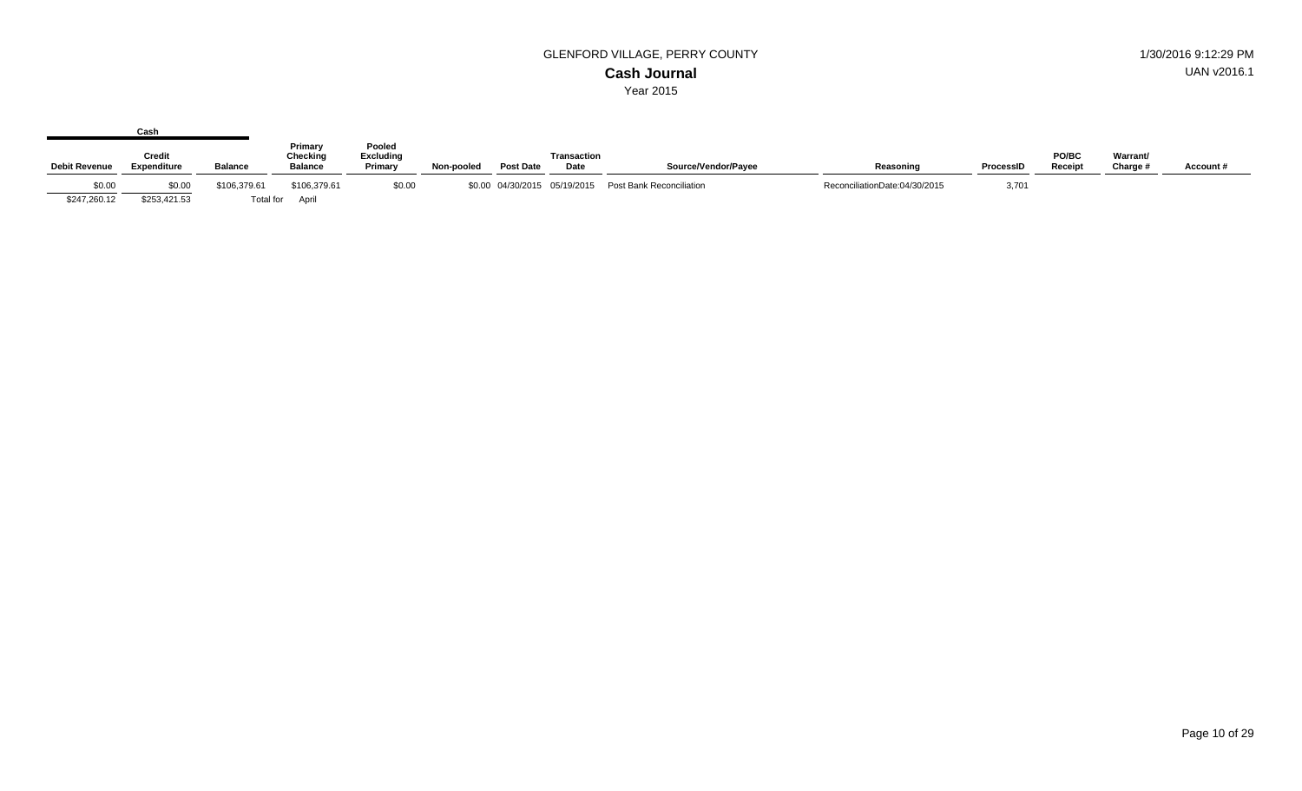|                      | Cash                                |                |                                       |                                       |            |                  |                              |                          |                               |           |                  |                      |          |
|----------------------|-------------------------------------|----------------|---------------------------------------|---------------------------------------|------------|------------------|------------------------------|--------------------------|-------------------------------|-----------|------------------|----------------------|----------|
| <b>Debit Revenue</b> | <b>Credit</b><br><b>Expenditure</b> | <b>Balance</b> | Primary<br>Checking<br><b>Balance</b> | Pooled<br><b>Excluding</b><br>Primary | Non-pooled | <b>Post Date</b> | <b>Transaction</b><br>Date   | Source/Vendor/Payee      | Reasoning                     | ProcessID | PO/BC<br>Receipt | Warrant/<br>Charge # | Account# |
| \$0.00               | \$0.00                              | \$106,379.61   | \$106,379.61                          | \$0.00                                |            |                  | \$0.00 04/30/2015 05/19/2015 | Post Bank Reconciliation | ReconciliationDate:04/30/2015 | 3,701     |                  |                      |          |
| \$247,260.12         | \$253,421.53                        |                | Total for April                       |                                       |            |                  |                              |                          |                               |           |                  |                      |          |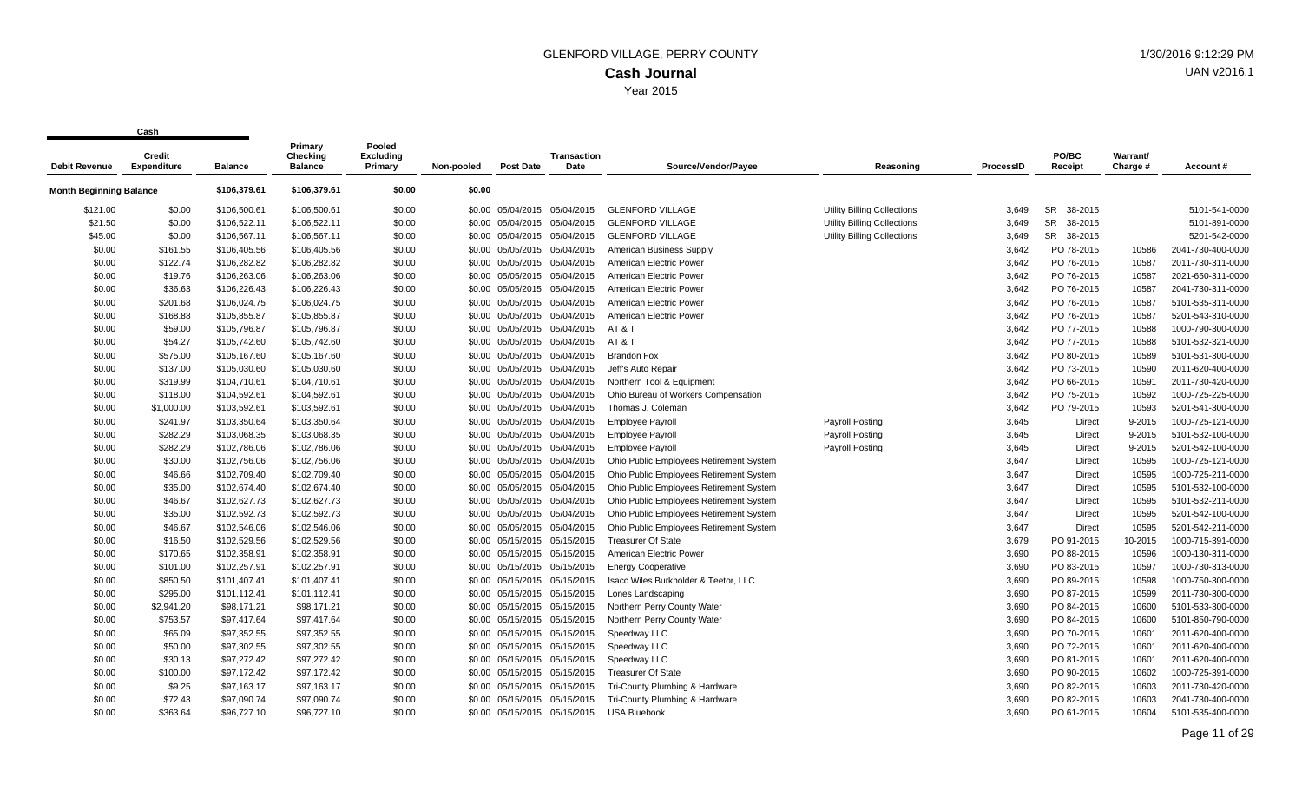| <b>Debit Revenue</b>           | Credit<br><b>Expenditure</b> | <b>Balance</b> | Primary<br>Checking<br><b>Balance</b> | Pooled<br><b>Excluding</b><br>Primary | Non-pooled | <b>Post Date</b>             | <b>Transaction</b><br>Date | Source/Vendor/Payee                     | Reasoning                          | <b>ProcessID</b> | PO/BC<br>Receipt     | Warrant/<br>Charge # | Account#          |
|--------------------------------|------------------------------|----------------|---------------------------------------|---------------------------------------|------------|------------------------------|----------------------------|-----------------------------------------|------------------------------------|------------------|----------------------|----------------------|-------------------|
| <b>Month Beginning Balance</b> |                              | \$106,379.61   | \$106,379.61                          | \$0.00                                | \$0.00     |                              |                            |                                         |                                    |                  |                      |                      |                   |
| \$121.00                       | \$0.00                       | \$106,500.61   | \$106,500.61                          | \$0.00                                |            | \$0.00 05/04/2015            | 05/04/2015                 | <b>GLENFORD VILLAGE</b>                 | <b>Utility Billing Collections</b> | 3.649            | <b>SR</b><br>38-2015 |                      | 5101-541-0000     |
| \$21.50                        | \$0.00                       | \$106,522.11   | \$106,522.11                          | \$0.00                                |            | \$0.00 05/04/2015 05/04/2015 |                            | <b>GLENFORD VILLAGE</b>                 | <b>Utility Billing Collections</b> | 3,649            | SR<br>38-2015        |                      | 5101-891-0000     |
| \$45.00                        | \$0.00                       | \$106,567.11   | \$106,567.11                          | \$0.00                                |            | \$0.00 05/04/2015            | 05/04/2015                 | <b>GLENFORD VILLAGE</b>                 | <b>Utility Billing Collections</b> | 3,649            | SR 38-2015           |                      | 5201-542-0000     |
| \$0.00                         | \$161.55                     | \$106,405.56   | \$106,405.56                          | \$0.00                                |            | \$0.00 05/05/2015            | 05/04/2015                 | American Business Supply                |                                    | 3,642            | PO 78-2015           | 10586                | 2041-730-400-0000 |
| \$0.00                         | \$122.74                     | \$106,282.82   | \$106,282.82                          | \$0.00                                |            | \$0.00 05/05/2015            | 05/04/2015                 | American Electric Power                 |                                    | 3,642            | PO 76-2015           | 10587                | 2011-730-311-0000 |
| \$0.00                         | \$19.76                      | \$106,263.06   | \$106,263.06                          | \$0.00                                | \$0.00     | 05/05/2015                   | 05/04/2015                 | American Electric Power                 |                                    | 3,642            | PO 76-2015           | 10587                | 2021-650-311-0000 |
| \$0.00                         | \$36.63                      | \$106,226.43   | \$106,226.43                          | \$0.00                                |            | \$0.00 05/05/2015 05/04/2015 |                            | American Electric Power                 |                                    | 3,642            | PO 76-2015           | 10587                | 2041-730-311-0000 |
| \$0.00                         | \$201.68                     | \$106,024.75   | \$106,024.75                          | \$0.00                                |            | \$0.00 05/05/2015 05/04/2015 |                            | American Electric Power                 |                                    | 3,642            | PO 76-2015           | 10587                | 5101-535-311-0000 |
| \$0.00                         | \$168.88                     | \$105,855.87   | \$105,855.87                          | \$0.00                                |            | \$0.00 05/05/2015            | 05/04/2015                 | American Electric Power                 |                                    | 3,642            | PO 76-2015           | 10587                | 5201-543-310-0000 |
| \$0.00                         | \$59.00                      | \$105,796.87   | \$105,796.87                          | \$0.00                                |            | \$0.00 05/05/2015 05/04/2015 |                            | AT&T                                    |                                    | 3,642            | PO 77-2015           | 10588                | 1000-790-300-0000 |
| \$0.00                         | \$54.27                      | \$105,742.60   | \$105,742.60                          | \$0.00                                |            | \$0.00 05/05/2015            | 05/04/2015                 | AT&T                                    |                                    | 3,642            | PO 77-2015           | 10588                | 5101-532-321-0000 |
| \$0.00                         | \$575.00                     | \$105,167.60   | \$105,167.60                          | \$0.00                                |            | \$0.00 05/05/2015            | 05/04/2015                 | <b>Brandon Fox</b>                      |                                    | 3,642            | PO 80-2015           | 10589                | 5101-531-300-0000 |
| \$0.00                         | \$137.00                     | \$105,030.60   | \$105,030.60                          | \$0.00                                |            | \$0.00 05/05/2015            | 05/04/2015                 | Jeff's Auto Repair                      |                                    | 3,642            | PO 73-2015           | 10590                | 2011-620-400-0000 |
| \$0.00                         | \$319.99                     | \$104,710.61   | \$104,710.61                          | \$0.00                                |            | \$0.00 05/05/2015 05/04/2015 |                            | Northern Tool & Equipment               |                                    | 3.642            | PO 66-2015           | 10591                | 2011-730-420-0000 |
| \$0.00                         | \$118.00                     | \$104,592.61   | \$104,592.61                          | \$0.00                                |            | \$0.00 05/05/2015 05/04/2015 |                            | Ohio Bureau of Workers Compensation     |                                    | 3,642            | PO 75-2015           | 10592                | 1000-725-225-0000 |
| \$0.00                         | \$1,000.00                   | \$103,592.61   | \$103,592.61                          | \$0.00                                |            | \$0.00 05/05/2015            | 05/04/2015                 | Thomas J. Coleman                       |                                    | 3,642            | PO 79-2015           | 10593                | 5201-541-300-0000 |
| \$0.00                         | \$241.97                     | \$103,350.64   | \$103,350.64                          | \$0.00                                |            | \$0.00 05/05/2015 05/04/2015 |                            | <b>Employee Payroll</b>                 | <b>Payroll Posting</b>             | 3,645            | Direct               | 9-2015               | 1000-725-121-0000 |
| \$0.00                         | \$282.29                     | \$103,068.35   | \$103,068.35                          | \$0.00                                |            | \$0.00 05/05/2015            | 05/04/2015                 | <b>Employee Payroll</b>                 | <b>Payroll Posting</b>             | 3,645            | Direct               | 9-2015               | 5101-532-100-0000 |
| \$0.00                         | \$282.29                     | \$102,786.06   | \$102,786.06                          | \$0.00                                |            | \$0.00 05/05/2015            | 05/04/2015                 | <b>Employee Payroll</b>                 | Payroll Posting                    | 3,645            | Direct               | 9-2015               | 5201-542-100-0000 |
| \$0.00                         | \$30.00                      | \$102.756.06   | \$102.756.06                          | \$0.00                                |            | \$0.00 05/05/2015 05/04/2015 |                            | Ohio Public Employees Retirement System |                                    | 3.647            | <b>Direct</b>        | 10595                | 1000-725-121-0000 |
| \$0.00                         | \$46.66                      | \$102,709.40   | \$102,709.40                          | \$0.00                                |            | \$0.00 05/05/2015 05/04/2015 |                            | Ohio Public Employees Retirement System |                                    | 3,647            | Direct               | 10595                | 1000-725-211-0000 |
| \$0.00                         | \$35.00                      | \$102,674.40   | \$102,674.40                          | \$0.00                                |            | \$0.00 05/05/2015            | 05/04/2015                 | Ohio Public Employees Retirement System |                                    | 3,647            | Direct               | 10595                | 5101-532-100-0000 |
| \$0.00                         | \$46.67                      | \$102,627.73   | \$102,627.73                          | \$0.00                                |            | \$0.00 05/05/2015            | 05/04/2015                 | Ohio Public Employees Retirement System |                                    | 3,647            | Direct               | 10595                | 5101-532-211-0000 |
| \$0.00                         | \$35.00                      | \$102,592.73   | \$102,592.73                          | \$0.00                                |            | \$0.00 05/05/2015            | 05/04/2015                 | Ohio Public Employees Retirement System |                                    | 3,647            | Direct               | 10595                | 5201-542-100-0000 |
| \$0.00                         | \$46.67                      | \$102,546.06   | \$102,546.06                          | \$0.00                                |            | \$0.00 05/05/2015 05/04/2015 |                            | Ohio Public Employees Retirement System |                                    | 3,647            | Direct               | 10595                | 5201-542-211-0000 |
| \$0.00                         | \$16.50                      | \$102,529.56   | \$102,529.56                          | \$0.00                                | \$0.00     | 05/15/2015                   | 05/15/2015                 | <b>Treasurer Of State</b>               |                                    | 3,679            | PO 91-2015           | 10-2015              | 1000-715-391-0000 |
| \$0.00                         | \$170.65                     | \$102,358.91   | \$102,358.91                          | \$0.00                                |            | \$0.00 05/15/2015 05/15/2015 |                            | American Electric Power                 |                                    | 3,690            | PO 88-2015           | 10596                | 1000-130-311-0000 |
| \$0.00                         | \$101.00                     | \$102,257.91   | \$102,257.91                          | \$0.00                                |            | \$0.00 05/15/2015 05/15/2015 |                            | <b>Energy Cooperative</b>               |                                    | 3,690            | PO 83-2015           | 10597                | 1000-730-313-0000 |
| \$0.00                         | \$850.50                     | \$101,407.41   | \$101,407.41                          | \$0.00                                |            | \$0.00 05/15/2015 05/15/2015 |                            | Isacc Wiles Burkholder & Teetor, LLC    |                                    | 3,690            | PO 89-2015           | 10598                | 1000-750-300-0000 |
| \$0.00                         | \$295.00                     | \$101,112.41   | \$101,112.41                          | \$0.00                                |            | \$0.00 05/15/2015 05/15/2015 |                            | Lones Landscaping                       |                                    | 3,690            | PO 87-2015           | 10599                | 2011-730-300-0000 |
| \$0.00                         | \$2,941.20                   | \$98,171.21    | \$98,171.21                           | \$0.00                                |            | \$0.00 05/15/2015 05/15/2015 |                            | Northern Perry County Water             |                                    | 3,690            | PO 84-2015           | 10600                | 5101-533-300-0000 |
| \$0.00                         | \$753.57                     | \$97,417.64    | \$97,417.64                           | \$0.00                                |            | \$0.00 05/15/2015            | 05/15/2015                 | Northern Perry County Water             |                                    | 3,690            | PO 84-2015           | 10600                | 5101-850-790-0000 |
| \$0.00                         | \$65.09                      | \$97.352.55    | \$97.352.55                           | \$0.00                                |            | \$0.00 05/15/2015 05/15/2015 |                            | Speedway LLC                            |                                    | 3,690            | PO 70-2015           | 10601                | 2011-620-400-0000 |
| \$0.00                         | \$50.00                      | \$97,302.55    | \$97,302.55                           | \$0.00                                |            | \$0.00 05/15/2015 05/15/2015 |                            | Speedway LLC                            |                                    | 3,690            | PO 72-2015           | 10601                | 2011-620-400-0000 |
| \$0.00                         | \$30.13                      | \$97,272.42    | \$97,272.42                           | \$0.00                                |            | \$0.00 05/15/2015 05/15/2015 |                            | Speedway LLC                            |                                    | 3,690            | PO 81-2015           | 10601                | 2011-620-400-0000 |
| \$0.00                         | \$100.00                     | \$97,172.42    | \$97,172.42                           | \$0.00                                |            | \$0.00 05/15/2015            | 05/15/2015                 | <b>Treasurer Of State</b>               |                                    | 3,690            | PO 90-2015           | 10602                | 1000-725-391-0000 |
| \$0.00                         | \$9.25                       | \$97,163.17    | \$97,163.17                           | \$0.00                                |            | \$0.00 05/15/2015 05/15/2015 |                            | Tri-County Plumbing & Hardware          |                                    | 3,690            | PO 82-2015           | 10603                | 2011-730-420-0000 |
| \$0.00                         | \$72.43                      | \$97,090.74    | \$97,090.74                           | \$0.00                                |            | \$0.00 05/15/2015            | 05/15/2015                 | Tri-County Plumbing & Hardware          |                                    | 3,690            | PO 82-2015           | 10603                | 2041-730-400-0000 |
| \$0.00                         | \$363.64                     | \$96,727.10    | \$96,727.10                           | \$0.00                                |            | \$0.00 05/15/2015            | 05/15/2015                 | <b>USA Bluebook</b>                     |                                    | 3.690            | PO 61-2015           | 10604                | 5101-535-400-0000 |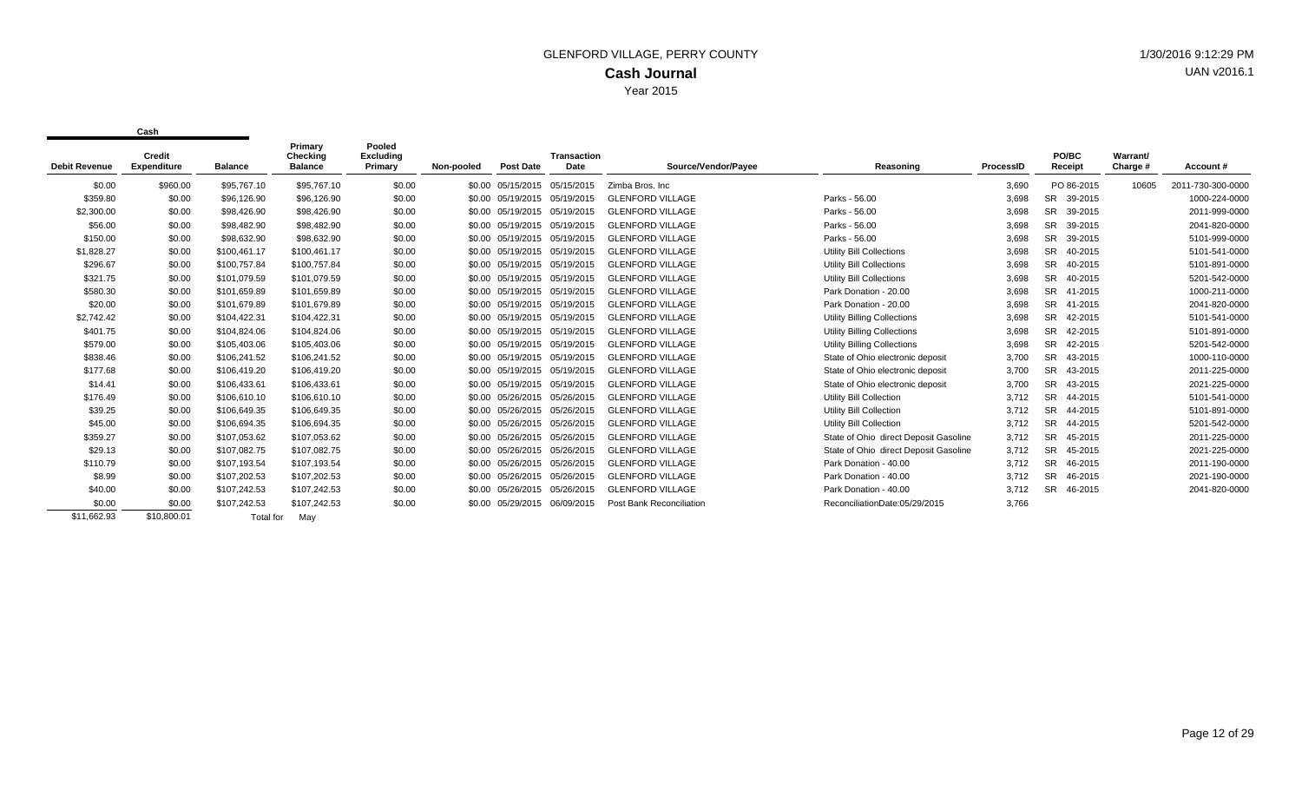| <b>Debit Revenue</b> | Credit<br><b>Expenditure</b> | <b>Balance</b> | Primary<br>Checking<br><b>Balance</b> | Pooled<br><b>Excluding</b><br>Primary | Non-pooled | <b>Post Date</b>             | <b>Transaction</b><br>Date | Source/Vendor/Payee             | Reasoning                             | ProcessID | PO/BC<br>Receipt     | Warrant/<br>Charge # | Account#          |
|----------------------|------------------------------|----------------|---------------------------------------|---------------------------------------|------------|------------------------------|----------------------------|---------------------------------|---------------------------------------|-----------|----------------------|----------------------|-------------------|
| \$0.00               | \$960.00                     | \$95,767.10    | \$95,767.10                           | \$0.00                                |            | \$0.00 05/15/2015 05/15/2015 |                            | Zimba Bros, Inc                 |                                       | 3,690     | PO 86-2015           | 10605                | 2011-730-300-0000 |
| \$359.80             | \$0.00                       | \$96,126.90    | \$96,126.90                           | \$0.00                                |            | \$0.00 05/19/2015            | 05/19/2015                 | <b>GLENFORD VILLAGE</b>         | Parks - 56.00                         | 3,698     | <b>SR</b><br>39-2015 |                      | 1000-224-0000     |
| \$2,300.00           | \$0.00                       | \$98,426.90    | \$98,426.90                           | \$0.00                                |            | \$0.00 05/19/2015 05/19/2015 |                            | <b>GLENFORD VILLAGE</b>         | Parks - 56.00                         | 3,698     | <b>SR</b><br>39-2015 |                      | 2011-999-0000     |
| \$56.00              | \$0.00                       | \$98,482.90    | \$98,482.90                           | \$0.00                                |            | \$0.00 05/19/2015 05/19/2015 |                            | <b>GLENFORD VILLAGE</b>         | Parks - 56.00                         | 3,698     | <b>SR</b><br>39-2015 |                      | 2041-820-0000     |
| \$150.00             | \$0.00                       | \$98,632.90    | \$98,632.90                           | \$0.00                                |            | \$0.00 05/19/2015 05/19/2015 |                            | <b>GLENFORD VILLAGE</b>         | Parks - 56.00                         | 3,698     | <b>SR</b><br>39-2015 |                      | 5101-999-0000     |
| \$1,828.27           | \$0.00                       | \$100,461.17   | \$100,461.17                          | \$0.00                                |            | \$0.00 05/19/2015            | 05/19/2015                 | <b>GLENFORD VILLAGE</b>         | Utility Bill Collections              | 3,698     | <b>SR</b><br>40-2015 |                      | 5101-541-0000     |
| \$296.67             | \$0.00                       | \$100.757.84   | \$100,757.84                          | \$0.00                                |            | \$0.00 05/19/2015            | 05/19/2015                 | <b>GLENFORD VILLAGE</b>         | Utility Bill Collections              | 3,698     | <b>SR</b><br>40-2015 |                      | 5101-891-0000     |
| \$321.75             | \$0.00                       | \$101,079.59   | \$101,079.59                          | \$0.00                                |            | \$0.00 05/19/2015 05/19/2015 |                            | <b>GLENFORD VILLAGE</b>         | Utility Bill Collections              | 3,698     | <b>SR</b><br>40-2015 |                      | 5201-542-0000     |
| \$580.30             | \$0.00                       | \$101,659.89   | \$101,659.89                          | \$0.00                                |            | \$0.00 05/19/2015 05/19/2015 |                            | <b>GLENFORD VILLAGE</b>         | Park Donation - 20.00                 | 3,698     | <b>SR</b><br>41-2015 |                      | 1000-211-0000     |
| \$20.00              | \$0.00                       | \$101,679.89   | \$101,679.89                          | \$0.00                                |            | \$0.00 05/19/2015 05/19/2015 |                            | <b>GLENFORD VILLAGE</b>         | Park Donation - 20.00                 | 3,698     | SR<br>41-2015        |                      | 2041-820-0000     |
| \$2,742.42           | \$0.00                       | \$104,422.31   | \$104,422.31                          | \$0.00                                |            | \$0.00 05/19/2015 05/19/2015 |                            | <b>GLENFORD VILLAGE</b>         | <b>Utility Billing Collections</b>    | 3,698     | SR 42-2015           |                      | 5101-541-0000     |
| \$401.75             | \$0.00                       | \$104.824.06   | \$104,824.06                          | \$0.00                                |            | \$0.00 05/19/2015            | 05/19/2015                 | <b>GLENFORD VILLAGE</b>         | <b>Utility Billing Collections</b>    | 3,698     | <b>SR</b><br>42-2015 |                      | 5101-891-0000     |
| \$579.00             | \$0.00                       | \$105,403.06   | \$105,403.06                          | \$0.00                                |            | \$0.00 05/19/2015 05/19/2015 |                            | <b>GLENFORD VILLAGE</b>         | <b>Utility Billing Collections</b>    | 3,698     | <b>SR</b><br>42-2015 |                      | 5201-542-0000     |
| \$838.46             | \$0.00                       | \$106.241.52   | \$106,241.52                          | \$0.00                                |            | \$0.00 05/19/2015 05/19/2015 |                            | <b>GLENFORD VILLAGE</b>         | State of Ohio electronic deposit      | 3,700     | <b>SR</b><br>43-2015 |                      | 1000-110-0000     |
| \$177.68             | \$0.00                       | \$106.419.20   | \$106,419.20                          | \$0.00                                |            | \$0.00 05/19/2015 05/19/2015 |                            | <b>GLENFORD VILLAGE</b>         | State of Ohio electronic deposit      | 3,700     | <b>SR</b><br>43-2015 |                      | 2011-225-0000     |
| \$14.41              | \$0.00                       | \$106,433.61   | \$106,433.61                          | \$0.00                                |            | \$0.00 05/19/2015            | 05/19/2015                 | <b>GLENFORD VILLAGE</b>         | State of Ohio electronic deposit      | 3,700     | <b>SR</b><br>43-2015 |                      | 2021-225-0000     |
| \$176.49             | \$0.00                       | \$106,610.10   | \$106,610.10                          | \$0.00                                |            | \$0.00 05/26/2015            | 05/26/2015                 | <b>GLENFORD VILLAGE</b>         | Utility Bill Collection               | 3,712     | <b>SR</b><br>44-2015 |                      | 5101-541-0000     |
| \$39.25              | \$0.00                       | \$106,649.35   | \$106,649.35                          | \$0.00                                |            | \$0.00 05/26/2015            | 05/26/2015                 | <b>GLENFORD VILLAGE</b>         | Utility Bill Collection               | 3,712     | <b>SR</b><br>44-2015 |                      | 5101-891-0000     |
| \$45.00              | \$0.00                       | \$106,694.35   | \$106,694.35                          | \$0.00                                |            | \$0.00 05/26/2015            | 05/26/2015                 | <b>GLENFORD VILLAGE</b>         | Utility Bill Collection               | 3,712     | <b>SR</b><br>44-2015 |                      | 5201-542-0000     |
| \$359.27             | \$0.00                       | \$107,053.62   | \$107,053.62                          | \$0.00                                |            | \$0.00 05/26/2015            | 05/26/2015                 | <b>GLENFORD VILLAGE</b>         | State of Ohio direct Deposit Gasoline | 3,712     | <b>SR</b><br>45-2015 |                      | 2011-225-0000     |
| \$29.13              | \$0.00                       | \$107,082.75   | \$107,082.75                          | \$0.00                                |            | \$0.00 05/26/2015            | 05/26/2015                 | <b>GLENFORD VILLAGE</b>         | State of Ohio direct Deposit Gasoline | 3,712     | <b>SR</b><br>45-2015 |                      | 2021-225-0000     |
| \$110.79             | \$0.00                       | \$107,193.54   | \$107,193.54                          | \$0.00                                |            | \$0.00 05/26/2015            | 05/26/2015                 | <b>GLENFORD VILLAGE</b>         | Park Donation - 40.00                 | 3,712     | <b>SR</b><br>46-2015 |                      | 2011-190-0000     |
| \$8.99               | \$0.00                       | \$107,202.53   | \$107,202.53                          | \$0.00                                |            | \$0.00 05/26/2015            | 05/26/2015                 | <b>GLENFORD VILLAGE</b>         | Park Donation - 40.00                 | 3,712     | <b>SR</b><br>46-2015 |                      | 2021-190-0000     |
| \$40.00              | \$0.00                       | \$107.242.53   | \$107,242.53                          | \$0.00                                |            | \$0.00 05/26/2015            | 05/26/2015                 | <b>GLENFORD VILLAGE</b>         | Park Donation - 40.00                 | 3,712     | <b>SR</b><br>46-2015 |                      | 2041-820-0000     |
| \$0.00               | \$0.00                       | \$107,242.53   | \$107,242.53                          | \$0.00                                |            | \$0.00 05/29/2015            | 06/09/2015                 | <b>Post Bank Reconciliation</b> | ReconciliationDate:05/29/2015         | 3,766     |                      |                      |                   |
| \$11.662.93          | \$10.800.01                  | Total for      | Mav                                   |                                       |            |                              |                            |                                 |                                       |           |                      |                      |                   |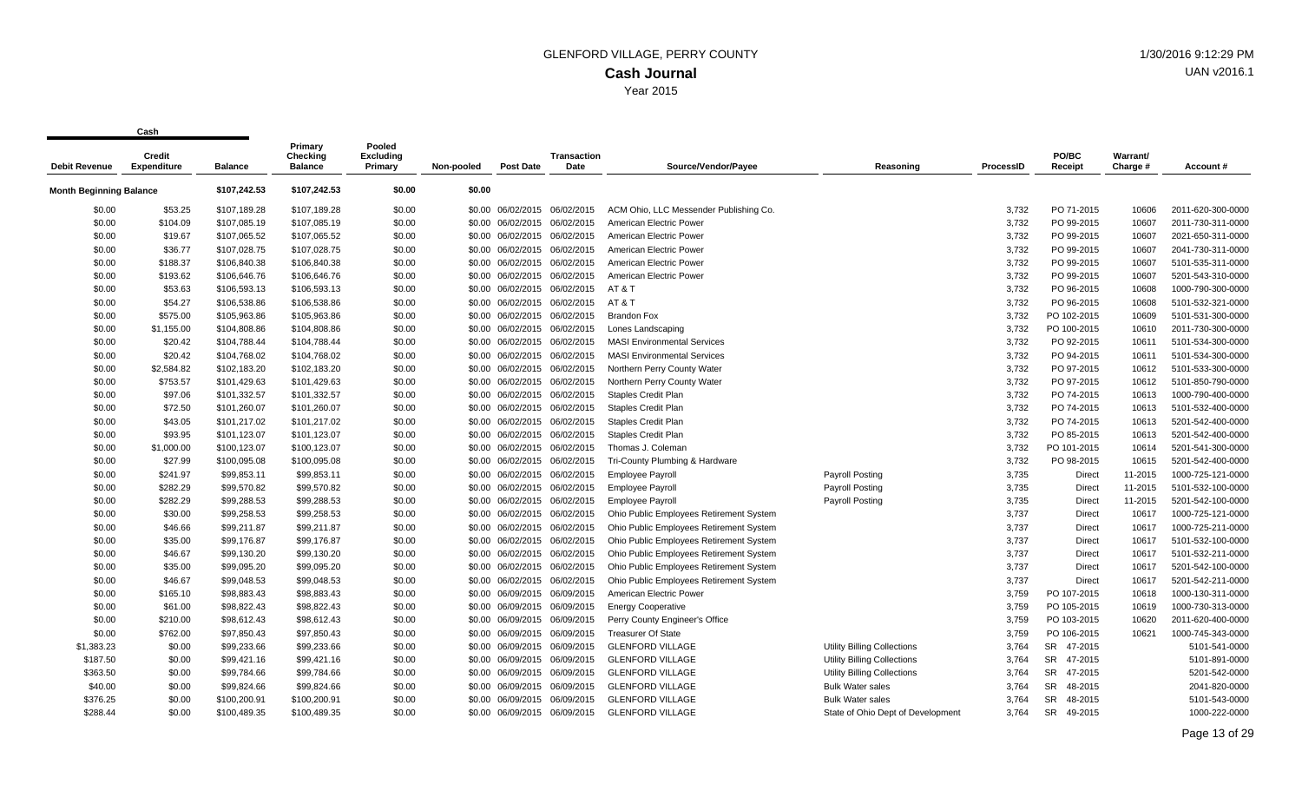| <b>Debit Revenue</b>           | <b>Credit</b><br><b>Expenditure</b> | <b>Balance</b> | Primary<br>Checking<br><b>Balance</b> | Pooled<br>Excluding<br>Primary | Non-pooled | <b>Post Date</b>             | <b>Transaction</b><br>Date | Source/Vendor/Payee                     | Reasoning                          | <b>ProcessID</b> | PO/BC<br>Receipt     | Warrant/<br>Charge # | Account #         |
|--------------------------------|-------------------------------------|----------------|---------------------------------------|--------------------------------|------------|------------------------------|----------------------------|-----------------------------------------|------------------------------------|------------------|----------------------|----------------------|-------------------|
| <b>Month Beginning Balance</b> |                                     | \$107,242.53   | \$107,242.53                          | \$0.00                         | \$0.00     |                              |                            |                                         |                                    |                  |                      |                      |                   |
| \$0.00                         | \$53.25                             | \$107,189.28   | \$107,189.28                          | \$0.00                         |            | \$0.00 06/02/2015 06/02/2015 |                            | ACM Ohio, LLC Messender Publishing Co.  |                                    | 3,732            | PO 71-2015           | 10606                | 2011-620-300-0000 |
| \$0.00                         | \$104.09                            | \$107,085.19   | \$107,085.19                          | \$0.00                         |            | \$0.00 06/02/2015            | 06/02/2015                 | American Electric Power                 |                                    | 3,732            | PO 99-2015           | 10607                | 2011-730-311-0000 |
| \$0.00                         | \$19.67                             | \$107,065.52   | \$107,065.52                          | \$0.00                         |            | \$0.00 06/02/2015 06/02/2015 |                            | American Electric Power                 |                                    | 3,732            | PO 99-2015           | 10607                | 2021-650-311-0000 |
| \$0.00                         | \$36.77                             | \$107,028.75   | \$107,028.75                          | \$0.00                         |            | \$0.00 06/02/2015            | 06/02/2015                 | American Electric Power                 |                                    | 3,732            | PO 99-2015           | 10607                | 2041-730-311-0000 |
| \$0.00                         | \$188.37                            | \$106,840.38   | \$106,840.38                          | \$0.00                         | \$0.00     | 06/02/2015                   | 06/02/2015                 | American Electric Power                 |                                    | 3,732            | PO 99-2015           | 10607                | 5101-535-311-0000 |
| \$0.00                         | \$193.62                            | \$106,646.76   | \$106,646.76                          | \$0.00                         |            | \$0.00 06/02/2015 06/02/2015 |                            | American Electric Power                 |                                    | 3,732            | PO 99-2015           | 10607                | 5201-543-310-0000 |
| \$0.00                         | \$53.63                             | \$106,593.13   | \$106,593.13                          | \$0.00                         |            | \$0.00 06/02/2015 06/02/2015 |                            | AT & T                                  |                                    | 3,732            | PO 96-2015           | 10608                | 1000-790-300-0000 |
| \$0.00                         | \$54.27                             | \$106,538.86   | \$106,538.86                          | \$0.00                         |            | \$0.00 06/02/2015            | 06/02/2015                 | AT&T                                    |                                    | 3,732            | PO 96-2015           | 10608                | 5101-532-321-0000 |
| \$0.00                         | \$575.00                            | \$105,963.86   | \$105,963.86                          | \$0.00                         |            | \$0.00 06/02/2015 06/02/2015 |                            | <b>Brandon Fox</b>                      |                                    | 3,732            | PO 102-2015          | 10609                | 5101-531-300-0000 |
| \$0.00                         | \$1,155.00                          | \$104,808.86   | \$104,808.86                          | \$0.00                         |            | \$0.00 06/02/2015 06/02/2015 |                            | Lones Landscaping                       |                                    | 3,732            | PO 100-2015          | 10610                | 2011-730-300-0000 |
| \$0.00                         | \$20.42                             | \$104,788.44   | \$104,788.44                          | \$0.00                         |            | \$0.00 06/02/2015 06/02/2015 |                            | <b>MASI Environmental Services</b>      |                                    | 3,732            | PO 92-2015           | 10611                | 5101-534-300-0000 |
| \$0.00                         | \$20.42                             | \$104,768.02   | \$104,768.02                          | \$0.00                         |            | \$0.00 06/02/2015            | 06/02/2015                 | <b>MASI Environmental Services</b>      |                                    | 3,732            | PO 94-2015           | 10611                | 5101-534-300-0000 |
| \$0.00                         | \$2,584.82                          | \$102,183.20   | \$102,183.20                          | \$0.00                         |            | \$0.00 06/02/2015 06/02/2015 |                            | Northern Perry County Water             |                                    | 3,732            | PO 97-2015           | 10612                | 5101-533-300-0000 |
| \$0.00                         | \$753.57                            | \$101,429.63   | \$101,429.63                          | \$0.00                         |            | \$0.00 06/02/2015 06/02/2015 |                            | Northern Perry County Water             |                                    | 3,732            | PO 97-2015           | 10612                | 5101-850-790-0000 |
| \$0.00                         | \$97.06                             | \$101,332.57   | \$101,332.57                          | \$0.00                         |            | \$0.00 06/02/2015            | 06/02/2015                 | <b>Staples Credit Plan</b>              |                                    | 3,732            | PO 74-2015           | 10613                | 1000-790-400-0000 |
| \$0.00                         | \$72.50                             | \$101,260.07   | \$101,260.07                          | \$0.00                         |            | \$0.00 06/02/2015 06/02/2015 |                            | Staples Credit Plan                     |                                    | 3,732            | PO 74-2015           | 10613                | 5101-532-400-0000 |
| \$0.00                         | \$43.05                             | \$101,217.02   | \$101,217.02                          | \$0.00                         |            | \$0.00 06/02/2015 06/02/2015 |                            | <b>Staples Credit Plan</b>              |                                    | 3,732            | PO 74-2015           | 10613                | 5201-542-400-0000 |
| \$0.00                         | \$93.95                             | \$101,123.07   | \$101,123.07                          | \$0.00                         |            | \$0.00 06/02/2015            | 06/02/2015                 | <b>Staples Credit Plan</b>              |                                    | 3,732            | PO 85-2015           | 10613                | 5201-542-400-0000 |
| \$0.00                         | \$1,000.00                          | \$100,123.07   | \$100,123.07                          | \$0.00                         |            | \$0.00 06/02/2015 06/02/2015 |                            | Thomas J. Coleman                       |                                    | 3,732            | PO 101-2015          | 10614                | 5201-541-300-0000 |
| \$0.00                         | \$27.99                             | \$100,095.08   | \$100,095.08                          | \$0.00                         |            | \$0.00 06/02/2015 06/02/2015 |                            | Tri-County Plumbing & Hardware          |                                    | 3,732            | PO 98-2015           | 10615                | 5201-542-400-0000 |
| \$0.00                         | \$241.97                            | \$99,853.11    | \$99,853.11                           | \$0.00                         |            | \$0.00 06/02/2015 06/02/2015 |                            | <b>Employee Payroll</b>                 | <b>Payroll Posting</b>             | 3,735            | Direct               | 11-2015              | 1000-725-121-0000 |
| \$0.00                         | \$282.29                            | \$99,570.82    | \$99,570.82                           | \$0.00                         |            | \$0.00 06/02/2015            | 06/02/2015                 | <b>Employee Payroll</b>                 | Payroll Posting                    | 3,735            | Direct               | 11-2015              | 5101-532-100-0000 |
| \$0.00                         | \$282.29                            | \$99,288.53    | \$99,288.53                           | \$0.00                         |            | \$0.00 06/02/2015 06/02/2015 |                            | <b>Employee Payroll</b>                 | Payroll Posting                    | 3,735            | Direct               | 11-2015              | 5201-542-100-0000 |
| \$0.00                         | \$30.00                             | \$99,258.53    | \$99,258.53                           | \$0.00                         |            | \$0.00 06/02/2015 06/02/2015 |                            | Ohio Public Employees Retirement System |                                    | 3,737            | Direct               | 10617                | 1000-725-121-0000 |
| \$0.00                         | \$46.66                             | \$99,211.87    | \$99,211.87                           | \$0.00                         |            | \$0.00 06/02/2015            | 06/02/2015                 | Ohio Public Employees Retirement System |                                    | 3,737            | Direct               | 10617                | 1000-725-211-0000 |
| \$0.00                         | \$35.00                             | \$99,176.87    | \$99,176.87                           | \$0.00                         |            | \$0.00 06/02/2015 06/02/2015 |                            | Ohio Public Employees Retirement System |                                    | 3,737            | Direct               | 10617                | 5101-532-100-0000 |
| \$0.00                         | \$46.67                             | \$99,130.20    | \$99,130.20                           | \$0.00                         |            | \$0.00 06/02/2015 06/02/2015 |                            | Ohio Public Employees Retirement System |                                    | 3,737            | Direct               | 10617                | 5101-532-211-0000 |
| \$0.00                         | \$35.00                             | \$99,095.20    | \$99,095.20                           | \$0.00                         |            | \$0.00 06/02/2015 06/02/2015 |                            | Ohio Public Employees Retirement System |                                    | 3,737            | <b>Direct</b>        | 10617                | 5201-542-100-0000 |
| \$0.00                         | \$46.67                             | \$99,048.53    | \$99,048.53                           | \$0.00                         |            | \$0.00 06/02/2015 06/02/2015 |                            | Ohio Public Employees Retirement System |                                    | 3,737            | <b>Direct</b>        | 10617                | 5201-542-211-0000 |
| \$0.00                         | \$165.10                            | \$98,883.43    | \$98,883.43                           | \$0.00                         |            | \$0.00 06/09/2015 06/09/2015 |                            | American Electric Power                 |                                    | 3,759            | PO 107-2015          | 10618                | 1000-130-311-0000 |
| \$0.00                         | \$61.00                             | \$98,822.43    | \$98,822.43                           | \$0.00                         |            | \$0.00 06/09/2015            | 06/09/2015                 | <b>Energy Cooperative</b>               |                                    | 3,759            | PO 105-2015          | 10619                | 1000-730-313-0000 |
| \$0.00                         | \$210.00                            | \$98,612.43    | \$98,612.43                           | \$0.00                         |            | \$0.00 06/09/2015            | 06/09/2015                 | Perry County Engineer's Office          |                                    | 3,759            | PO 103-2015          | 10620                | 2011-620-400-0000 |
| \$0.00                         | \$762.00                            | \$97,850.43    | \$97,850.43                           | \$0.00                         |            | \$0.00 06/09/2015 06/09/2015 |                            | <b>Treasurer Of State</b>               |                                    | 3,759            | PO 106-2015          | 10621                | 1000-745-343-0000 |
| \$1,383.23                     | \$0.00                              | \$99,233.66    | \$99,233.66                           | \$0.00                         |            | \$0.00 06/09/2015 06/09/2015 |                            | <b>GLENFORD VILLAGE</b>                 | <b>Utility Billing Collections</b> | 3,764            | SR 47-2015           |                      | 5101-541-0000     |
| \$187.50                       | \$0.00                              | \$99,421.16    | \$99,421.16                           | \$0.00                         |            | \$0.00 06/09/2015            | 06/09/2015                 | <b>GLENFORD VILLAGE</b>                 | <b>Utility Billing Collections</b> | 3,764            | SR 47-2015           |                      | 5101-891-0000     |
| \$363.50                       | \$0.00                              | \$99,784.66    | \$99,784.66                           | \$0.00                         |            | \$0.00 06/09/2015 06/09/2015 |                            | <b>GLENFORD VILLAGE</b>                 | <b>Utility Billing Collections</b> | 3,764            | 47-2015<br><b>SR</b> |                      | 5201-542-0000     |
| \$40.00                        | \$0.00                              | \$99,824.66    | \$99,824.66                           | \$0.00                         |            | \$0.00 06/09/2015            | 06/09/2015                 | <b>GLENFORD VILLAGE</b>                 | <b>Bulk Water sales</b>            | 3,764            | <b>SR</b><br>48-2015 |                      | 2041-820-0000     |
| \$376.25                       | \$0.00                              | \$100,200.91   | \$100,200.91                          | \$0.00                         |            | \$0.00 06/09/2015            | 06/09/2015                 | <b>GLENFORD VILLAGE</b>                 | <b>Bulk Water sales</b>            | 3.764            | <b>SR</b><br>48-2015 |                      | 5101-543-0000     |
| \$288.44                       | \$0.00                              | \$100,489.35   | \$100,489.35                          | \$0.00                         |            | \$0.00 06/09/2015 06/09/2015 |                            | <b>GLENFORD VILLAGE</b>                 | State of Ohio Dept of Development  | 3.764            | <b>SR</b><br>49-2015 |                      | 1000-222-0000     |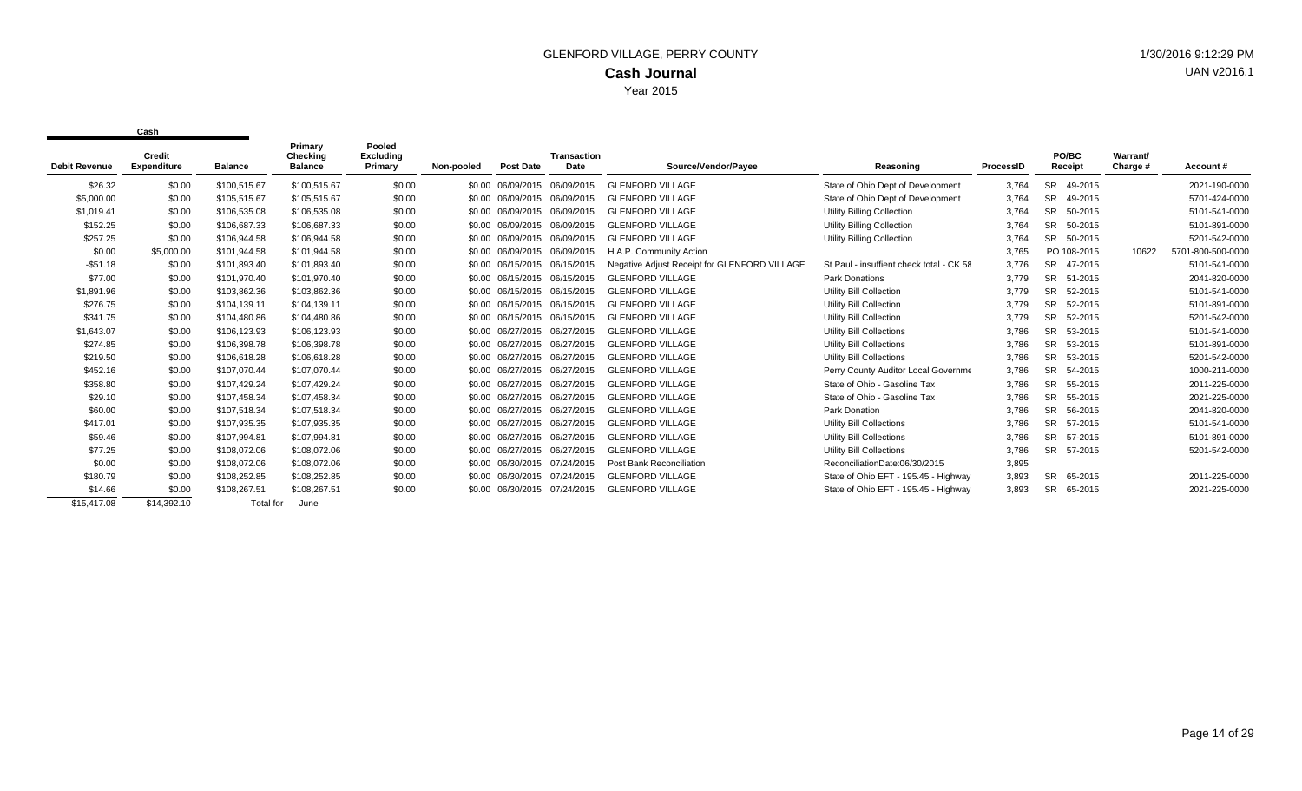|                      | Credit             |                | Primary<br>Checking | Pooled<br>Excluding |            |                              | <b>Transaction</b> |                                              |                                          |           | PO/BC                | Warrant/ |                   |
|----------------------|--------------------|----------------|---------------------|---------------------|------------|------------------------------|--------------------|----------------------------------------------|------------------------------------------|-----------|----------------------|----------|-------------------|
| <b>Debit Revenue</b> | <b>Expenditure</b> | <b>Balance</b> | <b>Balance</b>      | Primary             | Non-pooled | <b>Post Date</b>             | Date               | Source/Vendor/Payee                          | Reasoning                                | ProcessID | Receipt              | Charge # | Account#          |
| \$26.32              | \$0.00             | \$100,515.67   | \$100,515.67        | \$0.00              |            | \$0.00 06/09/2015            | 06/09/2015         | <b>GLENFORD VILLAGE</b>                      | State of Ohio Dept of Development        | 3,764     | <b>SR</b><br>49-2015 |          | 2021-190-0000     |
| \$5,000.00           | \$0.00             | \$105.515.67   | \$105,515.67        | \$0.00              |            | \$0.00 06/09/2015            | 06/09/2015         | <b>GLENFORD VILLAGE</b>                      | State of Ohio Dept of Development        | 3.764     | SR.<br>49-2015       |          | 5701-424-0000     |
| \$1,019.41           | \$0.00             | \$106,535.08   | \$106,535.08        | \$0.00              |            | \$0.00 06/09/2015            | 06/09/2015         | <b>GLENFORD VILLAGE</b>                      | Utility Billing Collection               | 3,764     | SR.<br>50-2015       |          | 5101-541-0000     |
| \$152.25             | \$0.00             | \$106.687.33   | \$106.687.33        | \$0.00              |            | \$0.00 06/09/2015            | 06/09/2015         | <b>GLENFORD VILLAGE</b>                      | <b>Utility Billing Collection</b>        | 3.764     | <b>SR</b><br>50-2015 |          | 5101-891-0000     |
| \$257.25             | \$0.00             | \$106,944.58   | \$106,944.58        | \$0.00              |            | \$0.00 06/09/2015 06/09/2015 |                    | <b>GLENFORD VILLAGE</b>                      | <b>Utility Billing Collection</b>        | 3,764     | <b>SR</b><br>50-2015 |          | 5201-542-0000     |
| \$0.00               | \$5,000.00         | \$101,944.58   | \$101,944.58        | \$0.00              |            | \$0.00 06/09/2015 06/09/2015 |                    | H.A.P. Community Action                      |                                          | 3,765     | PO 108-2015          | 10622    | 5701-800-500-0000 |
| $-$51.18$            | \$0.00             | \$101.893.40   | \$101,893.40        | \$0.00              |            | \$0.00 06/15/2015 06/15/2015 |                    | Negative Adjust Receipt for GLENFORD VILLAGE | St Paul - insuffient check total - CK 58 | 3,776     | 47-2015<br><b>SR</b> |          | 5101-541-0000     |
| \$77.00              | \$0.00             | \$101,970.40   | \$101,970.40        | \$0.00              |            | \$0.00 06/15/2015 06/15/2015 |                    | <b>GLENFORD VILLAGE</b>                      | <b>Park Donations</b>                    | 3,779     | <b>SR</b><br>51-2015 |          | 2041-820-0000     |
| \$1,891.96           | \$0.00             | \$103,862.36   | \$103,862.36        | \$0.00              |            | \$0.00 06/15/2015 06/15/2015 |                    | <b>GLENFORD VILLAGE</b>                      | Utility Bill Collection                  | 3,779     | SR.<br>52-2015       |          | 5101-541-0000     |
| \$276.75             | \$0.00             | \$104.139.11   | \$104,139.11        | \$0.00              |            | \$0.00 06/15/2015 06/15/2015 |                    | <b>GLENFORD VILLAGE</b>                      | Utility Bill Collection                  | 3,779     | <b>SR</b><br>52-2015 |          | 5101-891-0000     |
| \$341.75             | \$0.00             | \$104,480.86   | \$104,480.86        | \$0.00              |            | \$0.00 06/15/2015 06/15/2015 |                    | <b>GLENFORD VILLAGE</b>                      | Utility Bill Collection                  | 3,779     | <b>SR</b><br>52-2015 |          | 5201-542-0000     |
| \$1,643.07           | \$0.00             | \$106.123.93   | \$106,123.93        | \$0.00              |            | \$0.00 06/27/2015 06/27/2015 |                    | <b>GLENFORD VILLAGE</b>                      | <b>Utility Bill Collections</b>          | 3.786     | SR.<br>53-2015       |          | 5101-541-0000     |
| \$274.85             | \$0.00             | \$106,398.78   | \$106,398.78        | \$0.00              |            | \$0.00 06/27/2015 06/27/2015 |                    | <b>GLENFORD VILLAGE</b>                      | <b>Utility Bill Collections</b>          | 3,786     | <b>SR</b><br>53-2015 |          | 5101-891-0000     |
| \$219.50             | \$0.00             | \$106.618.28   | \$106,618.28        | \$0.00              |            | \$0.00 06/27/2015 06/27/2015 |                    | <b>GLENFORD VILLAGE</b>                      | <b>Utility Bill Collections</b>          | 3,786     | <b>SR</b><br>53-2015 |          | 5201-542-0000     |
| \$452.16             | \$0.00             | \$107,070.44   | \$107,070.44        | \$0.00              |            | \$0.00 06/27/2015 06/27/2015 |                    | <b>GLENFORD VILLAGE</b>                      | Perry County Auditor Local Governme      | 3,786     | <b>SR</b><br>54-2015 |          | 1000-211-0000     |
| \$358.80             | \$0.00             | \$107,429.24   | \$107,429.24        | \$0.00              |            | \$0.00 06/27/2015 06/27/2015 |                    | <b>GLENFORD VILLAGE</b>                      | State of Ohio - Gasoline Tax             | 3,786     | <b>SR</b><br>55-2015 |          | 2011-225-0000     |
| \$29.10              | \$0.00             | \$107.458.34   | \$107,458.34        | \$0.00              |            | \$0.00 06/27/2015 06/27/2015 |                    | <b>GLENFORD VILLAGE</b>                      | State of Ohio - Gasoline Tax             | 3,786     | <b>SR</b><br>55-2015 |          | 2021-225-0000     |
| \$60.00              | \$0.00             | \$107,518.34   | \$107,518.34        | \$0.00              |            | \$0.00 06/27/2015            | 06/27/2015         | <b>GLENFORD VILLAGE</b>                      | Park Donation                            | 3,786     | SR.<br>56-2015       |          | 2041-820-0000     |
| \$417.01             | \$0.00             | \$107.935.35   | \$107,935.35        | \$0.00              |            | \$0.00 06/27/2015            | 06/27/2015         | <b>GLENFORD VILLAGE</b>                      | <b>Utility Bill Collections</b>          | 3.786     | <b>SR</b><br>57-2015 |          | 5101-541-0000     |
| \$59.46              | \$0.00             | \$107,994.81   | \$107,994.81        | \$0.00              |            | \$0.00 06/27/2015 06/27/2015 |                    | <b>GLENFORD VILLAGE</b>                      | <b>Utility Bill Collections</b>          | 3,786     | <b>SR</b><br>57-2015 |          | 5101-891-0000     |
| \$77.25              | \$0.00             | \$108,072.06   | \$108,072.06        | \$0.00              |            | \$0.00 06/27/2015            | 06/27/2015         | <b>GLENFORD VILLAGE</b>                      | Utility Bill Collections                 | 3,786     | SR 57-2015           |          | 5201-542-0000     |
| \$0.00               | \$0.00             | \$108,072.06   | \$108,072.06        | \$0.00              |            | \$0.00 06/30/2015            | 07/24/2015         | Post Bank Reconciliation                     | ReconciliationDate:06/30/2015            | 3,895     |                      |          |                   |
| \$180.79             | \$0.00             | \$108,252.85   | \$108,252.85        | \$0.00              |            | \$0.00 06/30/2015 07/24/2015 |                    | <b>GLENFORD VILLAGE</b>                      | State of Ohio EFT - 195.45 - Highway     | 3,893     | <b>SR</b><br>65-2015 |          | 2011-225-0000     |
| \$14.66              | \$0.00             | \$108,267.51   | \$108,267.51        | \$0.00              |            | \$0.00 06/30/2015 07/24/2015 |                    | <b>GLENFORD VILLAGE</b>                      | State of Ohio EFT - 195.45 - Highway     | 3,893     | SR.<br>65-2015       |          | 2021-225-0000     |
| \$15,417.08          | \$14,392.10        | Total for      | June                |                     |            |                              |                    |                                              |                                          |           |                      |          |                   |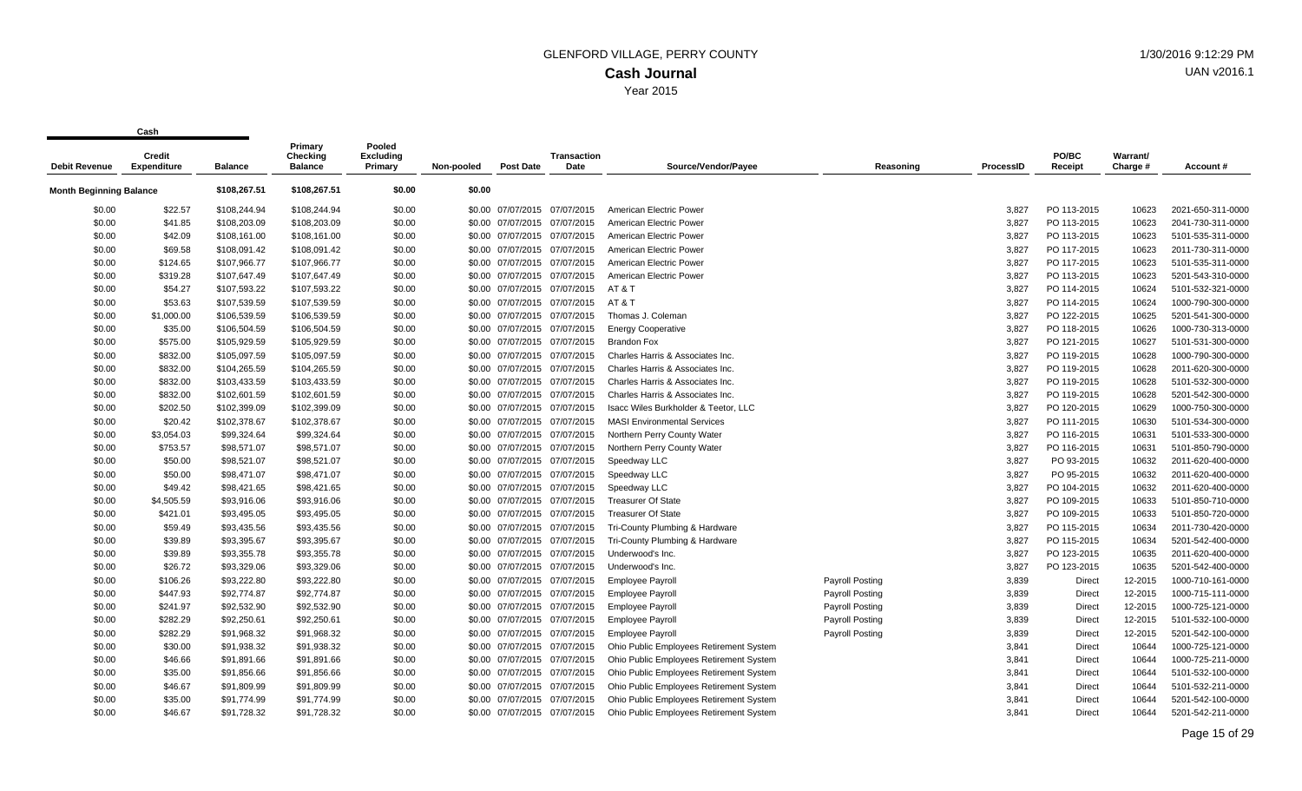| <b>Debit Revenue</b>           | <b>Credit</b><br><b>Expenditure</b> | <b>Balance</b> | Primary<br>Checking<br><b>Balance</b> | Pooled<br>Excluding<br>Primary | Non-pooled | <b>Post Date</b>             | <b>Transaction</b><br>Date | Source/Vendor/Payee                     | Reasoning              | <b>ProcessID</b> | PO/BC<br>Receipt | Warrant/<br>Charge # | Account#          |
|--------------------------------|-------------------------------------|----------------|---------------------------------------|--------------------------------|------------|------------------------------|----------------------------|-----------------------------------------|------------------------|------------------|------------------|----------------------|-------------------|
|                                |                                     |                |                                       |                                |            |                              |                            |                                         |                        |                  |                  |                      |                   |
| <b>Month Beginning Balance</b> |                                     | \$108,267.51   | \$108,267.51                          | \$0.00                         | \$0.00     |                              |                            |                                         |                        |                  |                  |                      |                   |
| \$0.00                         | \$22.57                             | \$108,244.94   | \$108,244.94                          | \$0.00                         |            | \$0.00 07/07/2015 07/07/2015 |                            | American Electric Power                 |                        | 3.827            | PO 113-2015      | 10623                | 2021-650-311-0000 |
| \$0.00                         | \$41.85                             | \$108,203.09   | \$108,203.09                          | \$0.00                         |            | \$0.00 07/07/2015            | 07/07/2015                 | American Electric Power                 |                        | 3,827            | PO 113-2015      | 10623                | 2041-730-311-0000 |
| \$0.00                         | \$42.09                             | \$108,161.00   | \$108,161.00                          | \$0.00                         |            | \$0.00 07/07/2015 07/07/2015 |                            | American Electric Power                 |                        | 3,827            | PO 113-2015      | 10623                | 5101-535-311-0000 |
| \$0.00                         | \$69.58                             | \$108,091.42   | \$108,091.42                          | \$0.00                         |            | \$0.00 07/07/2015 07/07/2015 |                            | American Electric Power                 |                        | 3,827            | PO 117-2015      | 10623                | 2011-730-311-0000 |
| \$0.00                         | \$124.65                            | \$107,966.77   | \$107,966.77                          | \$0.00                         |            | \$0.00 07/07/2015 07/07/2015 |                            | American Electric Power                 |                        | 3,827            | PO 117-2015      | 10623                | 5101-535-311-0000 |
| \$0.00                         | \$319.28                            | \$107,647.49   | \$107,647.49                          | \$0.00                         |            | \$0.00 07/07/2015 07/07/2015 |                            | American Electric Power                 |                        | 3.827            | PO 113-2015      | 10623                | 5201-543-310-0000 |
| \$0.00                         | \$54.27                             | \$107,593.22   | \$107,593.22                          | \$0.00                         |            | \$0.00 07/07/2015 07/07/2015 |                            | AT&T                                    |                        | 3,827            | PO 114-2015      | 10624                | 5101-532-321-0000 |
| \$0.00                         | \$53.63                             | \$107,539.59   | \$107,539.59                          | \$0.00                         |            | \$0.00 07/07/2015 07/07/2015 |                            | AT & T                                  |                        | 3,827            | PO 114-2015      | 10624                | 1000-790-300-0000 |
| \$0.00                         | \$1,000.00                          | \$106,539.59   | \$106,539.59                          | \$0.00                         |            | \$0.00 07/07/2015 07/07/2015 |                            | Thomas J. Coleman                       |                        | 3,827            | PO 122-2015      | 10625                | 5201-541-300-0000 |
| \$0.00                         | \$35.00                             | \$106,504.59   | \$106,504.59                          | \$0.00                         |            | \$0.00 07/07/2015 07/07/2015 |                            | <b>Energy Cooperative</b>               |                        | 3,827            | PO 118-2015      | 10626                | 1000-730-313-0000 |
| \$0.00                         | \$575.00                            | \$105,929.59   | \$105,929.59                          | \$0.00                         |            | \$0.00 07/07/2015 07/07/2015 |                            | <b>Brandon Fox</b>                      |                        | 3,827            | PO 121-2015      | 10627                | 5101-531-300-0000 |
| \$0.00                         | \$832.00                            | \$105,097.59   | \$105,097.59                          | \$0.00                         |            | \$0.00 07/07/2015 07/07/2015 |                            | Charles Harris & Associates Inc.        |                        | 3,827            | PO 119-2015      | 10628                | 1000-790-300-0000 |
| \$0.00                         | \$832.00                            | \$104,265.59   | \$104,265.59                          | \$0.00                         |            | \$0.00 07/07/2015 07/07/2015 |                            | Charles Harris & Associates Inc.        |                        | 3,827            | PO 119-2015      | 10628                | 2011-620-300-0000 |
| \$0.00                         | \$832.00                            | \$103,433.59   | \$103,433.59                          | \$0.00                         |            | \$0.00 07/07/2015 07/07/2015 |                            | Charles Harris & Associates Inc.        |                        | 3,827            | PO 119-2015      | 10628                | 5101-532-300-0000 |
| \$0.00                         | \$832.00                            | \$102,601.59   | \$102,601.59                          | \$0.00                         |            | \$0.00 07/07/2015 07/07/2015 |                            | Charles Harris & Associates Inc         |                        | 3,827            | PO 119-2015      | 10628                | 5201-542-300-0000 |
| \$0.00                         | \$202.50                            | \$102,399.09   | \$102,399.09                          | \$0.00                         |            | \$0.00 07/07/2015 07/07/2015 |                            | Isacc Wiles Burkholder & Teetor, LLC    |                        | 3,827            | PO 120-2015      | 10629                | 1000-750-300-0000 |
| \$0.00                         | \$20.42                             | \$102,378.67   | \$102,378.67                          | \$0.00                         |            | \$0.00 07/07/2015 07/07/2015 |                            | <b>MASI Environmental Services</b>      |                        | 3,827            | PO 111-2015      | 10630                | 5101-534-300-0000 |
| \$0.00                         | \$3,054.03                          | \$99,324.64    | \$99,324.64                           | \$0.00                         |            | \$0.00 07/07/2015 07/07/2015 |                            | Northern Perry County Water             |                        | 3,827            | PO 116-2015      | 10631                | 5101-533-300-0000 |
| \$0.00                         | \$753.57                            | \$98,571.07    | \$98,571.07                           | \$0.00                         |            | \$0.00 07/07/2015 07/07/2015 |                            | Northern Perry County Water             |                        | 3,827            | PO 116-2015      | 10631                | 5101-850-790-0000 |
| \$0.00                         | \$50.00                             | \$98,521.07    | \$98,521.07                           | \$0.00                         |            | \$0.00 07/07/2015 07/07/2015 |                            | Speedway LLC                            |                        | 3,827            | PO 93-2015       | 10632                | 2011-620-400-0000 |
| \$0.00                         | \$50.00                             | \$98,471.07    | \$98,471.07                           | \$0.00                         |            | \$0.00 07/07/2015 07/07/2015 |                            | Speedway LLC                            |                        | 3,827            | PO 95-2015       | 10632                | 2011-620-400-0000 |
| \$0.00                         | \$49.42                             | \$98,421.65    | \$98,421.65                           | \$0.00                         |            | \$0.00 07/07/2015 07/07/2015 |                            | Speedway LLC                            |                        | 3,827            | PO 104-2015      | 10632                | 2011-620-400-0000 |
| \$0.00                         | \$4,505.59                          | \$93,916.06    | \$93,916.06                           | \$0.00                         |            | \$0.00 07/07/2015 07/07/2015 |                            | <b>Treasurer Of State</b>               |                        | 3.827            | PO 109-2015      | 10633                | 5101-850-710-0000 |
| \$0.00                         | \$421.01                            | \$93,495.05    | \$93,495.05                           | \$0.00                         |            | \$0.00 07/07/2015 07/07/2015 |                            | <b>Treasurer Of State</b>               |                        | 3,827            | PO 109-2015      | 10633                | 5101-850-720-0000 |
| \$0.00                         | \$59.49                             | \$93,435.56    | \$93,435.56                           | \$0.00                         |            | \$0.00 07/07/2015 07/07/2015 |                            | Tri-County Plumbing & Hardware          |                        | 3,827            | PO 115-2015      | 10634                | 2011-730-420-0000 |
| \$0.00                         | \$39.89                             | \$93,395.67    | \$93,395.67                           | \$0.00                         |            | \$0.00 07/07/2015 07/07/2015 |                            | Tri-County Plumbing & Hardware          |                        | 3,827            | PO 115-2015      | 10634                | 5201-542-400-0000 |
| \$0.00                         | \$39.89                             | \$93,355.78    | \$93,355.78                           | \$0.00                         |            | \$0.00 07/07/2015 07/07/2015 |                            | Underwood's Inc.                        |                        | 3,827            | PO 123-2015      | 10635                | 2011-620-400-0000 |
| \$0.00                         | \$26.72                             | \$93,329.06    | \$93,329.06                           | \$0.00                         |            | \$0.00 07/07/2015 07/07/2015 |                            | Underwood's Inc.                        |                        | 3,827            | PO 123-2015      | 10635                | 5201-542-400-0000 |
| \$0.00                         | \$106.26                            | \$93,222.80    | \$93,222.80                           | \$0.00                         |            | \$0.00 07/07/2015 07/07/2015 |                            | <b>Employee Payroll</b>                 | Payroll Posting        | 3,839            | <b>Direct</b>    | 12-2015              | 1000-710-161-0000 |
| \$0.00                         | \$447.93                            | \$92,774.87    | \$92,774.87                           | \$0.00                         |            | \$0.00 07/07/2015 07/07/2015 |                            | <b>Employee Payroll</b>                 | <b>Payroll Posting</b> | 3,839            | <b>Direct</b>    | 12-2015              | 1000-715-111-0000 |
| \$0.00                         | \$241.97                            | \$92,532.90    | \$92,532.90                           | \$0.00                         |            | \$0.00 07/07/2015 07/07/2015 |                            | <b>Employee Payroll</b>                 | <b>Payroll Posting</b> | 3,839            | <b>Direct</b>    | 12-2015              | 1000-725-121-0000 |
| \$0.00                         | \$282.29                            | \$92,250.61    | \$92,250.61                           | \$0.00                         |            | \$0.00 07/07/2015 07/07/2015 |                            | <b>Employee Payroll</b>                 | <b>Payroll Posting</b> | 3,839            | <b>Direct</b>    | 12-2015              | 5101-532-100-0000 |
| \$0.00                         | \$282.29                            | \$91,968.32    | \$91,968.32                           | \$0.00                         |            | \$0.00 07/07/2015 07/07/2015 |                            | <b>Employee Payroll</b>                 | Payroll Posting        | 3,839            | Direct           | 12-2015              | 5201-542-100-0000 |
| \$0.00                         | \$30.00                             | \$91,938.32    | \$91,938.32                           | \$0.00                         |            | \$0.00 07/07/2015 07/07/2015 |                            | Ohio Public Employees Retirement System |                        | 3,841            | <b>Direct</b>    | 10644                | 1000-725-121-0000 |
| \$0.00                         | \$46.66                             | \$91,891.66    | \$91,891.66                           | \$0.00                         |            | \$0.00 07/07/2015 07/07/2015 |                            | Ohio Public Employees Retirement System |                        | 3,841            | Direct           | 10644                | 1000-725-211-0000 |
| \$0.00                         | \$35.00                             | \$91,856.66    | \$91,856.66                           | \$0.00                         |            | \$0.00 07/07/2015 07/07/2015 |                            | Ohio Public Employees Retirement System |                        | 3,841            | Direct           | 10644                | 5101-532-100-0000 |
| \$0.00                         | \$46.67                             | \$91,809.99    | \$91,809.99                           | \$0.00                         |            | \$0.00 07/07/2015 07/07/2015 |                            | Ohio Public Employees Retirement System |                        | 3,841            | <b>Direct</b>    | 10644                | 5101-532-211-0000 |
| \$0.00                         | \$35.00                             | \$91,774.99    | \$91,774.99                           | \$0.00                         |            | \$0.00 07/07/2015 07/07/2015 |                            | Ohio Public Employees Retirement System |                        | 3,841            | <b>Direct</b>    | 10644                | 5201-542-100-0000 |
| \$0.00                         | \$46.67                             | \$91,728.32    | \$91,728.32                           | \$0.00                         |            | \$0.00 07/07/2015 07/07/2015 |                            | Ohio Public Employees Retirement System |                        | 3.841            | <b>Direct</b>    | 10644                | 5201-542-211-0000 |
|                                |                                     |                |                                       |                                |            |                              |                            |                                         |                        |                  |                  |                      |                   |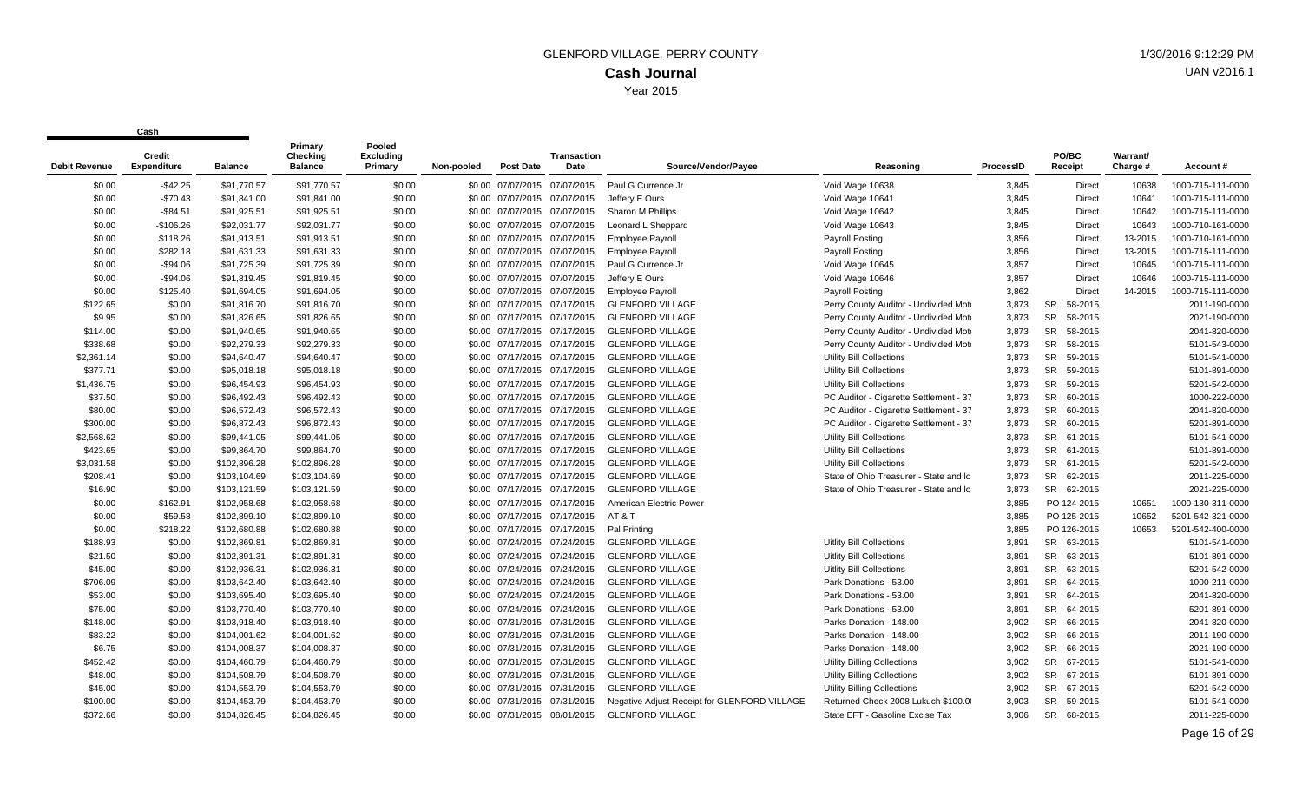| <b>Debit Revenue</b> | <b>Credit</b><br><b>Expenditure</b> | <b>Balance</b> | Primary<br>Checking<br><b>Balance</b> | Pooled<br><b>Excluding</b><br>Primary | Non-pooled | <b>Post Date</b>             | <b>Transaction</b><br>Date   | Source/Vendor/Payee                          | Reasoning                              | ProcessID | PO/BC<br>Receipt     | Warrant/<br>Charge # | Account #         |
|----------------------|-------------------------------------|----------------|---------------------------------------|---------------------------------------|------------|------------------------------|------------------------------|----------------------------------------------|----------------------------------------|-----------|----------------------|----------------------|-------------------|
| \$0.00               | $-$42.25$                           | \$91,770.57    | \$91,770.57                           | \$0.00                                |            |                              | \$0.00 07/07/2015 07/07/2015 | Paul G Currence Jr                           | Void Wage 10638                        | 3,845     | Direct               | 10638                | 1000-715-111-0000 |
| \$0.00               | $-$70.43$                           | \$91,841.00    | \$91,841.00                           | \$0.00                                |            | \$0.00 07/07/2015 07/07/2015 |                              | Jeffery E Ours                               | Void Wage 10641                        | 3,845     | Direct               | 10641                | 1000-715-111-0000 |
| \$0.00               | $-$84.51$                           | \$91,925.51    | \$91,925.51                           | \$0.00                                |            | \$0.00 07/07/2015 07/07/2015 |                              | Sharon M Phillips                            | Void Wage 10642                        | 3,845     | Direct               | 10642                | 1000-715-111-0000 |
| \$0.00               | $-$106.26$                          | \$92,031.77    | \$92,031.77                           | \$0.00                                |            | \$0.00 07/07/2015            | 07/07/2015                   | Leonard L Sheppard                           | Void Wage 10643                        | 3,845     | Direct               | 10643                | 1000-710-161-0000 |
| \$0.00               | \$118.26                            | \$91,913.51    | \$91,913.51                           | \$0.00                                |            | \$0.00 07/07/2015 07/07/2015 |                              | <b>Employee Payroll</b>                      | Payroll Posting                        | 3,856     | <b>Direct</b>        | 13-2015              | 1000-710-161-0000 |
| \$0.00               | \$282.18                            | \$91,631.33    | \$91,631.33                           | \$0.00                                |            | \$0.00 07/07/2015 07/07/2015 |                              | <b>Employee Payroll</b>                      | Payroll Posting                        | 3,856     | Direct               | 13-2015              | 1000-715-111-0000 |
| \$0.00               | $-$94.06$                           | \$91,725.39    | \$91,725.39                           | \$0.00                                |            | \$0.00 07/07/2015 07/07/2015 |                              | Paul G Currence Jr                           | Void Wage 10645                        | 3,857     | Direct               | 10645                | 1000-715-111-0000 |
| \$0.00               | $-$94.06$                           | \$91,819.45    | \$91,819.45                           | \$0.00                                |            | \$0.00 07/07/2015 07/07/2015 |                              | Jeffery E Ours                               | Void Wage 10646                        | 3,857     | Direct               | 10646                | 1000-715-111-0000 |
| \$0.00               | \$125.40                            | \$91,694.05    | \$91,694.05                           | \$0.00                                |            | \$0.00 07/07/2015 07/07/2015 |                              | <b>Employee Payroll</b>                      | Payroll Posting                        | 3,862     | <b>Direct</b>        | 14-2015              | 1000-715-111-0000 |
| \$122.65             | \$0.00                              | \$91,816.70    | \$91,816.70                           | \$0.00                                |            | \$0.00 07/17/2015            | 07/17/2015                   | <b>GLENFORD VILLAGE</b>                      | Perry County Auditor - Undivided Moto  | 3,873     | <b>SR</b><br>58-2015 |                      | 2011-190-0000     |
| \$9.95               | \$0.00                              | \$91,826.65    | \$91,826.65                           | \$0.00                                |            | \$0.00 07/17/2015 07/17/2015 |                              | <b>GLENFORD VILLAGE</b>                      | Perry County Auditor - Undivided Moto  | 3,873     | <b>SR</b><br>58-2015 |                      | 2021-190-0000     |
| \$114.00             | \$0.00                              | \$91,940.65    | \$91,940.65                           | \$0.00                                |            | \$0.00 07/17/2015 07/17/2015 |                              | <b>GLENFORD VILLAGE</b>                      | Perry County Auditor - Undivided Moto  | 3,873     | <b>SR</b><br>58-2015 |                      | 2041-820-0000     |
| \$338.68             | \$0.00                              | \$92,279.33    | \$92,279.33                           | \$0.00                                |            | \$0.00 07/17/2015 07/17/2015 |                              | <b>GLENFORD VILLAGE</b>                      | Perry County Auditor - Undivided Moto  | 3,873     | <b>SR</b><br>58-2015 |                      | 5101-543-0000     |
| \$2,361.14           | \$0.00                              | \$94,640.47    | \$94,640.47                           | \$0.00                                |            | \$0.00 07/17/2015            | 07/17/2015                   | <b>GLENFORD VILLAGE</b>                      | <b>Utility Bill Collections</b>        | 3,873     | <b>SR</b><br>59-2015 |                      | 5101-541-0000     |
| \$377.71             | \$0.00                              | \$95,018.18    | \$95,018.18                           | \$0.00                                |            | \$0.00 07/17/2015 07/17/2015 |                              | <b>GLENFORD VILLAGE</b>                      | <b>Utility Bill Collections</b>        | 3,873     | <b>SR</b><br>59-2015 |                      | 5101-891-0000     |
| \$1,436.75           | \$0.00                              | \$96,454.93    | \$96,454.93                           | \$0.00                                |            | \$0.00 07/17/2015 07/17/2015 |                              | <b>GLENFORD VILLAGE</b>                      | <b>Utility Bill Collections</b>        | 3,873     | <b>SR</b><br>59-2015 |                      | 5201-542-0000     |
| \$37.50              | \$0.00                              | \$96,492.43    | \$96,492.43                           | \$0.00                                |            | \$0.00 07/17/2015            | 07/17/2015                   | <b>GLENFORD VILLAGE</b>                      | PC Auditor - Cigarette Settlement - 37 | 3,873     | 60-2015<br><b>SR</b> |                      | 1000-222-0000     |
| \$80.00              | \$0.00                              | \$96,572.43    | \$96,572.43                           | \$0.00                                |            | \$0.00 07/17/2015 07/17/2015 |                              | <b>GLENFORD VILLAGE</b>                      | PC Auditor - Cigarette Settlement - 37 | 3,873     | SR<br>60-2015        |                      | 2041-820-0000     |
| \$300.00             | \$0.00                              | \$96,872.43    | \$96,872.43                           | \$0.00                                |            | \$0.00 07/17/2015 07/17/2015 |                              | <b>GLENFORD VILLAGE</b>                      | PC Auditor - Cigarette Settlement - 37 | 3,873     | <b>SR</b><br>60-2015 |                      | 5201-891-0000     |
| \$2,568.62           | \$0.00                              | \$99,441.05    | \$99,441.05                           | \$0.00                                |            | \$0.00 07/17/2015 07/17/2015 |                              | <b>GLENFORD VILLAGE</b>                      | <b>Utility Bill Collections</b>        | 3,873     | <b>SR</b><br>61-2015 |                      | 5101-541-0000     |
| \$423.65             | \$0.00                              | \$99,864.70    | \$99,864.70                           | \$0.00                                |            | \$0.00 07/17/2015            | 07/17/2015                   | <b>GLENFORD VILLAGE</b>                      | <b>Utility Bill Collections</b>        | 3,873     | SR 61-2015           |                      | 5101-891-0000     |
| \$3,031.58           | \$0.00                              | \$102,896.28   | \$102,896.28                          | \$0.00                                |            | \$0.00 07/17/2015 07/17/2015 |                              | <b>GLENFORD VILLAGE</b>                      | <b>Utility Bill Collections</b>        | 3,873     | <b>SR</b><br>61-2015 |                      | 5201-542-0000     |
| \$208.41             | \$0.00                              | \$103,104.69   | \$103,104.69                          | \$0.00                                |            | \$0.00 07/17/2015 07/17/2015 |                              | <b>GLENFORD VILLAGE</b>                      | State of Ohio Treasurer - State and lo | 3,873     | SR 62-2015           |                      | 2011-225-0000     |
| \$16.90              | \$0.00                              | \$103,121.59   | \$103,121.59                          | \$0.00                                |            | \$0.00 07/17/2015 07/17/2015 |                              | <b>GLENFORD VILLAGE</b>                      | State of Ohio Treasurer - State and lo | 3,873     | SR 62-2015           |                      | 2021-225-0000     |
| \$0.00               | \$162.91                            | \$102,958.68   | \$102,958.68                          | \$0.00                                |            | \$0.00 07/17/2015 07/17/2015 |                              | American Electric Power                      |                                        | 3,885     | PO 124-2015          | 10651                | 1000-130-311-0000 |
| \$0.00               | \$59.58                             | \$102,899.10   | \$102,899.10                          | \$0.00                                |            |                              | \$0.00 07/17/2015 07/17/2015 | AT & T                                       |                                        | 3,885     | PO 125-2015          | 10652                | 5201-542-321-0000 |
| \$0.00               | \$218.22                            | \$102,680.88   | \$102,680.88                          | \$0.00                                |            | \$0.00 07/17/2015 07/17/2015 |                              | Pal Printing                                 |                                        | 3,885     | PO 126-2015          | 10653                | 5201-542-400-0000 |
| \$188.93             | \$0.00                              | \$102,869.81   | \$102,869.81                          | \$0.00                                |            | \$0.00 07/24/2015 07/24/2015 |                              | <b>GLENFORD VILLAGE</b>                      | <b>Uitlity Bill Collections</b>        | 3,891     | SR 63-2015           |                      | 5101-541-0000     |
| \$21.50              | \$0.00                              | \$102,891.31   | \$102,891.31                          | \$0.00                                |            | \$0.00 07/24/2015 07/24/2015 |                              | <b>GLENFORD VILLAGE</b>                      | <b>Uitlity Bill Collections</b>        | 3,891     | SR 63-2015           |                      | 5101-891-0000     |
| \$45.00              | \$0.00                              | \$102,936.31   | \$102,936.31                          | \$0.00                                |            | \$0.00 07/24/2015 07/24/2015 |                              | <b>GLENFORD VILLAGE</b>                      | <b>Uitlity Bill Collections</b>        | 3,891     | SR 63-2015           |                      | 5201-542-0000     |
| \$706.09             | \$0.00                              | \$103,642.40   | \$103,642.40                          | \$0.00                                |            | \$0.00 07/24/2015 07/24/2015 |                              | <b>GLENFORD VILLAGE</b>                      | Park Donations - 53.00                 | 3,891     | <b>SR</b><br>64-2015 |                      | 1000-211-0000     |
| \$53.00              | \$0.00                              | \$103,695.40   | \$103,695.40                          | \$0.00                                |            | \$0.00 07/24/2015 07/24/2015 |                              | <b>GLENFORD VILLAGE</b>                      | Park Donations - 53.00                 | 3,891     | SR 64-2015           |                      | 2041-820-0000     |
| \$75.00              | \$0.00                              | \$103,770.40   | \$103,770.40                          | \$0.00                                |            | \$0.00 07/24/2015 07/24/2015 |                              | <b>GLENFORD VILLAGE</b>                      | Park Donations - 53.00                 | 3,891     | <b>SR</b><br>64-2015 |                      | 5201-891-0000     |
| \$148.00             | \$0.00                              | \$103,918.40   | \$103,918.40                          | \$0.00                                |            | \$0.00 07/31/2015            | 07/31/2015                   | <b>GLENFORD VILLAGE</b>                      | Parks Donation - 148.00                | 3,902     | <b>SR</b><br>66-2015 |                      | 2041-820-0000     |
| \$83.22              | \$0.00                              | \$104,001.62   | \$104,001.62                          | \$0.00                                |            | \$0.00 07/31/2015 07/31/2015 |                              | <b>GLENFORD VILLAGE</b>                      | Parks Donation - 148.00                | 3,902     | SR 66-2015           |                      | 2011-190-0000     |
| \$6.75               | \$0.00                              | \$104,008.37   | \$104,008.37                          | \$0.00                                |            | \$0.00 07/31/2015 07/31/2015 |                              | <b>GLENFORD VILLAGE</b>                      | Parks Donation - 148.00                | 3.902     | SR 66-2015           |                      | 2021-190-0000     |
| \$452.42             | \$0.00                              | \$104,460.79   | \$104,460.79                          | \$0.00                                |            | \$0.00 07/31/2015 07/31/2015 |                              | <b>GLENFORD VILLAGE</b>                      | <b>Utility Billing Collections</b>     | 3,902     | SR 67-2015           |                      | 5101-541-0000     |
| \$48.00              | \$0.00                              | \$104,508.79   | \$104,508.79                          | \$0.00                                |            | \$0.00 07/31/2015            | 07/31/2015                   | <b>GLENFORD VILLAGE</b>                      | <b>Utility Billing Collections</b>     | 3,902     | SR 67-2015           |                      | 5101-891-0000     |
| \$45.00              | \$0.00                              | \$104,553.79   | \$104,553.79                          | \$0.00                                |            | \$0.00 07/31/2015 07/31/2015 |                              | <b>GLENFORD VILLAGE</b>                      | <b>Utility Billing Collections</b>     | 3,902     | <b>SR</b><br>67-2015 |                      | 5201-542-0000     |
| $-$100.00$           | \$0.00                              | \$104,453.79   | \$104,453.79                          | \$0.00                                |            | \$0.00 07/31/2015 07/31/2015 |                              | Negative Adjust Receipt for GLENFORD VILLAGE | Returned Check 2008 Lukuch \$100.00    | 3,903     | <b>SR</b><br>59-2015 |                      | 5101-541-0000     |
| \$372.66             | \$0.00                              | \$104.826.45   | \$104,826.45                          | \$0.00                                |            | \$0.00 07/31/2015 08/01/2015 |                              | <b>GLENFORD VILLAGE</b>                      | State EFT - Gasoline Excise Tax        | 3.906     | <b>SR</b><br>68-2015 |                      | 2011-225-0000     |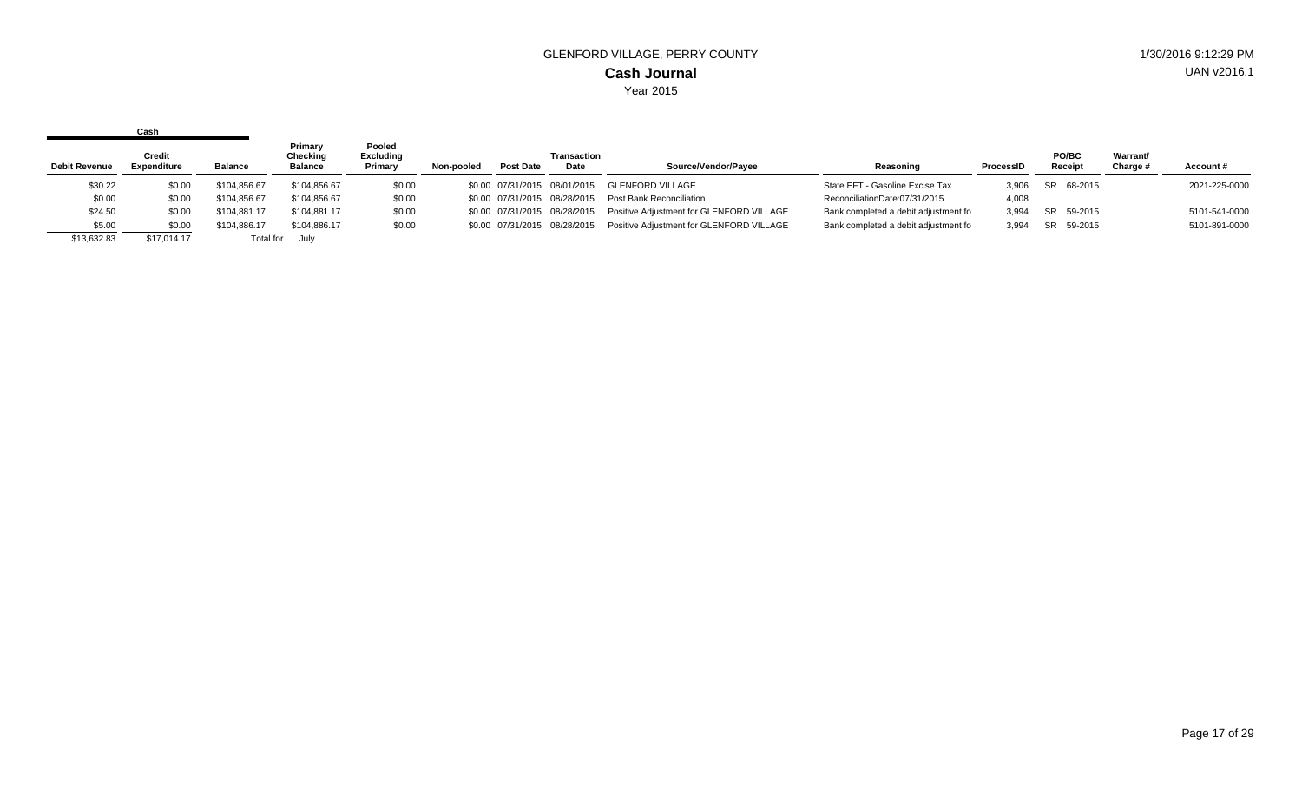|                      | Cash                         |                |                                       |                                       |            |                  |                              |                                          |                                      |           |                  |                      |               |
|----------------------|------------------------------|----------------|---------------------------------------|---------------------------------------|------------|------------------|------------------------------|------------------------------------------|--------------------------------------|-----------|------------------|----------------------|---------------|
| <b>Debit Revenue</b> | <b>Credit</b><br>Expenditure | <b>Balance</b> | Primary<br>Checking<br><b>Balance</b> | Pooled<br><b>Excluding</b><br>Primary | Non-pooled | <b>Post Date</b> | <b>Transaction</b><br>Date   | Source/Vendor/Pavee                      | Reasoning                            | ProcessID | PO/BC<br>Receipt | Warrant/<br>Charge # | Account#      |
| \$30.22              | \$0.00                       | \$104.856.67   | \$104,856.67                          | \$0.00                                |            |                  | \$0.00 07/31/2015 08/01/2015 | GLENFORD VILLAGE                         | State EFT - Gasoline Excise Tax      | 3,906     | SR 68-2015       |                      | 2021-225-0000 |
| \$0.00               | \$0.00                       | \$104,856.67   | \$104,856.67                          | \$0.00                                |            |                  | \$0.00 07/31/2015 08/28/2015 | Post Bank Reconciliation                 | ReconciliationDate:07/31/2015        | 4,008     |                  |                      |               |
| \$24.50              | \$0.00                       | \$104.881.17   | \$104,881.17                          | \$0.00                                |            |                  | \$0.00 07/31/2015 08/28/2015 | Positive Adjustment for GLENFORD VILLAGE | Bank completed a debit adjustment fo | 3.994     | SR 59-2015       |                      | 5101-541-0000 |
| \$5.00               | \$0.00                       | \$104.886.17   | \$104.886.17                          | \$0.00                                |            |                  | \$0.00 07/31/2015 08/28/2015 | Positive Adjustment for GLENFORD VILLAGE | Bank completed a debit adjustment fo | 3.994     | SR 59-2015       |                      | 5101-891-0000 |
| \$13,632.83          | \$17,014.17                  | Total for      | July                                  |                                       |            |                  |                              |                                          |                                      |           |                  |                      |               |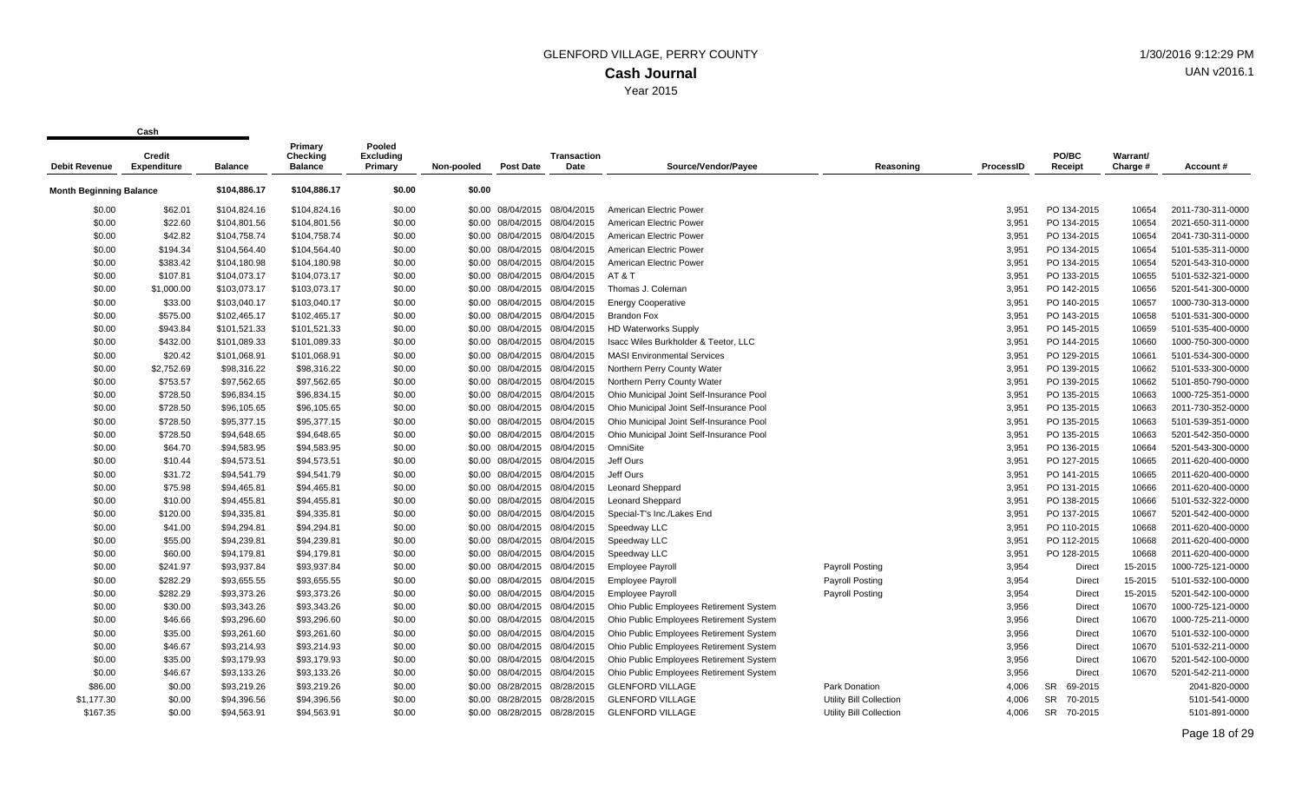| <b>Debit Revenue</b>    | <b>Credit</b><br>Expenditure | <b>Balance</b> | Primary<br><b>Checking</b><br><b>Balance</b> | Pooled<br>Excluding<br>Primary | Non-pooled | <b>Post Date</b>             | <b>Transaction</b><br>Date   | Source/Vendor/Pavee                      | Reasoning                      | <b>ProcessID</b> | PO/BC<br>Receipt | Warrant/<br>Charge # | Account#          |
|-------------------------|------------------------------|----------------|----------------------------------------------|--------------------------------|------------|------------------------------|------------------------------|------------------------------------------|--------------------------------|------------------|------------------|----------------------|-------------------|
|                         |                              |                |                                              |                                |            |                              |                              |                                          |                                |                  |                  |                      |                   |
| Month Beginning Balance |                              | \$104,886.17   | \$104,886.17                                 | \$0.00                         | \$0.00     |                              |                              |                                          |                                |                  |                  |                      |                   |
| \$0.00                  | \$62.01                      | \$104,824.16   | \$104,824.16                                 | \$0.00                         |            | \$0.00 08/04/2015            | 08/04/2015                   | American Electric Power                  |                                | 3,951            | PO 134-2015      | 10654                | 2011-730-311-0000 |
| \$0.00                  | \$22.60                      | \$104,801.56   | \$104,801.56                                 | \$0.00                         | \$0.00     | 08/04/2015                   | 08/04/2015                   | American Electric Power                  |                                | 3,951            | PO 134-2015      | 10654                | 2021-650-311-0000 |
| \$0.00                  | \$42.82                      | \$104,758.74   | \$104,758.74                                 | \$0.00                         |            | \$0.00 08/04/2015 08/04/2015 |                              | American Electric Power                  |                                | 3,951            | PO 134-2015      | 10654                | 2041-730-311-0000 |
| \$0.00                  | \$194.34                     | \$104,564.40   | \$104,564.40                                 | \$0.00                         |            | \$0.00 08/04/2015 08/04/2015 |                              | American Electric Power                  |                                | 3,951            | PO 134-2015      | 10654                | 5101-535-311-0000 |
| \$0.00                  | \$383.42                     | \$104,180.98   | \$104,180.98                                 | \$0.00                         |            |                              | \$0.00 08/04/2015 08/04/2015 | American Electric Power                  |                                | 3,951            | PO 134-2015      | 10654                | 5201-543-310-0000 |
| \$0.00                  | \$107.81                     | \$104,073.17   | \$104,073.17                                 | \$0.00                         |            | \$0.00 08/04/2015            | 08/04/2015                   | AT&T                                     |                                | 3,951            | PO 133-2015      | 10655                | 5101-532-321-0000 |
| \$0.00                  | \$1,000.00                   | \$103,073.17   | \$103,073.17                                 | \$0.00                         |            |                              | \$0.00 08/04/2015 08/04/2015 | Thomas J. Coleman                        |                                | 3,951            | PO 142-2015      | 10656                | 5201-541-300-0000 |
| \$0.00                  | \$33.00                      | \$103,040.17   | \$103,040.17                                 | \$0.00                         |            | \$0.00 08/04/2015 08/04/2015 |                              | <b>Energy Cooperative</b>                |                                | 3,951            | PO 140-2015      | 10657                | 1000-730-313-0000 |
| \$0.00                  | \$575.00                     | \$102,465.17   | \$102,465.17                                 | \$0.00                         |            | \$0.00 08/04/2015            | 08/04/2015                   | <b>Brandon Fox</b>                       |                                | 3,951            | PO 143-2015      | 10658                | 5101-531-300-0000 |
| \$0.00                  | \$943.84                     | \$101,521.33   | \$101,521.33                                 | \$0.00                         |            | \$0.00 08/04/2015 08/04/2015 |                              | <b>HD Waterworks Supply</b>              |                                | 3,951            | PO 145-2015      | 10659                | 5101-535-400-0000 |
| \$0.00                  | \$432.00                     | \$101,089.33   | \$101,089.33                                 | \$0.00                         |            | \$0.00 08/04/2015 08/04/2015 |                              | Isacc Wiles Burkholder & Teetor, LLC     |                                | 3,951            | PO 144-2015      | 10660                | 1000-750-300-0000 |
| \$0.00                  | \$20.42                      | \$101,068.91   | \$101,068.91                                 | \$0.00                         |            | \$0.00 08/04/2015 08/04/2015 |                              | <b>MASI Environmental Services</b>       |                                | 3,951            | PO 129-2015      | 10661                | 5101-534-300-0000 |
| \$0.00                  | \$2,752.69                   | \$98,316.22    | \$98,316.22                                  | \$0.00                         |            | \$0.00 08/04/2015 08/04/2015 |                              | Northern Perry County Water              |                                | 3,951            | PO 139-2015      | 10662                | 5101-533-300-0000 |
| \$0.00                  | \$753.57                     | \$97,562.65    | \$97,562.65                                  | \$0.00                         |            | \$0.00 08/04/2015 08/04/2015 |                              | Northern Perry County Water              |                                | 3,951            | PO 139-2015      | 10662                | 5101-850-790-0000 |
| \$0.00                  | \$728.50                     | \$96,834.15    | \$96,834.15                                  | \$0.00                         |            | \$0.00 08/04/2015 08/04/2015 |                              | Ohio Municipal Joint Self-Insurance Pool |                                | 3,951            | PO 135-2015      | 10663                | 1000-725-351-0000 |
| \$0.00                  | \$728.50                     | \$96,105.65    | \$96,105.65                                  | \$0.00                         |            | \$0.00 08/04/2015 08/04/2015 |                              | Ohio Municipal Joint Self-Insurance Pool |                                | 3,951            | PO 135-2015      | 10663                | 2011-730-352-0000 |
| \$0.00                  | \$728.50                     | \$95,377.15    | \$95,377.15                                  | \$0.00                         |            | \$0.00 08/04/2015 08/04/2015 |                              | Ohio Municipal Joint Self-Insurance Pool |                                | 3,951            | PO 135-2015      | 10663                | 5101-539-351-0000 |
| \$0.00                  | \$728.50                     | \$94,648.65    | \$94,648.65                                  | \$0.00                         |            | \$0.00 08/04/2015 08/04/2015 |                              | Ohio Municipal Joint Self-Insurance Pool |                                | 3,951            | PO 135-2015      | 10663                | 5201-542-350-0000 |
| \$0.00                  | \$64.70                      | \$94,583.95    | \$94,583.95                                  | \$0.00                         |            |                              | \$0.00 08/04/2015 08/04/2015 | OmniSite                                 |                                | 3,951            | PO 136-2015      | 10664                | 5201-543-300-0000 |
| \$0.00                  | \$10.44                      | \$94,573.51    | \$94,573.51                                  | \$0.00                         |            | \$0.00 08/04/2015            | 08/04/2015                   | Jeff Ours                                |                                | 3,951            | PO 127-2015      | 10665                | 2011-620-400-0000 |
| \$0.00                  | \$31.72                      | \$94,541.79    | \$94,541.79                                  | \$0.00                         |            | \$0.00 08/04/2015 08/04/2015 |                              | Jeff Ours                                |                                | 3,951            | PO 141-2015      | 10665                | 2011-620-400-0000 |
| \$0.00                  | \$75.98                      | \$94,465.81    | \$94,465.81                                  | \$0.00                         |            | \$0.00 08/04/2015 08/04/2015 |                              | <b>Leonard Sheppard</b>                  |                                | 3,951            | PO 131-2015      | 10666                | 2011-620-400-0000 |
| \$0.00                  | \$10.00                      | \$94,455.81    | \$94,455.81                                  | \$0.00                         |            | \$0.00 08/04/2015            | 08/04/2015                   | <b>Leonard Sheppard</b>                  |                                | 3,951            | PO 138-2015      | 10666                | 5101-532-322-0000 |
| \$0.00                  | \$120.00                     | \$94,335.81    | \$94,335.81                                  | \$0.00                         |            | \$0.00 08/04/2015 08/04/2015 |                              | Special-T's Inc./Lakes End               |                                | 3,951            | PO 137-2015      | 10667                | 5201-542-400-0000 |
| \$0.00                  | \$41.00                      | \$94,294.81    | \$94,294.81                                  | \$0.00                         |            | \$0.00 08/04/2015            | 08/04/2015                   | Speedway LLC                             |                                | 3,951            | PO 110-2015      | 10668                | 2011-620-400-0000 |
| \$0.00                  | \$55.00                      | \$94,239.81    | \$94,239.81                                  | \$0.00                         |            | \$0.00 08/04/2015 08/04/2015 |                              | Speedway LLC                             |                                | 3,951            | PO 112-2015      | 10668                | 2011-620-400-0000 |
| \$0.00                  | \$60.00                      | \$94,179.81    | \$94,179.81                                  | \$0.00                         |            | \$0.00 08/04/2015            | 08/04/2015                   | Speedway LLC                             |                                | 3,951            | PO 128-2015      | 10668                | 2011-620-400-0000 |
| \$0.00                  | \$241.97                     | \$93,937.84    | \$93,937.84                                  | \$0.00                         |            | \$0.00 08/04/2015 08/04/2015 |                              | <b>Employee Payroll</b>                  | Payroll Posting                | 3,954            | <b>Direct</b>    | 15-2015              | 1000-725-121-0000 |
| \$0.00                  | \$282.29                     | \$93.655.55    | \$93,655.55                                  | \$0.00                         |            | \$0.00 08/04/2015 08/04/2015 |                              | <b>Employee Payroll</b>                  | <b>Payroll Posting</b>         | 3,954            | <b>Direct</b>    | 15-2015              | 5101-532-100-0000 |
| \$0.00                  | \$282.29                     | \$93,373.26    | \$93,373.26                                  | \$0.00                         |            | \$0.00 08/04/2015            | 08/04/2015                   | <b>Employee Payroll</b>                  | <b>Payroll Posting</b>         | 3,954            | <b>Direct</b>    | 15-2015              | 5201-542-100-0000 |
| \$0.00                  | \$30.00                      | \$93,343.26    | \$93,343.26                                  | \$0.00                         |            | \$0.00 08/04/2015 08/04/2015 |                              | Ohio Public Employees Retirement System  |                                | 3,956            | Direct           | 10670                | 1000-725-121-0000 |
| \$0.00                  | \$46.66                      | \$93,296.60    | \$93,296.60                                  | \$0.00                         |            | \$0.00 08/04/2015 08/04/2015 |                              | Ohio Public Employees Retirement System  |                                | 3,956            | <b>Direct</b>    | 10670                | 1000-725-211-0000 |
| \$0.00                  | \$35.00                      | \$93,261.60    | \$93,261.60                                  | \$0.00                         |            | \$0.00 08/04/2015 08/04/2015 |                              | Ohio Public Employees Retirement System  |                                | 3,956            | Direct           | 10670                | 5101-532-100-0000 |
| \$0.00                  | \$46.67                      | \$93,214.93    | \$93,214.93                                  | \$0.00                         |            | \$0.00 08/04/2015 08/04/2015 |                              | Ohio Public Employees Retirement System  |                                | 3,956            | <b>Direct</b>    | 10670                | 5101-532-211-0000 |
| \$0.00                  | \$35.00                      | \$93,179.93    | \$93,179.93                                  | \$0.00                         |            | \$0.00 08/04/2015 08/04/2015 |                              | Ohio Public Employees Retirement System  |                                | 3,956            | <b>Direct</b>    | 10670                | 5201-542-100-0000 |
| \$0.00                  | \$46.67                      | \$93,133.26    | \$93,133.26                                  | \$0.00                         |            | \$0.00 08/04/2015 08/04/2015 |                              | Ohio Public Employees Retirement System  |                                | 3,956            | <b>Direct</b>    | 10670                | 5201-542-211-0000 |
| \$86.00                 | \$0.00                       | \$93,219.26    | \$93,219.26                                  | \$0.00                         |            | \$0.00 08/28/2015            | 08/28/2015                   | <b>GLENFORD VILLAGE</b>                  | Park Donation                  | 4,006            | 69-2015<br>SR    |                      | 2041-820-0000     |
| \$1,177.30              | \$0.00                       | \$94,396.56    | \$94,396.56                                  | \$0.00                         |            | \$0.00 08/28/2015 08/28/2015 |                              | <b>GLENFORD VILLAGE</b>                  | Utility Bill Collection        | 4,006            | SR 70-2015       |                      | 5101-541-0000     |
| \$167.35                | \$0.00                       | \$94,563.91    | \$94,563.91                                  | \$0.00                         |            | \$0.00 08/28/2015            | 08/28/2015                   | <b>GLENFORD VILLAGE</b>                  | <b>Utility Bill Collection</b> | 4,006            | SR<br>70-2015    |                      | 5101-891-0000     |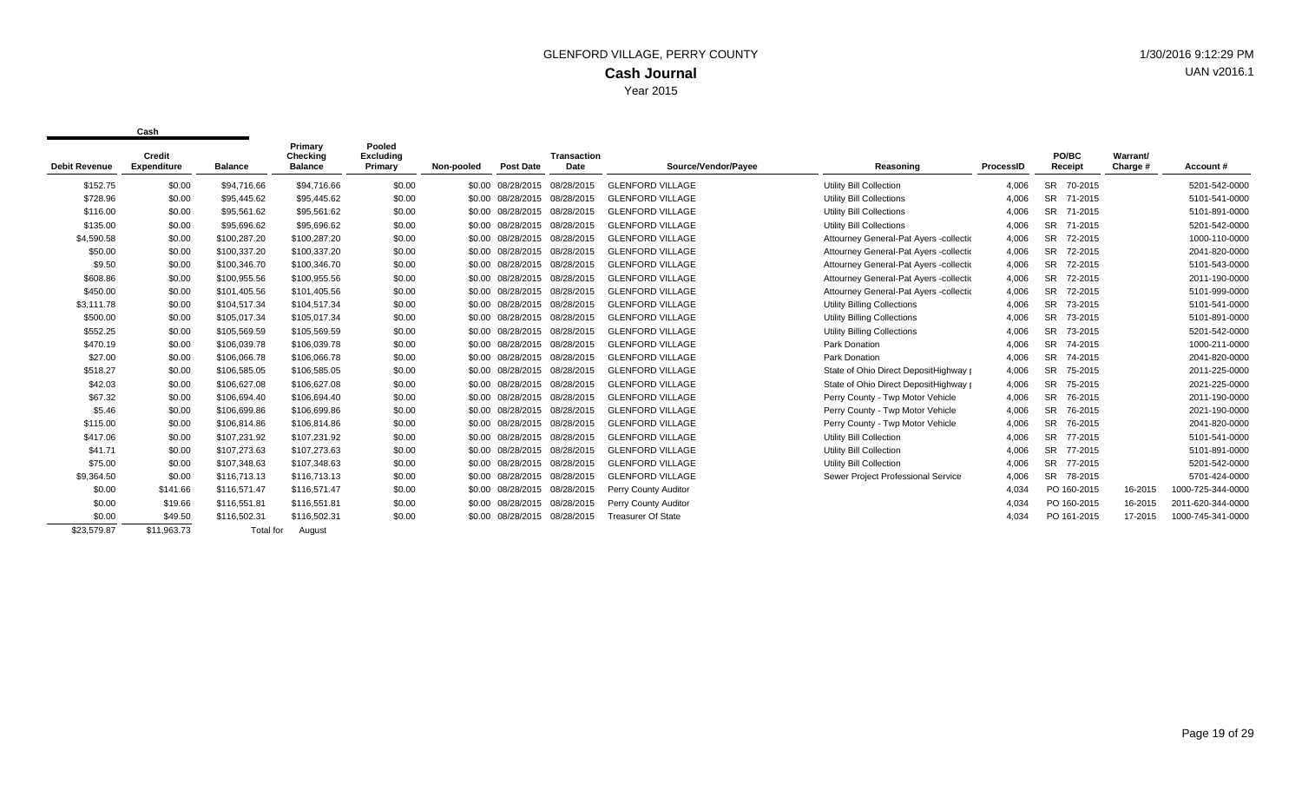| <b>Debit Revenue</b> | Credit<br><b>Expenditure</b> | <b>Balance</b> | Primary<br>Checking<br><b>Balance</b> | Pooled<br><b>Excluding</b><br>Primary | Non-pooled | <b>Post Date</b>  | <b>Transaction</b><br>Date | Source/Vendor/Payee       | Reasoning                              | ProcessID | PO/BC<br>Receipt     | Warrant/<br>Charge # | Account#          |
|----------------------|------------------------------|----------------|---------------------------------------|---------------------------------------|------------|-------------------|----------------------------|---------------------------|----------------------------------------|-----------|----------------------|----------------------|-------------------|
| \$152.75             | \$0.00                       | \$94,716.66    | \$94,716.66                           | \$0.00                                |            | \$0.00 08/28/2015 | 08/28/2015                 | <b>GLENFORD VILLAGE</b>   | <b>Utility Bill Collection</b>         | 4,006     | <b>SR</b><br>70-2015 |                      | 5201-542-0000     |
| \$728.96             | \$0.00                       | \$95.445.62    | \$95,445.62                           | \$0.00                                |            | \$0.00 08/28/2015 | 08/28/2015                 | <b>GLENFORD VILLAGE</b>   | <b>Utility Bill Collections</b>        | 4,006     | <b>SR</b><br>71-2015 |                      | 5101-541-0000     |
| \$116.00             | \$0.00                       | \$95,561.62    | \$95,561.62                           | \$0.00                                |            | \$0.00 08/28/2015 | 08/28/2015                 | <b>GLENFORD VILLAGE</b>   | <b>Utility Bill Collections</b>        | 4,006     | <b>SR</b><br>71-2015 |                      | 5101-891-0000     |
| \$135.00             | \$0.00                       | \$95,696.62    | \$95,696.62                           | \$0.00                                |            | \$0.00 08/28/2015 | 08/28/2015                 | <b>GLENFORD VILLAGE</b>   | <b>Utility Bill Collections</b>        | 4,006     | <b>SR</b><br>71-2015 |                      | 5201-542-0000     |
| \$4,590.58           | \$0.00                       | \$100,287.20   | \$100,287.20                          | \$0.00                                |            | \$0.00 08/28/2015 | 08/28/2015                 | <b>GLENFORD VILLAGE</b>   | Attourney General-Pat Ayers -collectic | 4,006     | <b>SR</b><br>72-2015 |                      | 1000-110-0000     |
| \$50.00              | \$0.00                       | \$100,337.20   | \$100,337.20                          | \$0.00                                |            | \$0.00 08/28/2015 | 08/28/2015                 | <b>GLENFORD VILLAGE</b>   | Attourney General-Pat Ayers -collectic | 4,006     | <b>SR</b><br>72-2015 |                      | 2041-820-0000     |
| \$9.50               | \$0.00                       | \$100,346.70   | \$100,346.70                          | \$0.00                                |            | \$0.00 08/28/2015 | 08/28/2015                 | <b>GLENFORD VILLAGE</b>   | Attourney General-Pat Ayers -collectic | 4,006     | <b>SR</b><br>72-2015 |                      | 5101-543-0000     |
| \$608.86             | \$0.00                       | \$100.955.56   | \$100,955.56                          | \$0.00                                |            | \$0.00 08/28/2015 | 08/28/2015                 | <b>GLENFORD VILLAGE</b>   | Attourney General-Pat Ayers -collectic | 4,006     | <b>SR</b><br>72-2015 |                      | 2011-190-0000     |
| \$450.00             | \$0.00                       | \$101,405.56   | \$101,405.56                          | \$0.00                                |            | \$0.00 08/28/2015 | 08/28/2015                 | <b>GLENFORD VILLAGE</b>   | Attourney General-Pat Ayers -collectic | 4,006     | <b>SR</b><br>72-2015 |                      | 5101-999-0000     |
| \$3,111.78           | \$0.00                       | \$104,517.34   | \$104,517.34                          | \$0.00                                |            | \$0.00 08/28/2015 | 08/28/2015                 | <b>GLENFORD VILLAGE</b>   | <b>Utility Billing Collections</b>     | 4,006     | <b>SR</b><br>73-2015 |                      | 5101-541-0000     |
| \$500.00             | \$0.00                       | \$105,017.34   | \$105,017.34                          | \$0.00                                |            | \$0.00 08/28/2015 | 08/28/2015                 | <b>GLENFORD VILLAGE</b>   | <b>Utility Billing Collections</b>     | 4,006     | <b>SR</b><br>73-2015 |                      | 5101-891-0000     |
| \$552.25             | \$0.00                       | \$105,569.59   | \$105,569.59                          | \$0.00                                |            | \$0.00 08/28/2015 | 08/28/2015                 | <b>GLENFORD VILLAGE</b>   | Utility Billing Collections            | 4,006     | <b>SR</b><br>73-2015 |                      | 5201-542-0000     |
| \$470.19             | \$0.00                       | \$106,039.78   | \$106,039.78                          | \$0.00                                |            | \$0.00 08/28/2015 | 08/28/2015                 | <b>GLENFORD VILLAGE</b>   | Park Donation                          | 4,006     | <b>SR</b><br>74-2015 |                      | 1000-211-0000     |
| \$27.00              | \$0.00                       | \$106,066.78   | \$106,066.78                          | \$0.00                                |            | \$0.00 08/28/2015 | 08/28/2015                 | <b>GLENFORD VILLAGE</b>   | Park Donation                          | 4,006     | <b>SR</b><br>74-2015 |                      | 2041-820-0000     |
| \$518.27             | \$0.00                       | \$106,585.05   | \$106,585.05                          | \$0.00                                |            | \$0.00 08/28/2015 | 08/28/2015                 | <b>GLENFORD VILLAGE</b>   | State of Ohio Direct DepositHighway r  | 4,006     | <b>SR</b><br>75-2015 |                      | 2011-225-0000     |
| \$42.03              | \$0.00                       | \$106,627.08   | \$106,627.08                          | \$0.00                                |            | \$0.00 08/28/2015 | 08/28/2015                 | <b>GLENFORD VILLAGE</b>   | State of Ohio Direct DepositHighway p  | 4,006     | <b>SR</b><br>75-2015 |                      | 2021-225-0000     |
| \$67.32              | \$0.00                       | \$106,694.40   | \$106,694.40                          | \$0.00                                |            | \$0.00 08/28/2015 | 08/28/2015                 | <b>GLENFORD VILLAGE</b>   | Perry County - Twp Motor Vehicle       | 4,006     | <b>SR</b><br>76-2015 |                      | 2011-190-0000     |
| \$5.46               | \$0.00                       | \$106,699.86   | \$106,699.86                          | \$0.00                                |            | \$0.00 08/28/2015 | 08/28/2015                 | <b>GLENFORD VILLAGE</b>   | Perry County - Twp Motor Vehicle       | 4,006     | <b>SR</b><br>76-2015 |                      | 2021-190-0000     |
| \$115.00             | \$0.00                       | \$106,814.86   | \$106,814.86                          | \$0.00                                |            | \$0.00 08/28/2015 | 08/28/2015                 | <b>GLENFORD VILLAGE</b>   | Perry County - Twp Motor Vehicle       | 4,006     | <b>SR</b><br>76-2015 |                      | 2041-820-0000     |
| \$417.06             | \$0.00                       | \$107,231.92   | \$107,231.92                          | \$0.00                                |            | \$0.00 08/28/2015 | 08/28/2015                 | <b>GLENFORD VILLAGE</b>   | <b>Utility Bill Collection</b>         | 4,006     | <b>SR</b><br>77-2015 |                      | 5101-541-0000     |
| \$41.71              | \$0.00                       | \$107,273.63   | \$107,273.63                          | \$0.00                                |            | \$0.00 08/28/2015 | 08/28/2015                 | <b>GLENFORD VILLAGE</b>   | <b>Utility Bill Collection</b>         | 4,006     | <b>SR</b><br>77-2015 |                      | 5101-891-0000     |
| \$75.00              | \$0.00                       | \$107,348.63   | \$107,348.63                          | \$0.00                                |            | \$0.00 08/28/2015 | 08/28/2015                 | <b>GLENFORD VILLAGE</b>   | <b>Utility Bill Collection</b>         | 4,006     | SR 77-2015           |                      | 5201-542-0000     |
| \$9,364.50           | \$0.00                       | \$116,713.13   | \$116,713.13                          | \$0.00                                |            | \$0.00 08/28/2015 | 08/28/2015                 | <b>GLENFORD VILLAGE</b>   | Sewer Project Professional Service     | 4,006     | SR 78-2015           |                      | 5701-424-0000     |
| \$0.00               | \$141.66                     | \$116,571.47   | \$116,571.47                          | \$0.00                                |            | \$0.00 08/28/2015 | 08/28/2015                 | Perry County Auditor      |                                        | 4,034     | PO 160-2015          | 16-2015              | 1000-725-344-0000 |
| \$0.00               | \$19.66                      | \$116,551.81   | \$116,551.81                          | \$0.00                                |            | \$0.00 08/28/2015 | 08/28/2015                 | Perry County Auditor      |                                        | 4,034     | PO 160-2015          | 16-2015              | 2011-620-344-0000 |
| \$0.00               | \$49.50                      | \$116,502.31   | \$116,502.31                          | \$0.00                                |            | \$0.00 08/28/2015 | 08/28/2015                 | <b>Treasurer Of State</b> |                                        | 4,034     | PO 161-2015          | 17-2015              | 1000-745-341-0000 |
| \$23,579.87          | \$11,963.73                  | Total for      | August                                |                                       |            |                   |                            |                           |                                        |           |                      |                      |                   |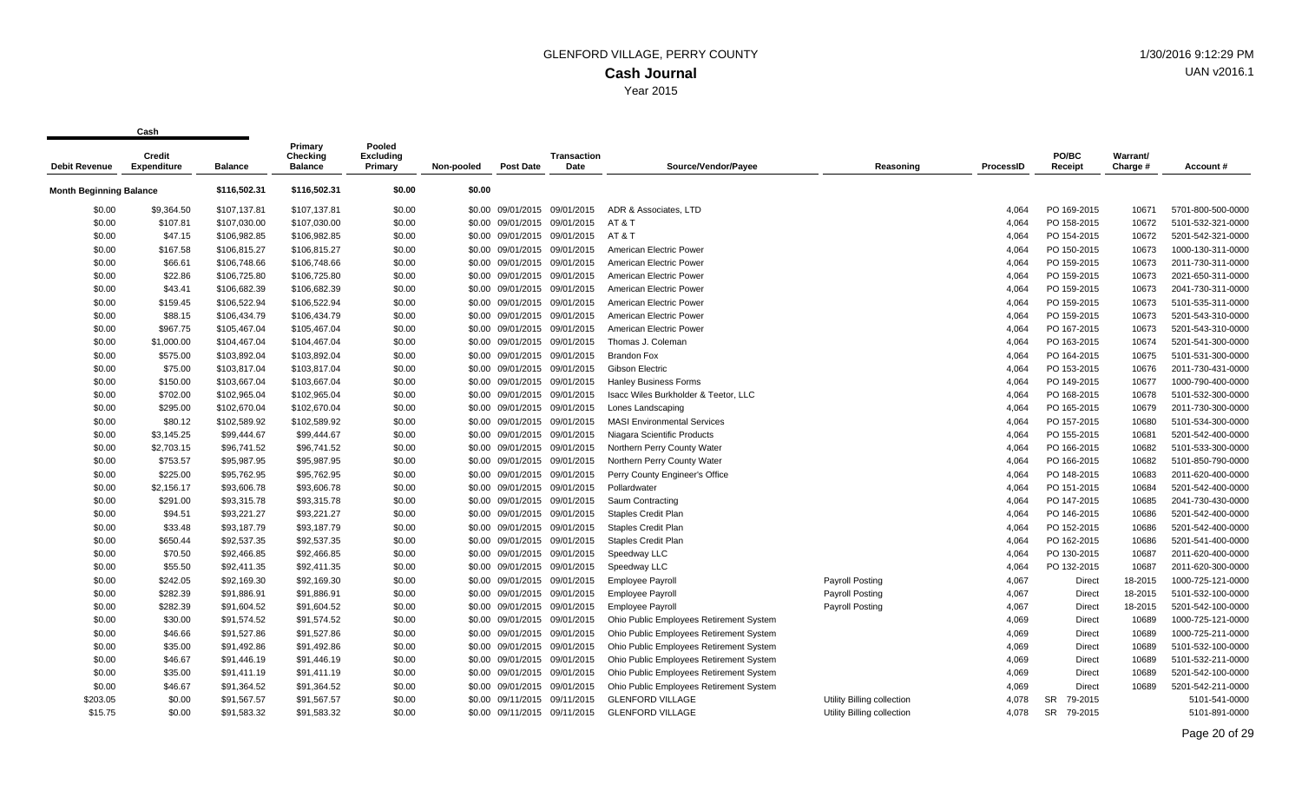|                                | sus i i                      |                | Primary                    | Pooled                      |            |                              |                     |                                         |                            |           |                      |                      |                   |
|--------------------------------|------------------------------|----------------|----------------------------|-----------------------------|------------|------------------------------|---------------------|-----------------------------------------|----------------------------|-----------|----------------------|----------------------|-------------------|
| <b>Debit Revenue</b>           | Credit<br><b>Expenditure</b> | <b>Balance</b> | Checking<br><b>Balance</b> | <b>Excluding</b><br>Primary | Non-pooled | <b>Post Date</b>             | Transaction<br>Date | Source/Vendor/Payee                     | Reasoning                  | ProcessID | PO/BC<br>Receipt     | Warrant/<br>Charge # | Account#          |
| <b>Month Beginning Balance</b> |                              | \$116,502.31   | \$116,502.31               | \$0.00                      | \$0.00     |                              |                     |                                         |                            |           |                      |                      |                   |
| \$0.00                         | \$9,364.50                   | \$107,137.81   | \$107,137.81               | \$0.00                      |            | \$0.00 09/01/2015 09/01/2015 |                     | ADR & Associates, LTD                   |                            | 4.064     | PO 169-2015          | 10671                | 5701-800-500-0000 |
| \$0.00                         | \$107.81                     | \$107,030.00   | \$107,030.00               | \$0.00                      |            | \$0.00 09/01/2015 09/01/2015 |                     | AT & T                                  |                            | 4.064     | PO 158-2015          | 10672                | 5101-532-321-0000 |
| \$0.00                         | \$47.15                      | \$106,982.85   | \$106,982.85               | \$0.00                      |            | \$0.00 09/01/2015 09/01/2015 |                     | AT & T                                  |                            | 4,064     | PO 154-2015          | 10672                | 5201-542-321-0000 |
| \$0.00                         | \$167.58                     | \$106,815.27   | \$106,815.27               | \$0.00                      |            | \$0.00 09/01/2015 09/01/2015 |                     | American Electric Power                 |                            | 4,064     | PO 150-2015          | 10673                | 1000-130-311-0000 |
| \$0.00                         | \$66.61                      | \$106,748.66   | \$106,748.66               | \$0.00                      |            | \$0.00 09/01/2015 09/01/2015 |                     | American Electric Power                 |                            | 4,064     | PO 159-2015          | 10673                | 2011-730-311-0000 |
| \$0.00                         | \$22.86                      | \$106,725.80   | \$106,725.80               | \$0.00                      |            | \$0.00 09/01/2015 09/01/2015 |                     | American Electric Power                 |                            | 4,064     | PO 159-2015          | 10673                | 2021-650-311-0000 |
| \$0.00                         | \$43.41                      | \$106,682.39   | \$106,682.39               | \$0.00                      |            | \$0.00 09/01/2015 09/01/2015 |                     | American Electric Power                 |                            | 4,064     | PO 159-2015          | 10673                | 2041-730-311-0000 |
| \$0.00                         | \$159.45                     | \$106,522.94   | \$106,522.94               | \$0.00                      |            | \$0.00 09/01/2015 09/01/2015 |                     | American Electric Power                 |                            | 4,064     | PO 159-2015          | 10673                | 5101-535-311-0000 |
| \$0.00                         | \$88.15                      | \$106,434.79   | \$106,434.79               | \$0.00                      |            | \$0.00 09/01/2015 09/01/2015 |                     | American Electric Power                 |                            | 4,064     | PO 159-2015          | 10673                | 5201-543-310-0000 |
| \$0.00                         | \$967.75                     | \$105,467.04   | \$105,467.04               | \$0.00                      |            | \$0.00 09/01/2015 09/01/2015 |                     | American Electric Power                 |                            | 4,064     | PO 167-2015          | 10673                | 5201-543-310-0000 |
| \$0.00                         | \$1,000.00                   | \$104,467.04   | \$104,467.04               | \$0.00                      |            | \$0.00 09/01/2015 09/01/2015 |                     | Thomas J. Coleman                       |                            | 4,064     | PO 163-2015          | 10674                | 5201-541-300-0000 |
| \$0.00                         | \$575.00                     | \$103,892.04   | \$103,892.04               | \$0.00                      |            | \$0.00 09/01/2015 09/01/2015 |                     | <b>Brandon Fox</b>                      |                            | 4,064     | PO 164-2015          | 10675                | 5101-531-300-0000 |
| \$0.00                         | \$75.00                      | \$103,817.04   | \$103,817.04               | \$0.00                      |            | \$0.00 09/01/2015 09/01/2015 |                     | Gibson Electric                         |                            | 4,064     | PO 153-2015          | 10676                | 2011-730-431-0000 |
| \$0.00                         | \$150.00                     | \$103,667.04   | \$103,667.04               | \$0.00                      |            | \$0.00 09/01/2015            | 09/01/2015          | <b>Hanley Business Forms</b>            |                            | 4,064     | PO 149-2015          | 10677                | 1000-790-400-0000 |
| \$0.00                         | \$702.00                     | \$102,965.04   | \$102,965.04               | \$0.00                      |            | \$0.00 09/01/2015 09/01/2015 |                     | Isacc Wiles Burkholder & Teetor, LLC    |                            | 4,064     | PO 168-2015          | 10678                | 5101-532-300-0000 |
| \$0.00                         | \$295.00                     | \$102,670.04   | \$102,670.04               | \$0.00                      |            | \$0.00 09/01/2015 09/01/2015 |                     | Lones Landscaping                       |                            | 4,064     | PO 165-2015          | 10679                | 2011-730-300-0000 |
| \$0.00                         | \$80.12                      | \$102,589.92   | \$102,589.92               | \$0.00                      |            | \$0.00 09/01/2015 09/01/2015 |                     | <b>MASI Environmental Services</b>      |                            | 4,064     | PO 157-2015          | 10680                | 5101-534-300-0000 |
| \$0.00                         | \$3,145.25                   | \$99,444.67    | \$99,444.67                | \$0.00                      |            | \$0.00 09/01/2015 09/01/2015 |                     | Niagara Scientific Products             |                            | 4,064     | PO 155-2015          | 10681                | 5201-542-400-0000 |
| \$0.00                         | \$2,703.15                   | \$96,741.52    | \$96,741.52                | \$0.00                      |            | \$0.00 09/01/2015 09/01/2015 |                     | Northern Perry County Water             |                            | 4,064     | PO 166-2015          | 10682                | 5101-533-300-0000 |
| \$0.00                         | \$753.57                     | \$95,987.95    | \$95,987.95                | \$0.00                      |            | \$0.00 09/01/2015 09/01/2015 |                     | Northern Perry County Water             |                            | 4,064     | PO 166-2015          | 10682                | 5101-850-790-0000 |
| \$0.00                         | \$225.00                     | \$95,762.95    | \$95,762.95                | \$0.00                      |            | \$0.00 09/01/2015 09/01/2015 |                     | Perry County Engineer's Office          |                            | 4,064     | PO 148-2015          | 10683                | 2011-620-400-0000 |
| \$0.00                         | \$2,156.17                   | \$93,606.78    | \$93,606.78                | \$0.00                      |            | \$0.00 09/01/2015 09/01/2015 |                     | Pollardwater                            |                            | 4,064     | PO 151-2015          | 10684                | 5201-542-400-0000 |
| \$0.00                         | \$291.00                     | \$93,315.78    | \$93,315.78                | \$0.00                      |            | \$0.00 09/01/2015 09/01/2015 |                     | Saum Contracting                        |                            | 4,064     | PO 147-2015          | 10685                | 2041-730-430-0000 |
| \$0.00                         | \$94.51                      | \$93,221.27    | \$93,221.27                | \$0.00                      |            | \$0.00 09/01/2015 09/01/2015 |                     | <b>Staples Credit Plan</b>              |                            | 4,064     | PO 146-2015          | 10686                | 5201-542-400-0000 |
| \$0.00                         | \$33.48                      | \$93,187.79    | \$93,187.79                | \$0.00                      |            | \$0.00 09/01/2015 09/01/2015 |                     | <b>Staples Credit Plan</b>              |                            | 4,064     | PO 152-2015          | 10686                | 5201-542-400-0000 |
| \$0.00                         | \$650.44                     | \$92,537.35    | \$92,537.35                | \$0.00                      |            | \$0.00 09/01/2015 09/01/2015 |                     | <b>Staples Credit Plan</b>              |                            | 4,064     | PO 162-2015          | 10686                | 5201-541-400-0000 |
| \$0.00                         | \$70.50                      | \$92,466.85    | \$92,466.85                | \$0.00                      |            | \$0.00 09/01/2015 09/01/2015 |                     | Speedway LLC                            |                            | 4,064     | PO 130-2015          | 10687                | 2011-620-400-0000 |
| \$0.00                         | \$55.50                      | \$92,411.35    | \$92,411.35                | \$0.00                      |            | \$0.00 09/01/2015 09/01/2015 |                     | Speedway LLC                            |                            | 4,064     | PO 132-2015          | 10687                | 2011-620-300-0000 |
| \$0.00                         | \$242.05                     | \$92,169.30    | \$92,169.30                | \$0.00                      |            | \$0.00 09/01/2015 09/01/2015 |                     | <b>Employee Payroll</b>                 | Payroll Posting            | 4,067     | Direct               | 18-2015              | 1000-725-121-0000 |
| \$0.00                         | \$282.39                     | \$91,886.91    | \$91,886.91                | \$0.00                      |            | \$0.00 09/01/2015 09/01/2015 |                     | <b>Employee Payroll</b>                 | <b>Payroll Posting</b>     | 4,067     | Direct               | 18-2015              | 5101-532-100-0000 |
| \$0.00                         | \$282.39                     | \$91,604.52    | \$91,604.52                | \$0.00                      |            | \$0.00 09/01/2015 09/01/2015 |                     | <b>Employee Payroll</b>                 | Payroll Posting            | 4,067     | Direct               | 18-2015              | 5201-542-100-0000 |
| \$0.00                         | \$30.00                      | \$91,574.52    | \$91,574.52                | \$0.00                      |            | \$0.00 09/01/2015 09/01/2015 |                     | Ohio Public Employees Retirement System |                            | 4,069     | Direct               | 10689                | 1000-725-121-0000 |
| \$0.00                         | \$46.66                      | \$91,527.86    | \$91,527.86                | \$0.00                      |            | \$0.00 09/01/2015 09/01/2015 |                     | Ohio Public Employees Retirement System |                            | 4,069     | Direct               | 10689                | 1000-725-211-0000 |
| \$0.00                         | \$35.00                      | \$91,492.86    | \$91,492.86                | \$0.00                      |            | \$0.00 09/01/2015 09/01/2015 |                     | Ohio Public Employees Retirement System |                            | 4,069     | Direct               | 10689                | 5101-532-100-0000 |
| \$0.00                         | \$46.67                      | \$91,446.19    | \$91,446.19                | \$0.00                      |            | \$0.00 09/01/2015 09/01/2015 |                     | Ohio Public Employees Retirement System |                            | 4,069     | Direct               | 10689                | 5101-532-211-0000 |
| \$0.00                         | \$35.00                      | \$91,411.19    | \$91,411.19                | \$0.00                      |            | \$0.00 09/01/2015 09/01/2015 |                     | Ohio Public Employees Retirement System |                            | 4,069     | Direct               | 10689                | 5201-542-100-0000 |
| \$0.00                         | \$46.67                      | \$91,364.52    | \$91,364.52                | \$0.00                      |            | \$0.00 09/01/2015            | 09/01/2015          | Ohio Public Employees Retirement System |                            | 4,069     | Direct               | 10689                | 5201-542-211-0000 |
| \$203.05                       | \$0.00                       | \$91,567.57    | \$91,567.57                | \$0.00                      |            | \$0.00 09/11/2015 09/11/2015 |                     | <b>GLENFORD VILLAGE</b>                 | Utility Billing collection | 4.078     | <b>SR</b><br>79-2015 |                      | 5101-541-0000     |
| \$15.75                        | \$0.00                       | \$91.583.32    | \$91.583.32                | \$0.00                      |            | \$0.00 09/11/2015 09/11/2015 |                     | <b>GLENFORD VILLAGE</b>                 | Utility Billing collection | 4.078     | <b>SR</b><br>79-2015 |                      | 5101-891-0000     |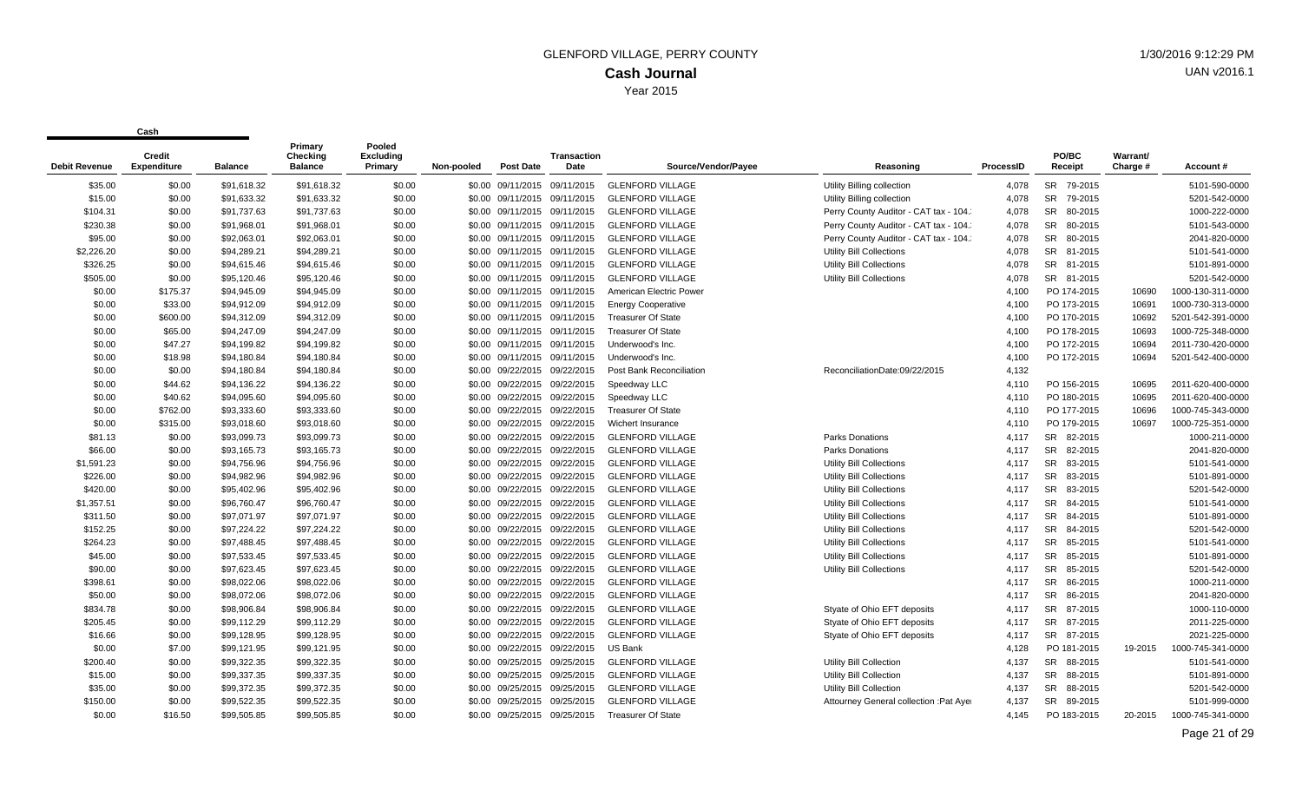| <b>Debit Revenue</b> | Credit<br>Expenditure | <b>Balance</b> | Primary<br><b>Checking</b><br><b>Balance</b> | Pooled<br><b>Excluding</b><br>Primary | Non-pooled | <b>Post Date</b>             | Transaction<br>Date          | Source/Vendor/Payee       | Reasoning                               | ProcessID | PO/BC<br>Receipt     | Warrant/<br>Charge # | Account#          |
|----------------------|-----------------------|----------------|----------------------------------------------|---------------------------------------|------------|------------------------------|------------------------------|---------------------------|-----------------------------------------|-----------|----------------------|----------------------|-------------------|
| \$35.00              | \$0.00                | \$91,618.32    | \$91,618.32                                  | \$0.00                                |            | \$0.00 09/11/2015            | 09/11/2015                   | <b>GLENFORD VILLAGE</b>   | Utility Billing collection              | 4,078     | SR 79-2015           |                      | 5101-590-0000     |
| \$15.00              | \$0.00                | \$91,633.32    | \$91,633.32                                  | \$0.00                                |            | \$0.00 09/11/2015 09/11/2015 |                              | <b>GLENFORD VILLAGE</b>   | Utility Billing collection              | 4.078     | SR 79-2015           |                      | 5201-542-0000     |
| \$104.31             | \$0.00                | \$91,737.63    | \$91,737.63                                  | \$0.00                                |            | \$0.00 09/11/2015            | 09/11/2015                   | <b>GLENFORD VILLAGE</b>   | Perry County Auditor - CAT tax - 104.   | 4,078     | <b>SR</b><br>80-2015 |                      | 1000-222-0000     |
| \$230.38             | \$0.00                | \$91,968.01    | \$91,968.01                                  | \$0.00                                |            | \$0.00 09/11/2015            | 09/11/2015                   | <b>GLENFORD VILLAGE</b>   | Perry County Auditor - CAT tax - 104.   | 4.078     | <b>SR</b><br>80-2015 |                      | 5101-543-0000     |
| \$95.00              | \$0.00                | \$92,063.01    | \$92,063.01                                  | \$0.00                                |            | \$0.00 09/11/2015 09/11/2015 |                              | <b>GLENFORD VILLAGE</b>   | Perry County Auditor - CAT tax - 104.   | 4,078     | SR 80-2015           |                      | 2041-820-0000     |
| \$2,226.20           | \$0.00                | \$94,289.21    | \$94,289.21                                  | \$0.00                                |            | \$0.00 09/11/2015            | 09/11/2015                   | <b>GLENFORD VILLAGE</b>   | <b>Utility Bill Collections</b>         | 4,078     | SR 81-2015           |                      | 5101-541-0000     |
| \$326.25             | \$0.00                | \$94,615.46    | \$94,615.46                                  | \$0.00                                |            | \$0.00 09/11/2015            | 09/11/2015                   | <b>GLENFORD VILLAGE</b>   | Utility Bill Collections                | 4,078     | SR 81-2015           |                      | 5101-891-0000     |
| \$505.00             | \$0.00                | \$95.120.46    | \$95.120.46                                  | \$0.00                                |            | \$0.00 09/11/2015 09/11/2015 |                              | <b>GLENFORD VILLAGE</b>   | Utility Bill Collections                | 4.078     | SR 81-2015           |                      | 5201-542-0000     |
| \$0.00               | \$175.37              | \$94,945.09    | \$94,945.09                                  | \$0.00                                |            | \$0.00 09/11/2015 09/11/2015 |                              | American Electric Power   |                                         | 4,100     | PO 174-2015          | 10690                | 1000-130-311-0000 |
| \$0.00               | \$33.00               | \$94,912.09    | \$94,912.09                                  | \$0.00                                |            | \$0.00 09/11/2015 09/11/2015 |                              | <b>Energy Cooperative</b> |                                         | 4,100     | PO 173-2015          | 10691                | 1000-730-313-0000 |
| \$0.00               | \$600.00              | \$94,312.09    | \$94,312.09                                  | \$0.00                                |            | \$0.00 09/11/2015            | 09/11/2015                   | <b>Treasurer Of State</b> |                                         | 4,100     | PO 170-2015          | 10692                | 5201-542-391-0000 |
| \$0.00               | \$65.00               | \$94,247.09    | \$94,247.09                                  | \$0.00                                |            | \$0.00 09/11/2015 09/11/2015 |                              | <b>Treasurer Of State</b> |                                         | 4.100     | PO 178-2015          | 10693                | 1000-725-348-0000 |
| \$0.00               | \$47.27               | \$94,199.82    | \$94,199.82                                  | \$0.00                                |            | \$0.00 09/11/2015            | 09/11/2015                   | Underwood's Inc.          |                                         | 4,100     | PO 172-2015          | 10694                | 2011-730-420-0000 |
| \$0.00               | \$18.98               | \$94,180.84    | \$94,180.84                                  | \$0.00                                |            | \$0.00 09/11/2015            | 09/11/2015                   | Underwood's Inc.          |                                         | 4,100     | PO 172-2015          | 10694                | 5201-542-400-0000 |
| \$0.00               | \$0.00                | \$94,180.84    | \$94,180.84                                  | \$0.00                                |            | \$0.00 09/22/2015 09/22/2015 |                              | Post Bank Reconciliation  | ReconciliationDate:09/22/2015           | 4,132     |                      |                      |                   |
| \$0.00               | \$44.62               | \$94,136.22    | \$94,136.22                                  | \$0.00                                |            | \$0.00 09/22/2015            | 09/22/2015                   | Speedway LLC              |                                         | 4,110     | PO 156-2015          | 10695                | 2011-620-400-0000 |
| \$0.00               | \$40.62               | \$94,095.60    | \$94,095.60                                  | \$0.00                                |            | \$0.00 09/22/2015            | 09/22/2015                   | Speedway LLC              |                                         | 4,110     | PO 180-2015          | 10695                | 2011-620-400-0000 |
| \$0.00               | \$762.00              | \$93,333.60    | \$93,333.60                                  | \$0.00                                |            |                              | \$0.00 09/22/2015 09/22/2015 | <b>Treasurer Of State</b> |                                         | 4.110     | PO 177-2015          | 10696                | 1000-745-343-0000 |
| \$0.00               | \$315.00              | \$93,018.60    | \$93,018.60                                  | \$0.00                                |            | \$0.00 09/22/2015            | 09/22/2015                   | Wichert Insurance         |                                         | 4.110     | PO 179-2015          | 10697                | 1000-725-351-0000 |
| \$81.13              | \$0.00                | \$93,099.73    | \$93,099.73                                  | \$0.00                                |            | \$0.00 09/22/2015            | 09/22/2015                   | <b>GLENFORD VILLAGE</b>   | <b>Parks Donations</b>                  | 4,117     | SR 82-2015           |                      | 1000-211-0000     |
| \$66.00              | \$0.00                | \$93,165.73    | \$93,165.73                                  | \$0.00                                |            | \$0.00 09/22/2015            | 09/22/2015                   | <b>GLENFORD VILLAGE</b>   | <b>Parks Donations</b>                  | 4.117     | <b>SR</b><br>82-2015 |                      | 2041-820-0000     |
| \$1,591.23           | \$0.00                | \$94,756.96    | \$94,756.96                                  | \$0.00                                |            | \$0.00 09/22/2015 09/22/2015 |                              | <b>GLENFORD VILLAGE</b>   | Utility Bill Collections                | 4,117     | <b>SR</b><br>83-2015 |                      | 5101-541-0000     |
| \$226.00             | \$0.00                | \$94,982.96    | \$94,982.96                                  | \$0.00                                |            |                              | \$0.00 09/22/2015 09/22/2015 | <b>GLENFORD VILLAGE</b>   | Utility Bill Collections                | 4,117     | <b>SR</b><br>83-2015 |                      | 5101-891-0000     |
| \$420.00             | \$0.00                | \$95,402.96    | \$95,402.96                                  | \$0.00                                |            | \$0.00 09/22/2015            | 09/22/2015                   | <b>GLENFORD VILLAGE</b>   | Utility Bill Collections                | 4.117     | <b>SR</b><br>83-2015 |                      | 5201-542-0000     |
| \$1,357.51           | \$0.00                | \$96,760.47    | \$96,760.47                                  | \$0.00                                |            | \$0.00 09/22/2015 09/22/2015 |                              | <b>GLENFORD VILLAGE</b>   | <b>Utility Bill Collections</b>         | 4,117     | <b>SR</b><br>84-2015 |                      | 5101-541-0000     |
| \$311.50             | \$0.00                | \$97,071.97    | \$97,071.97                                  | \$0.00                                |            | \$0.00 09/22/2015            | 09/22/2015                   | <b>GLENFORD VILLAGE</b>   | Utility Bill Collections                | 4,117     | <b>SR</b><br>84-2015 |                      | 5101-891-0000     |
| \$152.25             | \$0.00                | \$97,224.22    | \$97,224.22                                  | \$0.00                                |            | \$0.00 09/22/2015            | 09/22/2015                   | <b>GLENFORD VILLAGE</b>   | <b>Utility Bill Collections</b>         | 4.117     | <b>SR</b><br>84-2015 |                      | 5201-542-0000     |
| \$264.23             | \$0.00                | \$97,488.45    | \$97,488.45                                  | \$0.00                                |            | \$0.00 09/22/2015 09/22/2015 |                              | <b>GLENFORD VILLAGE</b>   | <b>Utility Bill Collections</b>         | 4,117     | SR 85-2015           |                      | 5101-541-0000     |
| \$45.00              | \$0.00                | \$97,533.45    | \$97,533.45                                  | \$0.00                                |            | \$0.00 09/22/2015            | 09/22/2015                   | <b>GLENFORD VILLAGE</b>   | <b>Utility Bill Collections</b>         | 4.117     | <b>SR</b><br>85-2015 |                      | 5101-891-0000     |
| \$90.00              | \$0.00                | \$97,623.45    | \$97,623.45                                  | \$0.00                                |            | \$0.00 09/22/2015            | 09/22/2015                   | <b>GLENFORD VILLAGE</b>   | <b>Utility Bill Collections</b>         | 4.117     | <b>SR</b><br>85-2015 |                      | 5201-542-0000     |
| \$398.61             | \$0.00                | \$98,022.06    | \$98,022.06                                  | \$0.00                                |            | \$0.00 09/22/2015            | 09/22/2015                   | <b>GLENFORD VILLAGE</b>   |                                         | 4,117     | <b>SR</b><br>86-2015 |                      | 1000-211-0000     |
| \$50.00              | \$0.00                | \$98,072.06    | \$98,072.06                                  | \$0.00                                |            | \$0.00 09/22/2015            | 09/22/2015                   | <b>GLENFORD VILLAGE</b>   |                                         | 4,117     | SR<br>86-2015        |                      | 2041-820-0000     |
| \$834.78             | \$0.00                | \$98,906.84    | \$98,906.84                                  | \$0.00                                |            |                              | \$0.00 09/22/2015 09/22/2015 | <b>GLENFORD VILLAGE</b>   | Styate of Ohio EFT deposits             | 4,117     | <b>SR</b><br>87-2015 |                      | 1000-110-0000     |
| \$205.45             | \$0.00                | \$99,112.29    | \$99,112.29                                  | \$0.00                                |            | \$0.00 09/22/2015            | 09/22/2015                   | <b>GLENFORD VILLAGE</b>   | Styate of Ohio EFT deposits             | 4.117     | <b>SR</b><br>87-2015 |                      | 2011-225-0000     |
| \$16.66              | \$0.00                | \$99,128.95    | \$99,128.95                                  | \$0.00                                |            | \$0.00 09/22/2015 09/22/2015 |                              | <b>GLENFORD VILLAGE</b>   | Styate of Ohio EFT deposits             | 4,117     | SR 87-2015           |                      | 2021-225-0000     |
| \$0.00               | \$7.00                | \$99,121.95    | \$99,121.95                                  | \$0.00                                |            | \$0.00 09/22/2015            | 09/22/2015                   | US Bank                   |                                         | 4,128     | PO 181-2015          | 19-2015              | 1000-745-341-0000 |
| \$200.40             | \$0.00                | \$99,322.35    | \$99,322.35                                  | \$0.00                                |            | \$0.00 09/25/2015            | 09/25/2015                   | <b>GLENFORD VILLAGE</b>   | Utility Bill Collection                 | 4.137     | SR 88-2015           |                      | 5101-541-0000     |
| \$15.00              | \$0.00                | \$99,337.35    | \$99,337.35                                  | \$0.00                                |            | \$0.00 09/25/2015 09/25/2015 |                              | <b>GLENFORD VILLAGE</b>   | Utility Bill Collection                 | 4,137     | SR 88-2015           |                      | 5101-891-0000     |
| \$35.00              | \$0.00                | \$99,372.35    | \$99,372.35                                  | \$0.00                                |            | \$0.00 09/25/2015            | 09/25/2015                   | <b>GLENFORD VILLAGE</b>   | Utility Bill Collection                 | 4,137     | SR<br>88-2015        |                      | 5201-542-0000     |
| \$150.00             | \$0.00                | \$99,522.35    | \$99,522.35                                  | \$0.00                                | \$0.00     | 09/25/2015                   | 09/25/2015                   | <b>GLENFORD VILLAGE</b>   | Attourney General collection : Pat Ayer | 4.137     | SR 89-2015           |                      | 5101-999-0000     |
| \$0.00               | \$16.50               | \$99.505.85    | \$99.505.85                                  | \$0.00                                |            |                              | \$0.00 09/25/2015 09/25/2015 | <b>Treasurer Of State</b> |                                         | 4.145     | PO 183-2015          | 20-2015              | 1000-745-341-0000 |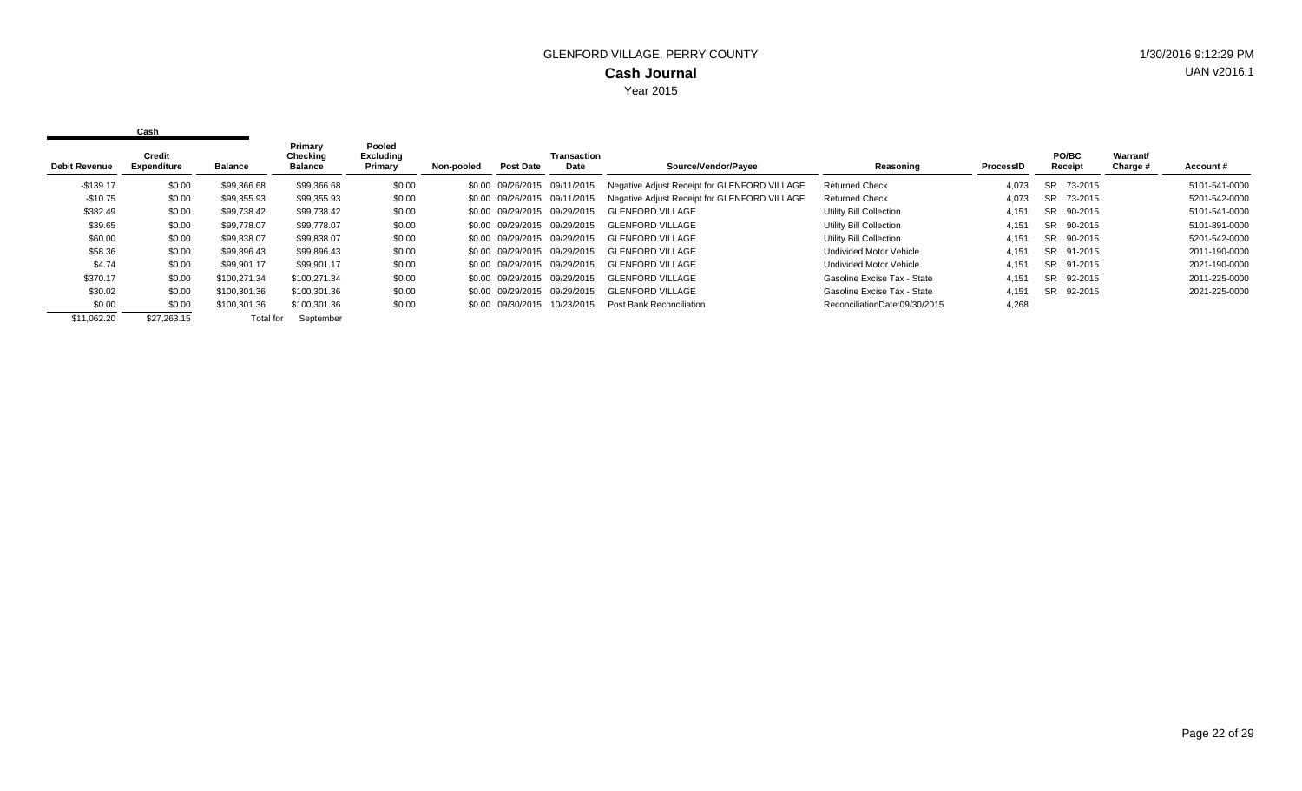| <b>Debit Revenue</b> | Credit<br><b>Expenditure</b> | <b>Balance</b> | Primary<br>Checking<br><b>Balance</b> | Pooled<br><b>Excluding</b><br>Primary | Non-pooled | <b>Post Date</b>             | Transaction<br>Date | Source/Vendor/Payee                          | Reasoning                      | ProcessID | <b>PO/BC</b><br>Receipt | Warrant/<br>Charge # | Account#      |
|----------------------|------------------------------|----------------|---------------------------------------|---------------------------------------|------------|------------------------------|---------------------|----------------------------------------------|--------------------------------|-----------|-------------------------|----------------------|---------------|
| $-$139.17$           | \$0.00                       | \$99,366.68    | \$99,366.68                           | \$0.00                                |            | \$0.00 09/26/2015 09/11/2015 |                     | Negative Adjust Receipt for GLENFORD VILLAGE | <b>Returned Check</b>          | 4.073     | 73-2015<br>SR           |                      | 5101-541-0000 |
| $-$ \$10.75          | \$0.00                       | \$99.355.93    | \$99,355.93                           | \$0.00                                |            | \$0.00 09/26/2015 09/11/2015 |                     | Negative Adjust Receipt for GLENFORD VILLAGE | <b>Returned Check</b>          | 4.073     | SR 73-2015              |                      | 5201-542-0000 |
| \$382.49             | \$0.00                       | \$99,738.42    | \$99,738.42                           | \$0.00                                |            | \$0.00 09/29/2015 09/29/2015 |                     | GLENFORD VILLAGE                             | Utility Bill Collection        | 4,151     | SR 90-2015              |                      | 5101-541-0000 |
| \$39.65              | \$0.00                       | \$99,778.07    | \$99,778.07                           | \$0.00                                |            | \$0.00 09/29/2015 09/29/2015 |                     | GLENFORD VILLAGE                             | Utility Bill Collection        | 4.151     | SR 90-2015              |                      | 5101-891-0000 |
| \$60.00              | \$0.00                       | \$99.838.07    | \$99,838.07                           | \$0.00                                |            | \$0.00 09/29/2015 09/29/2015 |                     | GLENFORD VILLAGE                             | Utility Bill Collection        | 4.151     | SR 90-2015              |                      | 5201-542-0000 |
| \$58.36              | \$0.00                       | \$99,896.43    | \$99,896.43                           | \$0.00                                |            | \$0.00 09/29/2015 09/29/2015 |                     | GLENFORD VILLAGE                             | <b>Undivided Motor Vehicle</b> | 4.151     | SR 91-2015              |                      | 2011-190-0000 |
| \$4.74               | \$0.00                       | \$99.901.17    | \$99,901.17                           | \$0.00                                |            | \$0.00 09/29/2015 09/29/2015 |                     | <b>GLENFORD VILLAGE</b>                      | <b>Undivided Motor Vehicle</b> | 4.151     | SR 91-2015              |                      | 2021-190-0000 |
| \$370.17             | \$0.00                       | \$100.271.34   | \$100.271.34                          | \$0.00                                |            | \$0.00 09/29/2015            | 09/29/2015          | <b>GLENFORD VILLAGE</b>                      | Gasoline Excise Tax - State    | 4.151     | SR 92-2015              |                      | 2011-225-0000 |
| \$30.02              | \$0.00                       | \$100,301.36   | \$100,301.36                          | \$0.00                                |            | \$0.00 09/29/2015            | 09/29/2015          | <b>GLENFORD VILLAGE</b>                      | Gasoline Excise Tax - State    | 4.151     | SR 92-2015              |                      | 2021-225-0000 |
| \$0.00               | \$0.00                       | \$100,301.36   | \$100.301.36                          | \$0.00                                |            | \$0.00 09/30/2015            | 10/23/2015          | Post Bank Reconciliation                     | ReconciliationDate:09/30/2015  | 4,268     |                         |                      |               |
| \$11,062.20          | \$27.263.15                  | Total for      | September                             |                                       |            |                              |                     |                                              |                                |           |                         |                      |               |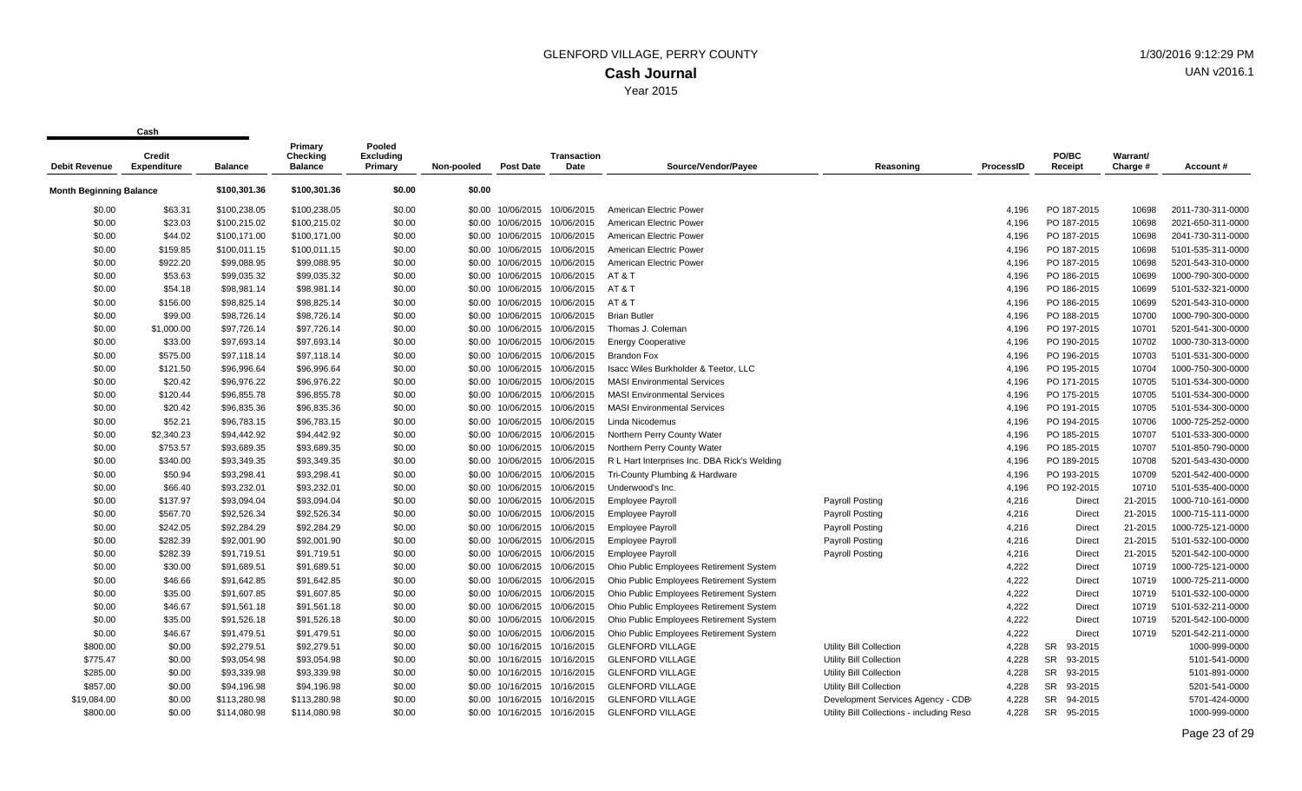| <b>Debit Revenue</b>           | Credit<br><b>Expenditure</b> | <b>Balance</b> | Primary<br>Checking<br><b>Balance</b> | Pooled<br><b>Excluding</b><br>Primary | Non-pooled | <b>Post Date</b>             | <b>Transaction</b><br>Date   | Source/Vendor/Payee                          | Reasoning                                  | <b>ProcessID</b> | PO/BC<br>Receipt     | Warrant/<br>Charge # | Account#          |
|--------------------------------|------------------------------|----------------|---------------------------------------|---------------------------------------|------------|------------------------------|------------------------------|----------------------------------------------|--------------------------------------------|------------------|----------------------|----------------------|-------------------|
|                                |                              |                |                                       |                                       |            |                              |                              |                                              |                                            |                  |                      |                      |                   |
| <b>Month Beginning Balance</b> |                              | \$100,301.36   | \$100,301.36                          | \$0.00                                | \$0.00     |                              |                              |                                              |                                            |                  |                      |                      |                   |
| \$0.00                         | \$63.31                      | \$100,238.05   | \$100,238.05                          | \$0.00                                |            | \$0.00 10/06/2015            | 10/06/2015                   | American Electric Power                      |                                            | 4.196            | PO 187-2015          | 10698                | 2011-730-311-0000 |
| \$0.00                         | \$23.03                      | \$100,215.02   | \$100,215.02                          | \$0.00                                | \$0.00     | 10/06/2015                   | 10/06/2015                   | American Electric Power                      |                                            | 4,196            | PO 187-2015          | 10698                | 2021-650-311-0000 |
| \$0.00                         | \$44.02                      | \$100,171.00   | \$100,171.00                          | \$0.00                                | \$0.00     | 10/06/2015                   | 10/06/2015                   | American Electric Power                      |                                            | 4,196            | PO 187-2015          | 10698                | 2041-730-311-0000 |
| \$0.00                         | \$159.85                     | \$100,011.15   | \$100,011.15                          | \$0.00                                | \$0.00     | 10/06/2015                   | 10/06/2015                   | American Electric Power                      |                                            | 4,196            | PO 187-2015          | 10698                | 5101-535-311-0000 |
| \$0.00                         | \$922.20                     | \$99,088.95    | \$99,088.95                           | \$0.00                                | \$0.00     | 10/06/2015                   | 10/06/2015                   | American Electric Power                      |                                            | 4,196            | PO 187-2015          | 10698                | 5201-543-310-0000 |
| \$0.00                         | \$53.63                      | \$99,035.32    | \$99,035.32                           | \$0.00                                | \$0.00     | 10/06/2015                   | 10/06/2015                   | AT & T                                       |                                            | 4,196            | PO 186-2015          | 10699                | 1000-790-300-0000 |
| \$0.00                         | \$54.18                      | \$98,981.14    | \$98,981.14                           | \$0.00                                |            |                              | \$0.00 10/06/2015 10/06/2015 | AT & T                                       |                                            | 4,196            | PO 186-2015          | 10699                | 5101-532-321-0000 |
| \$0.00                         | \$156.00                     | \$98,825.14    | \$98,825.14                           | \$0.00                                | \$0.00     |                              | 10/06/2015 10/06/2015        | AT&T                                         |                                            | 4,196            | PO 186-2015          | 10699                | 5201-543-310-0000 |
| \$0.00                         | \$99.00                      | \$98,726.14    | \$98,726.14                           | \$0.00                                | \$0.00     | 10/06/2015                   | 10/06/2015                   | <b>Brian Butler</b>                          |                                            | 4,196            | PO 188-2015          | 10700                | 1000-790-300-0000 |
| \$0.00                         | \$1,000.00                   | \$97,726.14    | \$97,726.14                           | \$0.00                                | \$0.00     |                              | 10/06/2015 10/06/2015        | Thomas J. Coleman                            |                                            | 4,196            | PO 197-2015          | 10701                | 5201-541-300-0000 |
| \$0.00                         | \$33.00                      | \$97,693.14    | \$97,693.14                           | \$0.00                                | \$0.00     |                              | 10/06/2015 10/06/2015        | <b>Energy Cooperative</b>                    |                                            | 4,196            | PO 190-2015          | 10702                | 1000-730-313-0000 |
| \$0.00                         | \$575.00                     | \$97,118.14    | \$97,118.14                           | \$0.00                                | \$0.00     | 10/06/2015                   | 10/06/2015                   | <b>Brandon Fox</b>                           |                                            | 4,196            | PO 196-2015          | 10703                | 5101-531-300-0000 |
| \$0.00                         | \$121.50                     | \$96,996.64    | \$96,996.64                           | \$0.00                                | \$0.00     |                              | 10/06/2015 10/06/2015        | Isacc Wiles Burkholder & Teetor, LLC         |                                            | 4,196            | PO 195-2015          | 10704                | 1000-750-300-0000 |
| \$0.00                         | \$20.42                      | \$96,976.22    | \$96,976.22                           | \$0.00                                |            | \$0.00 10/06/2015 10/06/2015 |                              | <b>MASI Environmental Services</b>           |                                            | 4,196            | PO 171-2015          | 10705                | 5101-534-300-0000 |
| \$0.00                         | \$120.44                     | \$96,855.78    | \$96,855.78                           | \$0.00                                | \$0.00     |                              | 10/06/2015 10/06/2015        | <b>MASI Environmental Services</b>           |                                            | 4,196            | PO 175-2015          | 10705                | 5101-534-300-0000 |
| \$0.00                         | \$20.42                      | \$96,835.36    | \$96,835.36                           | \$0.00                                | \$0.00     |                              | 10/06/2015 10/06/2015        | <b>MASI Environmental Services</b>           |                                            | 4,196            | PO 191-2015          | 10705                | 5101-534-300-0000 |
| \$0.00                         | \$52.21                      | \$96,783.15    | \$96,783.15                           | \$0.00                                | \$0.00     |                              | 10/06/2015 10/06/2015        | Linda Nicodemus                              |                                            | 4,196            | PO 194-2015          | 10706                | 1000-725-252-0000 |
| \$0.00                         | \$2,340.23                   | \$94,442.92    | \$94,442.92                           | \$0.00                                | \$0.00     |                              | 10/06/2015 10/06/2015        | Northern Perry County Water                  |                                            | 4,196            | PO 185-2015          | 10707                | 5101-533-300-0000 |
| \$0.00                         | \$753.57                     | \$93,689.35    | \$93,689.35                           | \$0.00                                | \$0.00     | 10/06/2015                   | 10/06/2015                   | Northern Perry County Water                  |                                            | 4,196            | PO 185-2015          | 10707                | 5101-850-790-0000 |
| \$0.00                         | \$340.00                     | \$93,349.35    | \$93,349.35                           | \$0.00                                | \$0.00     |                              | 10/06/2015 10/06/2015        | R L Hart Interprises Inc. DBA Rick's Welding |                                            | 4,196            | PO 189-2015          | 10708                | 5201-543-430-0000 |
| \$0.00                         | \$50.94                      | \$93,298.41    | \$93,298.41                           | \$0.00                                | \$0.00     |                              | 10/06/2015 10/06/2015        | Tri-County Plumbing & Hardware               |                                            | 4,196            | PO 193-2015          | 10709                | 5201-542-400-0000 |
| \$0.00                         | \$66.40                      | \$93,232.01    | \$93,232.01                           | \$0.00                                | \$0.00     |                              | 10/06/2015 10/06/2015        | Underwood's Inc.                             |                                            | 4,196            | PO 192-2015          | 10710                | 5101-535-400-0000 |
| \$0.00                         | \$137.97                     | \$93,094.04    | \$93,094.04                           | \$0.00                                | \$0.00     |                              | 10/06/2015 10/06/2015        | <b>Employee Payroll</b>                      | Payroll Posting                            | 4,216            | <b>Direct</b>        | 21-2015              | 1000-710-161-0000 |
| \$0.00                         | \$567.70                     | \$92,526.34    | \$92,526.34                           | \$0.00                                | \$0.00     |                              | 10/06/2015 10/06/2015        | <b>Employee Payroll</b>                      | Payroll Posting                            | 4,216            | <b>Direct</b>        | 21-2015              | 1000-715-111-0000 |
| \$0.00                         | \$242.05                     | \$92,284.29    | \$92,284.29                           | \$0.00                                | \$0.00     |                              | 10/06/2015 10/06/2015        | <b>Employee Payroll</b>                      | Payroll Posting                            | 4,216            | Direct               | 21-2015              | 1000-725-121-0000 |
| \$0.00                         | \$282.39                     | \$92,001.90    | \$92,001.90                           | \$0.00                                | \$0.00     | 10/06/2015                   | 10/06/2015                   | <b>Employee Payroll</b>                      | <b>Payroll Posting</b>                     | 4,216            | <b>Direct</b>        | 21-2015              | 5101-532-100-0000 |
| \$0.00                         | \$282.39                     | \$91,719.51    | \$91,719.51                           | \$0.00                                |            |                              | \$0.00 10/06/2015 10/06/2015 | <b>Employee Payroll</b>                      | Payroll Posting                            | 4,216            | <b>Direct</b>        | 21-2015              | 5201-542-100-0000 |
| \$0.00                         | \$30.00                      | \$91,689.51    | \$91,689.51                           | \$0.00                                | \$0.00     |                              | 10/06/2015 10/06/2015        | Ohio Public Employees Retirement System      |                                            | 4,222            | Direct               | 10719                | 1000-725-121-0000 |
| \$0.00                         | \$46.66                      | \$91,642.85    | \$91,642.85                           | \$0.00                                | \$0.00     |                              | 10/06/2015 10/06/2015        | Ohio Public Employees Retirement System      |                                            | 4,222            | <b>Direct</b>        | 10719                | 1000-725-211-0000 |
| \$0.00                         | \$35.00                      | \$91,607.85    | \$91,607.85                           | \$0.00                                | \$0.00     |                              | 10/06/2015 10/06/2015        | Ohio Public Employees Retirement System      |                                            | 4,222            | Direct               | 10719                | 5101-532-100-0000 |
| \$0.00                         | \$46.67                      | \$91,561.18    | \$91,561.18                           | \$0.00                                | \$0.00     |                              | 10/06/2015 10/06/2015        | Ohio Public Employees Retirement System      |                                            | 4,222            | Direct               | 10719                | 5101-532-211-0000 |
| \$0.00                         | \$35.00                      | \$91,526.18    | \$91,526.18                           | \$0.00                                | \$0.00     |                              | 10/06/2015 10/06/2015        | Ohio Public Employees Retirement System      |                                            | 4,222            | Direct               | 10719                | 5201-542-100-0000 |
| \$0.00                         | \$46.67                      | \$91,479.51    | \$91,479.51                           | \$0.00                                | \$0.00     |                              | 10/06/2015 10/06/2015        | Ohio Public Employees Retirement System      |                                            | 4,222            | <b>Direct</b>        | 10719                | 5201-542-211-0000 |
| \$800.00                       | \$0.00                       | \$92,279.51    | \$92,279.51                           | \$0.00                                |            |                              | \$0.00 10/16/2015 10/16/2015 | <b>GLENFORD VILLAGE</b>                      | Utility Bill Collection                    | 4,228            | 93-2015<br><b>SR</b> |                      | 1000-999-0000     |
| \$775.47                       | \$0.00                       | \$93,054.98    | \$93,054.98                           | \$0.00                                | \$0.00     |                              | 10/16/2015 10/16/2015        | <b>GLENFORD VILLAGE</b>                      | Utility Bill Collection                    | 4,228            | 93-2015<br><b>SR</b> |                      | 5101-541-0000     |
| \$285.00                       | \$0.00                       | \$93,339.98    | \$93,339.98                           | \$0.00                                | \$0.00     |                              | 10/16/2015 10/16/2015        | <b>GLENFORD VILLAGE</b>                      | Utility Bill Collection                    | 4,228            | <b>SR</b><br>93-2015 |                      | 5101-891-0000     |
| \$857.00                       | \$0.00                       | \$94,196.98    | \$94,196.98                           | \$0.00                                | \$0.00     |                              | 10/16/2015 10/16/2015        | <b>GLENFORD VILLAGE</b>                      | Utility Bill Collection                    | 4,228            | <b>SR</b><br>93-2015 |                      | 5201-541-0000     |
| \$19,084.00                    | \$0.00                       | \$113,280.98   | \$113,280.98                          | \$0.00                                | \$0.00     |                              | 10/16/2015 10/16/2015        | <b>GLENFORD VILLAGE</b>                      | Development Services Agency - CDB          | 4,228            | <b>SR</b><br>94-2015 |                      | 5701-424-0000     |
| \$800.00                       | \$0.00                       | \$114.080.98   | \$114,080.98                          | \$0.00                                |            |                              | \$0.00 10/16/2015 10/16/2015 | <b>GLENFORD VILLAGE</b>                      | Utility Bill Collections - including Resol | 4,228            | <b>SR</b><br>95-2015 |                      | 1000-999-0000     |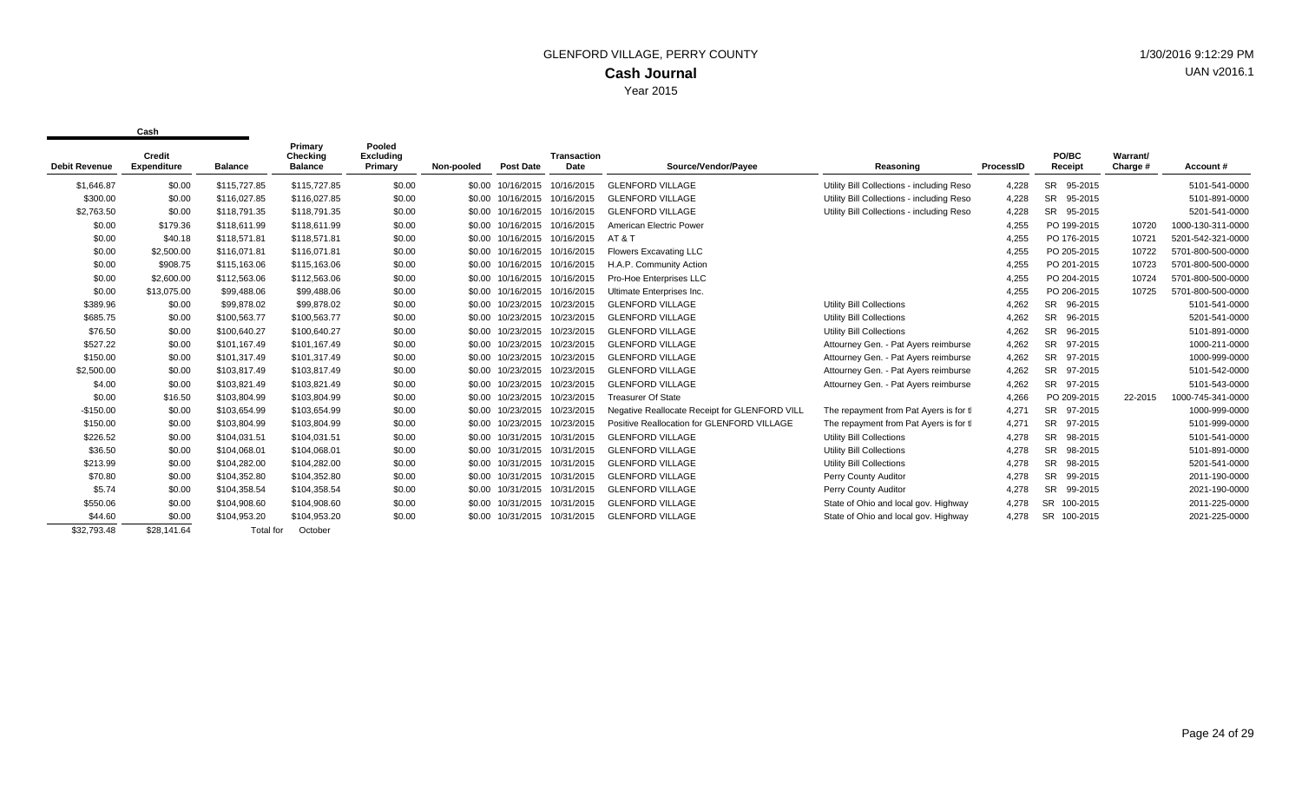|                      | Credit             |                  | Primary<br>Checking | Pooled<br>Excluding |            |                  | Transaction |                                               |                                            |           | PO/BC                 | Warrant/ |                   |
|----------------------|--------------------|------------------|---------------------|---------------------|------------|------------------|-------------|-----------------------------------------------|--------------------------------------------|-----------|-----------------------|----------|-------------------|
| <b>Debit Revenue</b> | <b>Expenditure</b> | <b>Balance</b>   | <b>Balance</b>      | Primary             | Non-pooled | <b>Post Date</b> | Date        | Source/Vendor/Payee                           | Reasoning                                  | ProcessID | Receipt               | Charge # | Account#          |
| \$1,646.87           | \$0.00             | \$115,727.85     | \$115,727.85        | \$0.00              | \$0.00     | 10/16/2015       | 10/16/2015  | <b>GLENFORD VILLAGE</b>                       | Utility Bill Collections - including Resol | 4,228     | <b>SR</b><br>95-2015  |          | 5101-541-0000     |
| \$300.00             | \$0.00             | \$116,027.85     | \$116,027.85        | \$0.00              | \$0.00     | 10/16/2015       | 10/16/2015  | <b>GLENFORD VILLAGE</b>                       | Utility Bill Collections - including Resol | 4,228     | <b>SR</b><br>95-2015  |          | 5101-891-0000     |
| \$2,763.50           | \$0.00             | \$118,791.35     | \$118,791.35        | \$0.00              | \$0.00     | 10/16/2015       | 10/16/2015  | <b>GLENFORD VILLAGE</b>                       | Utility Bill Collections - including Resol | 4,228     | SR 95-2015            |          | 5201-541-0000     |
| \$0.00               | \$179.36           | \$118,611.99     | \$118,611.99        | \$0.00              | \$0.00     | 10/16/2015       | 10/16/2015  | <b>American Electric Power</b>                |                                            | 4,255     | PO 199-2015           | 10720    | 1000-130-311-0000 |
| \$0.00               | \$40.18            | \$118,571.81     | \$118,571.81        | \$0.00              | \$0.00     | 10/16/2015       | 10/16/2015  | AT & T                                        |                                            | 4,255     | PO 176-2015           | 10721    | 5201-542-321-0000 |
| \$0.00               | \$2,500.00         | \$116,071.81     | \$116,071.81        | \$0.00              | \$0.00     | 10/16/2015       | 10/16/2015  | <b>Flowers Excavating LLC</b>                 |                                            | 4,255     | PO 205-2015           | 10722    | 5701-800-500-0000 |
| \$0.00               | \$908.75           | \$115,163.06     | \$115,163.06        | \$0.00              | \$0.00     | 10/16/2015       | 10/16/2015  | H.A.P. Community Action                       |                                            | 4,255     | PO 201-2015           | 10723    | 5701-800-500-0000 |
| \$0.00               | \$2,600.00         | \$112,563.06     | \$112,563.06        | \$0.00              | \$0.00     | 10/16/2015       | 10/16/2015  | Pro-Hoe Enterprises LLC                       |                                            | 4,255     | PO 204-2015           | 10724    | 5701-800-500-0000 |
| \$0.00               | \$13,075.00        | \$99.488.06      | \$99,488.06         | \$0.00              | \$0.00     | 10/16/2015       | 10/16/2015  | Ultimate Enterprises Inc.                     |                                            | 4,255     | PO 206-2015           | 10725    | 5701-800-500-0000 |
| \$389.96             | \$0.00             | \$99,878.02      | \$99,878.02         | \$0.00              | \$0.00     | 10/23/2015       | 10/23/2015  | <b>GLENFORD VILLAGE</b>                       | Utility Bill Collections                   | 4,262     | SR 96-2015            |          | 5101-541-0000     |
| \$685.75             | \$0.00             | \$100,563,77     | \$100,563.77        | \$0.00              | \$0.00     | 10/23/2015       | 10/23/2015  | <b>GLENFORD VILLAGE</b>                       | Utility Bill Collections                   | 4,262     | <b>SR</b><br>96-2015  |          | 5201-541-0000     |
| \$76.50              | \$0.00             | \$100,640.27     | \$100,640.27        | \$0.00              | \$0.00     | 10/23/2015       | 10/23/2015  | <b>GLENFORD VILLAGE</b>                       | Utility Bill Collections                   | 4,262     | <b>SR</b><br>96-2015  |          | 5101-891-0000     |
| \$527.22             | \$0.00             | \$101.167.49     | \$101,167.49        | \$0.00              | \$0.00     | 10/23/2015       | 10/23/2015  | <b>GLENFORD VILLAGE</b>                       | Attourney Gen. - Pat Ayers reimburse       | 4,262     | <b>SR</b><br>97-2015  |          | 1000-211-0000     |
| \$150.00             | \$0.00             | \$101,317.49     | \$101,317.49        | \$0.00              | \$0.00     | 10/23/2015       | 10/23/2015  | <b>GLENFORD VILLAGE</b>                       | Attourney Gen. - Pat Ayers reimburse       | 4,262     | SR 97-2015            |          | 1000-999-0000     |
| \$2,500.00           | \$0.00             | \$103,817.49     | \$103,817.49        | \$0.00              | \$0.00     | 10/23/2015       | 10/23/2015  | <b>GLENFORD VILLAGE</b>                       | Attourney Gen. - Pat Ayers reimburse       | 4,262     | <b>SR</b><br>97-2015  |          | 5101-542-0000     |
| \$4.00               | \$0.00             | \$103,821.49     | \$103,821.49        | \$0.00              | \$0.00     | 10/23/2015       | 10/23/2015  | <b>GLENFORD VILLAGE</b>                       | Attourney Gen. - Pat Ayers reimburse       | 4,262     | SR 97-2015            |          | 5101-543-0000     |
| \$0.00               | \$16.50            | \$103,804.99     | \$103,804.99        | \$0.00              | \$0.00     | 10/23/2015       | 10/23/2015  | <b>Treasurer Of State</b>                     |                                            | 4,266     | PO 209-2015           | 22-2015  | 1000-745-341-0000 |
| $-$150.00$           | \$0.00             | \$103,654.99     | \$103,654.99        | \$0.00              | \$0.00     | 10/23/2015       | 10/23/2015  | Negative Reallocate Receipt for GLENFORD VILL | The repayment from Pat Ayers is for tl     | 4,271     | SR 97-2015            |          | 1000-999-0000     |
| \$150.00             | \$0.00             | \$103,804.99     | \$103,804.99        | \$0.00              | \$0.00     | 10/23/2015       | 10/23/2015  | Positive Reallocation for GLENFORD VILLAGE    | The repayment from Pat Ayers is for tl     | 4,271     | <b>SR</b><br>97-2015  |          | 5101-999-0000     |
| \$226.52             | \$0.00             | \$104.031.51     | \$104,031.51        | \$0.00              | \$0.00     | 10/31/2015       | 10/31/2015  | <b>GLENFORD VILLAGE</b>                       | Utility Bill Collections                   | 4,278     | <b>SR</b><br>98-2015  |          | 5101-541-0000     |
| \$36.50              | \$0.00             | \$104.068.01     | \$104,068.01        | \$0.00              | \$0.00     | 10/31/2015       | 10/31/2015  | <b>GLENFORD VILLAGE</b>                       | <b>Utility Bill Collections</b>            | 4,278     | <b>SR</b><br>98-2015  |          | 5101-891-0000     |
| \$213.99             | \$0.00             | \$104,282.00     | \$104,282.00        | \$0.00              | \$0.00     | 10/31/2015       | 10/31/2015  | <b>GLENFORD VILLAGE</b>                       | Utility Bill Collections                   | 4,278     | <b>SR</b><br>98-2015  |          | 5201-541-0000     |
| \$70.80              | \$0.00             | \$104,352.80     | \$104,352.80        | \$0.00              | \$0.00     | 10/31/2015       | 10/31/2015  | <b>GLENFORD VILLAGE</b>                       | Perry County Auditor                       | 4,278     | <b>SR</b><br>99-2015  |          | 2011-190-0000     |
| \$5.74               | \$0.00             | \$104,358.54     | \$104,358.54        | \$0.00              | \$0.00     | 10/31/2015       | 10/31/2015  | <b>GLENFORD VILLAGE</b>                       | Perry County Auditor                       | 4,278     | <b>SR</b><br>99-2015  |          | 2021-190-0000     |
| \$550.06             | \$0.00             | \$104,908.60     | \$104,908.60        | \$0.00              | \$0.00     | 10/31/2015       | 10/31/2015  | <b>GLENFORD VILLAGE</b>                       | State of Ohio and local gov. Highway       | 4,278     | <b>SR</b><br>100-2015 |          | 2011-225-0000     |
| \$44.60              | \$0.00             | \$104,953.20     | \$104,953.20        | \$0.00              | \$0.00     | 10/31/2015       | 10/31/2015  | <b>GLENFORD VILLAGE</b>                       | State of Ohio and local gov. Highway       | 4,278     | <b>SR</b><br>100-2015 |          | 2021-225-0000     |
| \$32.793.48          | \$28,141.64        | <b>Total for</b> | October             |                     |            |                  |             |                                               |                                            |           |                       |          |                   |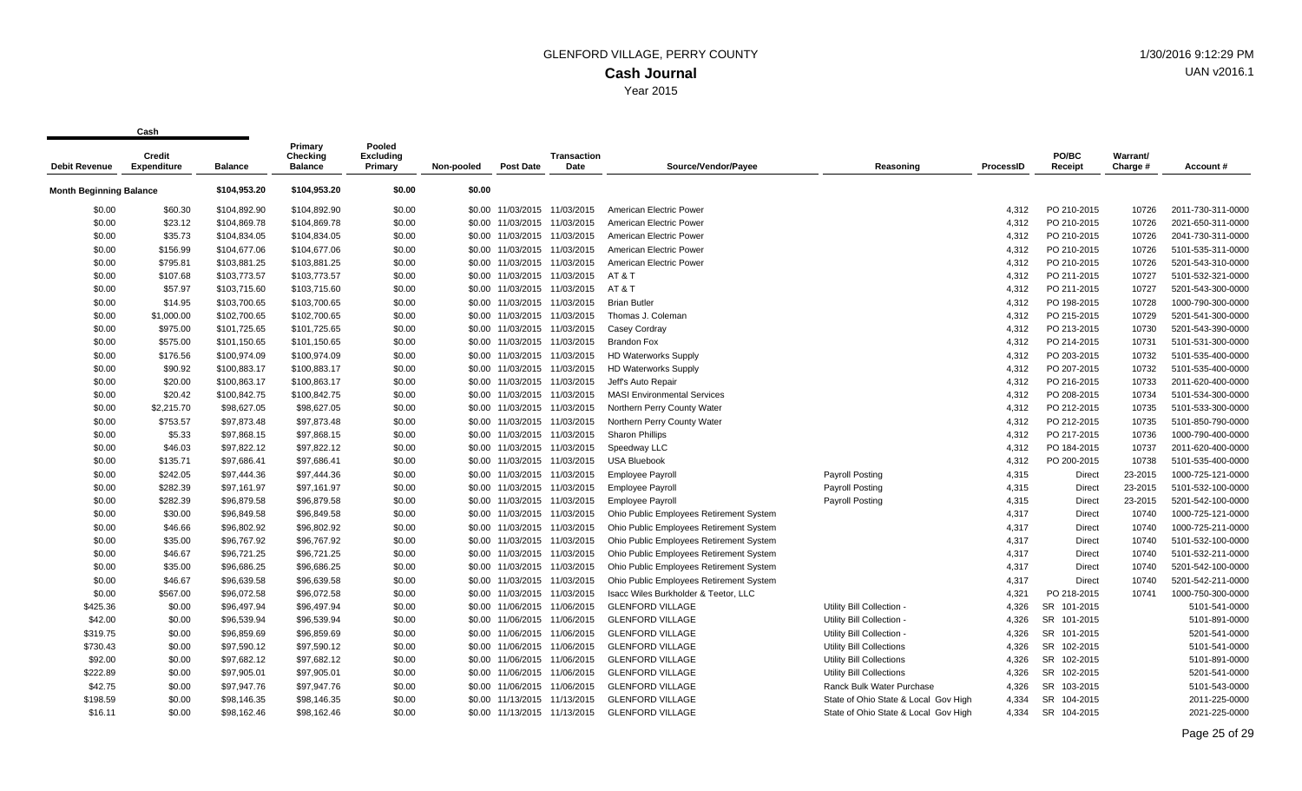| <b>Debit Revenue</b>           | Credit<br><b>Expenditure</b> | <b>Balance</b> | Primary<br>Checking<br><b>Balance</b> | Pooled<br><b>Excluding</b><br>Primary | Non-pooled | <b>Post Date</b>             | Transaction<br>Date          | Source/Vendor/Payee                     | Reasoning                            | <b>ProcessID</b> | PO/BC<br>Receipt      | Warrant/<br>Charge # | Account#          |
|--------------------------------|------------------------------|----------------|---------------------------------------|---------------------------------------|------------|------------------------------|------------------------------|-----------------------------------------|--------------------------------------|------------------|-----------------------|----------------------|-------------------|
|                                |                              |                |                                       |                                       |            |                              |                              |                                         |                                      |                  |                       |                      |                   |
| <b>Month Beginning Balance</b> |                              | \$104,953.20   | \$104,953.20                          | \$0.00                                | \$0.00     |                              |                              |                                         |                                      |                  |                       |                      |                   |
| \$0.00                         | \$60.30                      | \$104,892.90   | \$104,892.90                          | \$0.00                                |            | \$0.00 11/03/2015 11/03/2015 |                              | American Electric Power                 |                                      | 4,312            | PO 210-2015           | 10726                | 2011-730-311-0000 |
| \$0.00                         | \$23.12                      | \$104,869.78   | \$104,869.78                          | \$0.00                                |            | \$0.00 11/03/2015 11/03/2015 |                              | American Electric Power                 |                                      | 4,312            | PO 210-2015           | 10726                | 2021-650-311-0000 |
| \$0.00                         | \$35.73                      | \$104,834.05   | \$104,834.05                          | \$0.00                                |            | \$0.00 11/03/2015 11/03/2015 |                              | American Electric Power                 |                                      | 4,312            | PO 210-2015           | 10726                | 2041-730-311-0000 |
| \$0.00                         | \$156.99                     | \$104,677.06   | \$104,677.06                          | \$0.00                                |            | \$0.00 11/03/2015 11/03/2015 |                              | American Electric Power                 |                                      | 4,312            | PO 210-2015           | 10726                | 5101-535-311-0000 |
| \$0.00                         | \$795.81                     | \$103,881.25   | \$103,881.25                          | \$0.00                                |            | \$0.00 11/03/2015 11/03/2015 |                              | American Electric Power                 |                                      | 4,312            | PO 210-2015           | 10726                | 5201-543-310-0000 |
| \$0.00                         | \$107.68                     | \$103,773.57   | \$103,773.57                          | \$0.00                                |            |                              | \$0.00 11/03/2015 11/03/2015 | AT & T                                  |                                      | 4,312            | PO 211-2015           | 10727                | 5101-532-321-0000 |
| \$0.00                         | \$57.97                      | \$103,715.60   | \$103,715.60                          | \$0.00                                |            |                              | \$0.00 11/03/2015 11/03/2015 | AT&T                                    |                                      | 4,312            | PO 211-2015           | 10727                | 5201-543-300-0000 |
| \$0.00                         | \$14.95                      | \$103,700.65   | \$103,700.65                          | \$0.00                                |            | \$0.00 11/03/2015 11/03/2015 |                              | <b>Brian Butler</b>                     |                                      | 4,312            | PO 198-2015           | 10728                | 1000-790-300-0000 |
| \$0.00                         | \$1,000.00                   | \$102,700.65   | \$102,700.65                          | \$0.00                                |            | \$0.00 11/03/2015 11/03/2015 |                              | Thomas J. Coleman                       |                                      | 4,312            | PO 215-2015           | 10729                | 5201-541-300-0000 |
| \$0.00                         | \$975.00                     | \$101,725.65   | \$101,725.65                          | \$0.00                                |            | \$0.00 11/03/2015 11/03/2015 |                              | Casey Cordray                           |                                      | 4,312            | PO 213-2015           | 10730                | 5201-543-390-0000 |
| \$0.00                         | \$575.00                     | \$101,150.65   | \$101,150.65                          | \$0.00                                |            | \$0.00 11/03/2015 11/03/2015 |                              | <b>Brandon Fox</b>                      |                                      | 4,312            | PO 214-2015           | 10731                | 5101-531-300-0000 |
| \$0.00                         | \$176.56                     | \$100,974.09   | \$100,974.09                          | \$0.00                                |            | \$0.00 11/03/2015 11/03/2015 |                              | <b>HD Waterworks Supply</b>             |                                      | 4,312            | PO 203-2015           | 10732                | 5101-535-400-0000 |
| \$0.00                         | \$90.92                      | \$100,883.17   | \$100,883.17                          | \$0.00                                |            | \$0.00 11/03/2015 11/03/2015 |                              | <b>HD Waterworks Supply</b>             |                                      | 4,312            | PO 207-2015           | 10732                | 5101-535-400-0000 |
| \$0.00                         | \$20.00                      | \$100,863.17   | \$100,863.17                          | \$0.00                                |            | \$0.00 11/03/2015 11/03/2015 |                              | Jeff's Auto Repair                      |                                      | 4,312            | PO 216-2015           | 10733                | 2011-620-400-0000 |
| \$0.00                         | \$20.42                      | \$100,842.75   | \$100,842.75                          | \$0.00                                |            | \$0.00 11/03/2015 11/03/2015 |                              | <b>MASI Environmental Services</b>      |                                      | 4,312            | PO 208-2015           | 10734                | 5101-534-300-0000 |
| \$0.00                         | \$2,215.70                   | \$98,627.05    | \$98,627.05                           | \$0.00                                |            | \$0.00 11/03/2015 11/03/2015 |                              | Northern Perry County Water             |                                      | 4.312            | PO 212-2015           | 10735                | 5101-533-300-0000 |
| \$0.00                         | \$753.57                     | \$97.873.48    | \$97,873.48                           | \$0.00                                |            | \$0.00 11/03/2015 11/03/2015 |                              | Northern Perry County Water             |                                      | 4.312            | PO 212-2015           | 10735                | 5101-850-790-0000 |
| \$0.00                         | \$5.33                       | \$97,868.15    | \$97,868.15                           | \$0.00                                |            | \$0.00 11/03/2015 11/03/2015 |                              | <b>Sharon Phillips</b>                  |                                      | 4,312            | PO 217-2015           | 10736                | 1000-790-400-0000 |
| \$0.00                         | \$46.03                      | \$97,822.12    | \$97,822.12                           | \$0.00                                |            | \$0.00 11/03/2015 11/03/2015 |                              | Speedway LLC                            |                                      | 4,312            | PO 184-2015           | 10737                | 2011-620-400-0000 |
| \$0.00                         | \$135.71                     | \$97,686.41    | \$97,686.41                           | \$0.00                                |            | \$0.00 11/03/2015 11/03/2015 |                              | <b>USA Bluebook</b>                     |                                      | 4,312            | PO 200-2015           | 10738                | 5101-535-400-0000 |
| \$0.00                         | \$242.05                     | \$97,444.36    | \$97,444.36                           | \$0.00                                |            | \$0.00 11/03/2015 11/03/2015 |                              | <b>Employee Payroll</b>                 | <b>Payroll Posting</b>               | 4,315            | <b>Direct</b>         | 23-2015              | 1000-725-121-0000 |
| \$0.00                         | \$282.39                     | \$97,161.97    | \$97,161.97                           | \$0.00                                |            | \$0.00 11/03/2015 11/03/2015 |                              | <b>Employee Payroll</b>                 | <b>Payroll Posting</b>               | 4,315            | Direct                | 23-2015              | 5101-532-100-0000 |
| \$0.00                         | \$282.39                     | \$96,879.58    | \$96,879.58                           | \$0.00                                |            | \$0.00 11/03/2015 11/03/2015 |                              | <b>Employee Payroll</b>                 | <b>Payroll Posting</b>               | 4,315            | Direct                | 23-2015              | 5201-542-100-0000 |
| \$0.00                         | \$30.00                      | \$96,849.58    | \$96,849.58                           | \$0.00                                |            | \$0.00 11/03/2015 11/03/2015 |                              | Ohio Public Employees Retirement System |                                      | 4,317            | Direct                | 10740                | 1000-725-121-0000 |
| \$0.00                         | \$46.66                      | \$96,802.92    | \$96,802.92                           | \$0.00                                |            | \$0.00 11/03/2015 11/03/2015 |                              | Ohio Public Employees Retirement System |                                      | 4,317            | Direct                | 10740                | 1000-725-211-0000 |
| \$0.00                         | \$35.00                      | \$96,767.92    | \$96,767.92                           | \$0.00                                |            | \$0.00 11/03/2015 11/03/2015 |                              | Ohio Public Employees Retirement System |                                      | 4,317            | Direct                | 10740                | 5101-532-100-0000 |
| \$0.00                         | \$46.67                      | \$96,721.25    | \$96,721.25                           | \$0.00                                |            | \$0.00 11/03/2015 11/03/2015 |                              | Ohio Public Employees Retirement System |                                      | 4,317            | Direct                | 10740                | 5101-532-211-0000 |
| \$0.00                         | \$35.00                      | \$96,686.25    | \$96,686.25                           | \$0.00                                |            | \$0.00 11/03/2015 11/03/2015 |                              | Ohio Public Employees Retirement System |                                      | 4,317            | <b>Direct</b>         | 10740                | 5201-542-100-0000 |
| \$0.00                         | \$46.67                      | \$96,639.58    | \$96,639.58                           | \$0.00                                |            | \$0.00 11/03/2015 11/03/2015 |                              | Ohio Public Employees Retirement System |                                      | 4,317            | <b>Direct</b>         | 10740                | 5201-542-211-0000 |
| \$0.00                         | \$567.00                     | \$96,072.58    | \$96,072.58                           | \$0.00                                |            | \$0.00 11/03/2015 11/03/2015 |                              | Isacc Wiles Burkholder & Teetor, LLC    |                                      | 4,321            | PO 218-2015           | 10741                | 1000-750-300-0000 |
| \$425.36                       | \$0.00                       | \$96,497.94    | \$96,497.94                           | \$0.00                                |            | \$0.00 11/06/2015 11/06/2015 |                              | <b>GLENFORD VILLAGE</b>                 | Utility Bill Collection -            | 4,326            | SR 101-2015           |                      | 5101-541-0000     |
| \$42.00                        | \$0.00                       | \$96,539.94    | \$96,539.94                           | \$0.00                                |            | \$0.00 11/06/2015 11/06/2015 |                              | <b>GLENFORD VILLAGE</b>                 | Utility Bill Collection -            | 4,326            | SR 101-2015           |                      | 5101-891-0000     |
| \$319.75                       | \$0.00                       | \$96,859.69    | \$96,859.69                           | \$0.00                                |            | \$0.00 11/06/2015 11/06/2015 |                              | <b>GLENFORD VILLAGE</b>                 | Utility Bill Collection -            | 4,326            | <b>SR</b><br>101-2015 |                      | 5201-541-0000     |
| \$730.43                       | \$0.00                       | \$97,590.12    | \$97,590.12                           | \$0.00                                |            | \$0.00 11/06/2015 11/06/2015 |                              | <b>GLENFORD VILLAGE</b>                 | Utility Bill Collections             | 4,326            | SR 102-2015           |                      | 5101-541-0000     |
| \$92.00                        | \$0.00                       | \$97,682.12    | \$97,682.12                           | \$0.00                                |            | \$0.00 11/06/2015 11/06/2015 |                              | <b>GLENFORD VILLAGE</b>                 | Utility Bill Collections             | 4,326            | SR 102-2015           |                      | 5101-891-0000     |
| \$222.89                       | \$0.00                       | \$97,905.01    | \$97,905.01                           | \$0.00                                |            | \$0.00 11/06/2015 11/06/2015 |                              | <b>GLENFORD VILLAGE</b>                 | Utility Bill Collections             | 4,326            | SR 102-2015           |                      | 5201-541-0000     |
| \$42.75                        | \$0.00                       | \$97,947.76    | \$97,947.76                           | \$0.00                                |            | \$0.00 11/06/2015 11/06/2015 |                              | <b>GLENFORD VILLAGE</b>                 | <b>Ranck Bulk Water Purchase</b>     | 4,326            | <b>SR</b><br>103-2015 |                      | 5101-543-0000     |
| \$198.59                       | \$0.00                       | \$98,146.35    | \$98,146.35                           | \$0.00                                |            | \$0.00 11/13/2015 11/13/2015 |                              | <b>GLENFORD VILLAGE</b>                 | State of Ohio State & Local Gov High | 4,334            | SR 104-2015           |                      | 2011-225-0000     |
| \$16.11                        | \$0.00                       | \$98.162.46    | \$98.162.46                           | \$0.00                                |            | \$0.00 11/13/2015 11/13/2015 |                              | <b>GLENFORD VILLAGE</b>                 | State of Ohio State & Local Gov High | 4.334            | <b>SR</b><br>104-2015 |                      | 2021-225-0000     |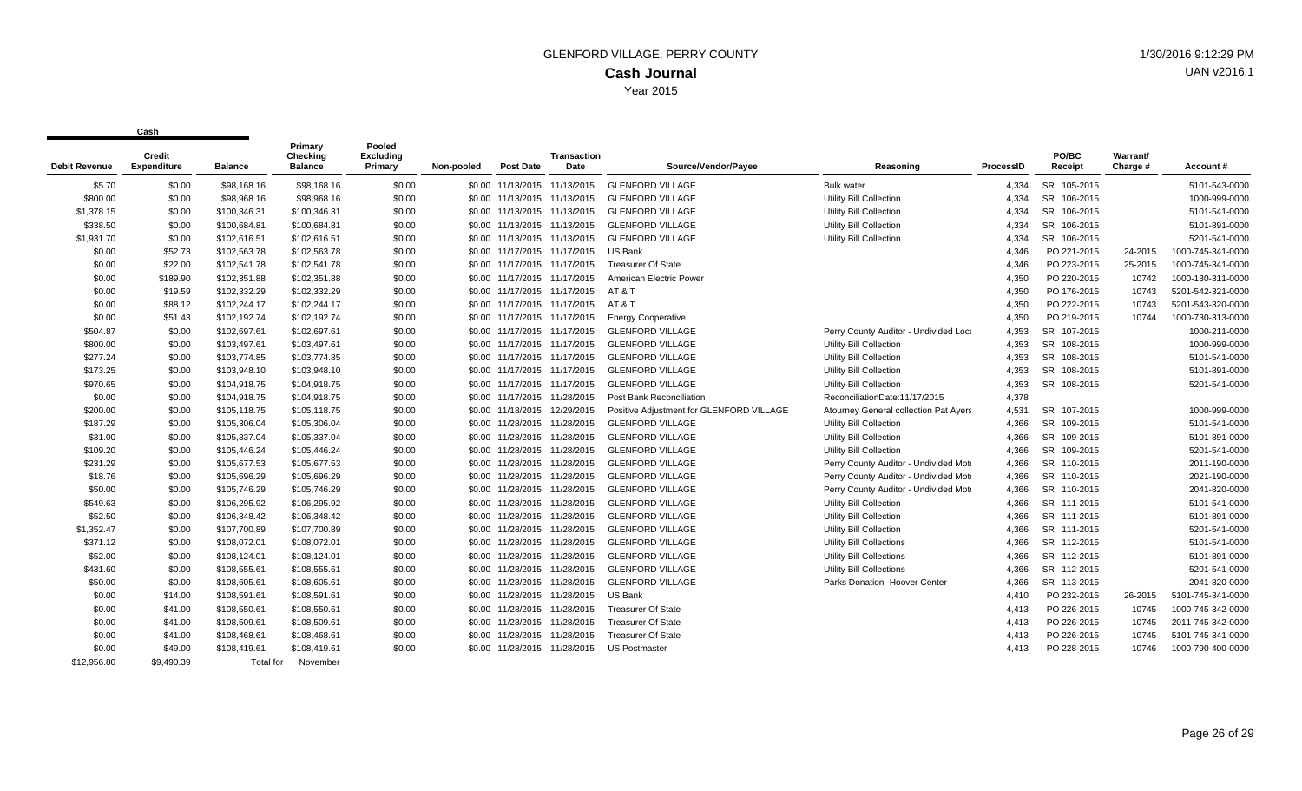| <b>Debit Revenue</b> | Credit<br><b>Expenditure</b> | <b>Balance</b> | Primary<br><b>Checking</b><br><b>Balance</b> | Pooled<br><b>Excluding</b><br>Primary | Non-pooled | <b>Post Date</b>             | <b>Transaction</b><br>Date   | Source/Vendor/Payee                      | Reasoning                             | <b>ProcessID</b> | PO/BC<br>Receipt      | Warrant/<br>Charge # | Account #         |
|----------------------|------------------------------|----------------|----------------------------------------------|---------------------------------------|------------|------------------------------|------------------------------|------------------------------------------|---------------------------------------|------------------|-----------------------|----------------------|-------------------|
| \$5.70               | \$0.00                       | \$98,168.16    | \$98,168.16                                  | \$0.00                                |            | \$0.00 11/13/2015 11/13/2015 |                              | <b>GLENFORD VILLAGE</b>                  | <b>Bulk water</b>                     | 4.334            | SR 105-2015           |                      | 5101-543-0000     |
| \$800.00             | \$0.00                       | \$98,968.16    | \$98,968.16                                  | \$0.00                                |            | \$0.00 11/13/2015 11/13/2015 |                              | <b>GLENFORD VILLAGE</b>                  | Utility Bill Collection               | 4.334            | <b>SR</b><br>106-2015 |                      | 1000-999-0000     |
| \$1,378.15           | \$0.00                       | \$100,346.31   | \$100,346.31                                 | \$0.00                                |            | \$0.00 11/13/2015 11/13/2015 |                              | <b>GLENFORD VILLAGE</b>                  | <b>Utility Bill Collection</b>        | 4,334            | <b>SR</b><br>106-2015 |                      | 5101-541-0000     |
| \$338.50             | \$0.00                       | \$100,684.81   | \$100,684.81                                 | \$0.00                                |            | \$0.00 11/13/2015 11/13/2015 |                              | <b>GLENFORD VILLAGE</b>                  | <b>Utility Bill Collection</b>        | 4,334            | SR 106-2015           |                      | 5101-891-0000     |
| \$1,931.70           | \$0.00                       | \$102,616.51   | \$102,616.51                                 | \$0.00                                |            | \$0.00 11/13/2015 11/13/2015 |                              | <b>GLENFORD VILLAGE</b>                  | Utility Bill Collection               | 4,334            | SR 106-2015           |                      | 5201-541-0000     |
| \$0.00               | \$52.73                      | \$102,563.78   | \$102,563.78                                 | \$0.00                                |            | \$0.00 11/17/2015 11/17/2015 |                              | <b>US Bank</b>                           |                                       | 4.346            | PO 221-2015           | 24-2015              | 1000-745-341-0000 |
| \$0.00               | \$22.00                      | \$102,541.78   | \$102,541.78                                 | \$0.00                                |            | \$0.00 11/17/2015 11/17/2015 |                              | <b>Treasurer Of State</b>                |                                       | 4.346            | PO 223-2015           | 25-2015              | 1000-745-341-0000 |
| \$0.00               | \$189.90                     | \$102,351.88   | \$102,351.88                                 | \$0.00                                |            | \$0.00 11/17/2015 11/17/2015 |                              | American Electric Power                  |                                       | 4,350            | PO 220-2015           | 10742                | 1000-130-311-0000 |
| \$0.00               | \$19.59                      | \$102,332.29   | \$102,332.29                                 | \$0.00                                |            |                              | \$0.00 11/17/2015 11/17/2015 | AT&T                                     |                                       | 4,350            | PO 176-2015           | 10743                | 5201-542-321-0000 |
| \$0.00               | \$88.12                      | \$102,244.17   | \$102,244.17                                 | \$0.00                                |            |                              | \$0.00 11/17/2015 11/17/2015 | AT & T                                   |                                       | 4,350            | PO 222-2015           | 10743                | 5201-543-320-0000 |
| \$0.00               | \$51.43                      | \$102,192.74   | \$102,192.74                                 | \$0.00                                |            | \$0.00 11/17/2015 11/17/2015 |                              | <b>Energy Cooperative</b>                |                                       | 4,350            | PO 219-2015           | 10744                | 1000-730-313-0000 |
| \$504.87             | \$0.00                       | \$102,697.61   | \$102,697.61                                 | \$0.00                                |            | \$0.00 11/17/2015 11/17/2015 |                              | <b>GLENFORD VILLAGE</b>                  | Perry County Auditor - Undivided Loca | 4,353            | SR 107-2015           |                      | 1000-211-0000     |
| \$800.00             | \$0.00                       | \$103,497.61   | \$103,497.61                                 | \$0.00                                |            | \$0.00 11/17/2015 11/17/2015 |                              | <b>GLENFORD VILLAGE</b>                  | <b>Utility Bill Collection</b>        | 4,353            | SR 108-2015           |                      | 1000-999-0000     |
| \$277.24             | \$0.00                       | \$103,774.85   | \$103,774.85                                 | \$0.00                                |            | \$0.00 11/17/2015 11/17/2015 |                              | <b>GLENFORD VILLAGE</b>                  | <b>Utility Bill Collection</b>        | 4,353            | <b>SR</b><br>108-2015 |                      | 5101-541-0000     |
| \$173.25             | \$0.00                       | \$103,948.10   | \$103,948.10                                 | \$0.00                                |            | \$0.00 11/17/2015 11/17/2015 |                              | <b>GLENFORD VILLAGE</b>                  | <b>Utility Bill Collection</b>        | 4,353            | <b>SR</b><br>108-2015 |                      | 5101-891-0000     |
| \$970.65             | \$0.00                       | \$104.918.75   | \$104,918.75                                 | \$0.00                                |            | \$0.00 11/17/2015 11/17/2015 |                              | <b>GLENFORD VILLAGE</b>                  | <b>Utility Bill Collection</b>        | 4,353            | SR 108-2015           |                      | 5201-541-0000     |
| \$0.00               | \$0.00                       | \$104,918.75   | \$104,918.75                                 | \$0.00                                |            | \$0.00 11/17/2015 11/28/2015 |                              | Post Bank Reconciliation                 | ReconciliationDate:11/17/2015         | 4,378            |                       |                      |                   |
| \$200.00             | \$0.00                       | \$105,118.75   | \$105,118.75                                 | \$0.00                                |            | \$0.00 11/18/2015 12/29/2015 |                              | Positive Adjustment for GLENFORD VILLAGE | Atourney General collection Pat Ayers | 4,531            | SR 107-2015           |                      | 1000-999-0000     |
| \$187.29             | \$0.00                       | \$105,306.04   | \$105,306.04                                 | \$0.00                                |            | \$0.00 11/28/2015 11/28/2015 |                              | <b>GLENFORD VILLAGE</b>                  | Utility Bill Collection               | 4,366            | SR 109-2015           |                      | 5101-541-0000     |
| \$31.00              | \$0.00                       | \$105,337.04   | \$105,337.04                                 | \$0.00                                |            | \$0.00 11/28/2015 11/28/2015 |                              | <b>GLENFORD VILLAGE</b>                  | <b>Utility Bill Collection</b>        | 4,366            | <b>SR</b><br>109-2015 |                      | 5101-891-0000     |
| \$109.20             | \$0.00                       | \$105.446.24   | \$105,446.24                                 | \$0.00                                |            | \$0.00 11/28/2015 11/28/2015 |                              | <b>GLENFORD VILLAGE</b>                  | <b>Utility Bill Collection</b>        | 4.366            | SR 109-2015           |                      | 5201-541-0000     |
| \$231.29             | \$0.00                       | \$105,677.53   | \$105,677.53                                 | \$0.00                                |            | \$0.00 11/28/2015 11/28/2015 |                              | <b>GLENFORD VILLAGE</b>                  | Perry County Auditor - Undivided Moto | 4,366            | SR 110-2015           |                      | 2011-190-0000     |
| \$18.76              | \$0.00                       | \$105,696.29   | \$105,696.29                                 | \$0.00                                |            | \$0.00 11/28/2015 11/28/2015 |                              | <b>GLENFORD VILLAGE</b>                  | Perry County Auditor - Undivided Moto | 4,366            | SR 110-2015           |                      | 2021-190-0000     |
| \$50.00              | \$0.00                       | \$105,746.29   | \$105,746.29                                 | \$0.00                                |            | \$0.00 11/28/2015 11/28/2015 |                              | <b>GLENFORD VILLAGE</b>                  | Perry County Auditor - Undivided Moto | 4,366            | SR 110-2015           |                      | 2041-820-0000     |
| \$549.63             | \$0.00                       | \$106,295.92   | \$106,295.92                                 | \$0.00                                |            | \$0.00 11/28/2015 11/28/2015 |                              | <b>GLENFORD VILLAGE</b>                  | <b>Utility Bill Collection</b>        | 4.366            | SR 111-2015           |                      | 5101-541-0000     |
| \$52.50              | \$0.00                       | \$106,348.42   | \$106,348.42                                 | \$0.00                                |            | \$0.00 11/28/2015 11/28/2015 |                              | <b>GLENFORD VILLAGE</b>                  | <b>Utility Bill Collection</b>        | 4,366            | SR 111-2015           |                      | 5101-891-0000     |
| \$1,352.47           | \$0.00                       | \$107,700.89   | \$107,700.89                                 | \$0.00                                |            | \$0.00 11/28/2015 11/28/2015 |                              | <b>GLENFORD VILLAGE</b>                  | Utility Bill Collection               | 4,366            | SR 111-2015           |                      | 5201-541-0000     |
| \$371.12             | \$0.00                       | \$108,072.01   | \$108,072.01                                 | \$0.00                                |            | \$0.00 11/28/2015 11/28/2015 |                              | <b>GLENFORD VILLAGE</b>                  | Utility Bill Collections              | 4,366            | SR 112-2015           |                      | 5101-541-0000     |
| \$52.00              | \$0.00                       | \$108,124.01   | \$108,124.01                                 | \$0.00                                |            | \$0.00 11/28/2015 11/28/2015 |                              | <b>GLENFORD VILLAGE</b>                  | <b>Utility Bill Collections</b>       | 4,366            | SR 112-2015           |                      | 5101-891-0000     |
| \$431.60             | \$0.00                       | \$108,555.61   | \$108,555.61                                 | \$0.00                                |            | \$0.00 11/28/2015 11/28/2015 |                              | <b>GLENFORD VILLAGE</b>                  | <b>Utility Bill Collections</b>       | 4.366            | SR 112-2015           |                      | 5201-541-0000     |
| \$50.00              | \$0.00                       | \$108,605.61   | \$108,605.61                                 | \$0.00                                |            | \$0.00 11/28/2015 11/28/2015 |                              | <b>GLENFORD VILLAGE</b>                  | Parks Donation- Hoover Center         | 4,366            | SR 113-2015           |                      | 2041-820-0000     |
| \$0.00               | \$14.00                      | \$108,591.61   | \$108,591.61                                 | \$0.00                                |            | \$0.00 11/28/2015 11/28/2015 |                              | <b>US Bank</b>                           |                                       | 4,410            | PO 232-2015           | 26-2015              | 5101-745-341-0000 |
| \$0.00               | \$41.00                      | \$108,550.61   | \$108,550.61                                 | \$0.00                                |            | \$0.00 11/28/2015 11/28/2015 |                              | <b>Treasurer Of State</b>                |                                       | 4,413            | PO 226-2015           | 10745                | 1000-745-342-0000 |
| \$0.00               | \$41.00                      | \$108,509.61   | \$108,509.61                                 | \$0.00                                |            | \$0.00 11/28/2015 11/28/2015 |                              | <b>Treasurer Of State</b>                |                                       | 4.413            | PO 226-2015           | 10745                | 2011-745-342-0000 |
| \$0.00               | \$41.00                      | \$108,468.61   | \$108,468.61                                 | \$0.00                                |            | \$0.00 11/28/2015 11/28/2015 |                              | <b>Treasurer Of State</b>                |                                       | 4,413            | PO 226-2015           | 10745                | 5101-745-341-0000 |
| \$0.00               | \$49.00                      | \$108,419.61   | \$108,419.61                                 | \$0.00                                |            | \$0.00 11/28/2015 11/28/2015 |                              | <b>US Postmaster</b>                     |                                       | 4,413            | PO 228-2015           | 10746                | 1000-790-400-0000 |
| \$12.956.80          | \$9.490.39                   | Total for      | November                                     |                                       |            |                              |                              |                                          |                                       |                  |                       |                      |                   |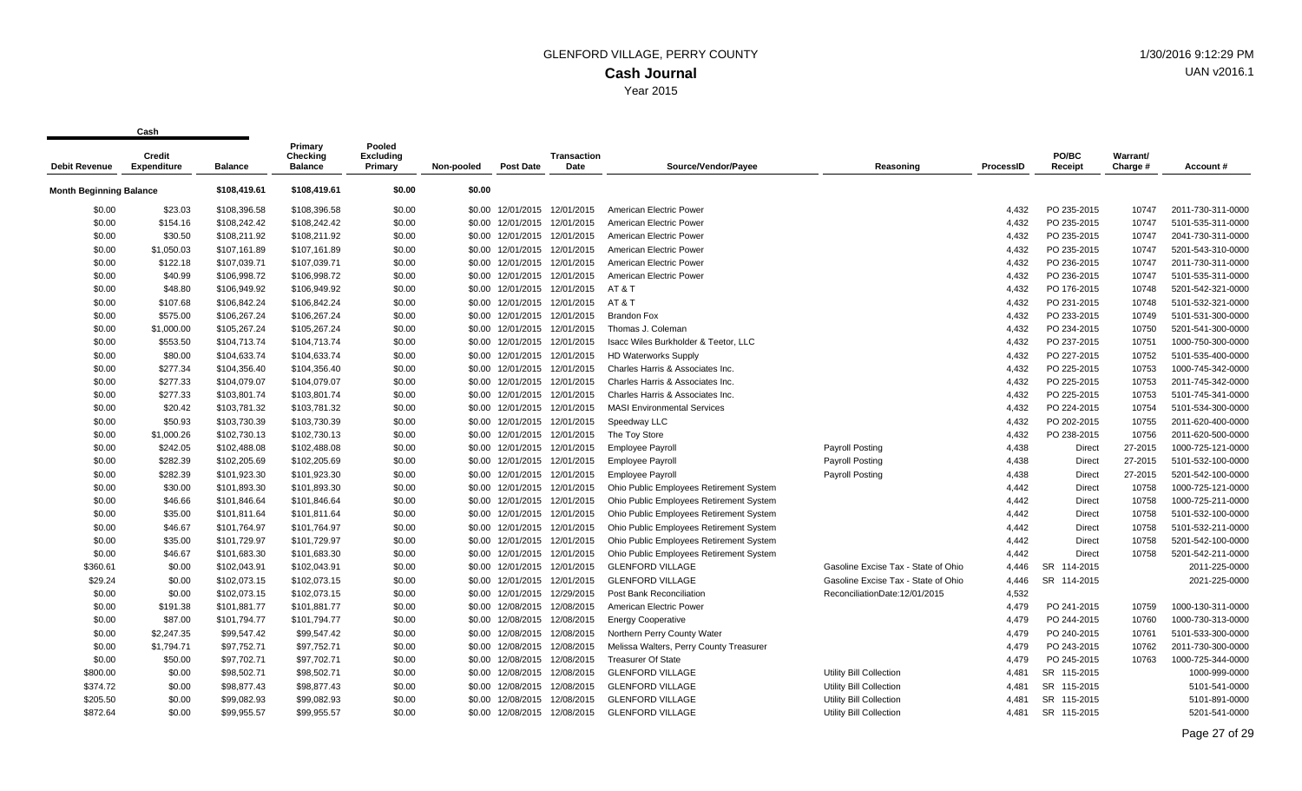|                                | vuji                         |                | Primary                    | Pooled                      |            |                              |                              |                                         |                                     |           |                  |                      |                   |
|--------------------------------|------------------------------|----------------|----------------------------|-----------------------------|------------|------------------------------|------------------------------|-----------------------------------------|-------------------------------------|-----------|------------------|----------------------|-------------------|
| <b>Debit Revenue</b>           | Credit<br><b>Expenditure</b> | <b>Balance</b> | Checking<br><b>Balance</b> | <b>Excluding</b><br>Primary | Non-pooled | <b>Post Date</b>             | Transaction<br>Date          | Source/Vendor/Payee                     | Reasoning                           | ProcessID | PO/BC<br>Receipt | Warrant/<br>Charge # | Account#          |
| <b>Month Beginning Balance</b> |                              | \$108,419.61   | \$108,419.61               | \$0.00                      | \$0.00     |                              |                              |                                         |                                     |           |                  |                      |                   |
| \$0.00                         | \$23.03                      | \$108,396.58   | \$108,396.58               | \$0.00                      |            | \$0.00 12/01/2015            | 12/01/2015                   | American Electric Power                 |                                     | 4,432     | PO 235-2015      | 10747                | 2011-730-311-0000 |
| \$0.00                         | \$154.16                     | \$108,242.42   | \$108,242.42               | \$0.00                      |            | \$0.00 12/01/2015 12/01/2015 |                              | <b>American Electric Power</b>          |                                     | 4,432     | PO 235-2015      | 10747                | 5101-535-311-0000 |
| \$0.00                         | \$30.50                      | \$108,211.92   | \$108,211.92               | \$0.00                      |            | \$0.00 12/01/2015            | 12/01/2015                   | American Electric Power                 |                                     | 4,432     | PO 235-2015      | 10747                | 2041-730-311-0000 |
| \$0.00                         | \$1,050.03                   | \$107,161.89   | \$107,161.89               | \$0.00                      | \$0.00     | 12/01/2015                   | 12/01/2015                   | American Electric Power                 |                                     | 4,432     | PO 235-2015      | 10747                | 5201-543-310-0000 |
| \$0.00                         | \$122.18                     | \$107,039.71   | \$107,039.71               | \$0.00                      |            | \$0.00 12/01/2015 12/01/2015 |                              | <b>American Electric Power</b>          |                                     | 4,432     | PO 236-2015      | 10747                | 2011-730-311-0000 |
| \$0.00                         | \$40.99                      | \$106,998.72   | \$106,998.72               | \$0.00                      |            | \$0.00 12/01/2015            | 12/01/2015                   | American Electric Power                 |                                     | 4,432     | PO 236-2015      | 10747                | 5101-535-311-0000 |
| \$0.00                         | \$48.80                      | \$106,949.92   | \$106,949.92               | \$0.00                      | \$0.00     | 12/01/2015                   | 12/01/2015                   | AT & T                                  |                                     | 4,432     | PO 176-2015      | 10748                | 5201-542-321-0000 |
| \$0.00                         | \$107.68                     | \$106,842.24   | \$106,842.24               | \$0.00                      |            |                              | \$0.00 12/01/2015 12/01/2015 | AT & T                                  |                                     | 4,432     | PO 231-2015      | 10748                | 5101-532-321-0000 |
| \$0.00                         | \$575.00                     | \$106,267.24   | \$106,267.24               | \$0.00                      |            |                              | \$0.00 12/01/2015 12/01/2015 | <b>Brandon Fox</b>                      |                                     | 4,432     | PO 233-2015      | 10749                | 5101-531-300-0000 |
| \$0.00                         | \$1,000.00                   | \$105,267.24   | \$105,267.24               | \$0.00                      |            | \$0.00 12/01/2015            | 12/01/2015                   | Thomas J. Coleman                       |                                     | 4,432     | PO 234-2015      | 10750                | 5201-541-300-0000 |
| \$0.00                         | \$553.50                     | \$104,713.74   | \$104,713.74               | \$0.00                      | \$0.00     | 12/01/2015                   | 12/01/2015                   | Isacc Wiles Burkholder & Teetor, LLC    |                                     | 4,432     | PO 237-2015      | 10751                | 1000-750-300-0000 |
| \$0.00                         | \$80.00                      | \$104,633.74   | \$104,633.74               | \$0.00                      |            |                              | \$0.00 12/01/2015 12/01/2015 | <b>HD Waterworks Supply</b>             |                                     | 4,432     | PO 227-2015      | 10752                | 5101-535-400-0000 |
| \$0.00                         | \$277.34                     | \$104,356.40   | \$104,356.40               | \$0.00                      | \$0.00     | 12/01/2015                   | 12/01/2015                   | Charles Harris & Associates Inc.        |                                     | 4,432     | PO 225-2015      | 10753                | 1000-745-342-0000 |
| \$0.00                         | \$277.33                     | \$104,079.07   | \$104,079.07               | \$0.00                      | \$0.00     | 12/01/2015                   | 12/01/2015                   | Charles Harris & Associates Inc.        |                                     | 4,432     | PO 225-2015      | 10753                | 2011-745-342-0000 |
| \$0.00                         | \$277.33                     | \$103,801.74   | \$103,801.74               | \$0.00                      |            | \$0.00 12/01/2015 12/01/2015 |                              | Charles Harris & Associates Inc.        |                                     | 4,432     | PO 225-2015      | 10753                | 5101-745-341-0000 |
| \$0.00                         | \$20.42                      | \$103,781.32   | \$103,781.32               | \$0.00                      | \$0.00     | 12/01/2015                   | 12/01/2015                   | <b>MASI Environmental Services</b>      |                                     | 4,432     | PO 224-2015      | 10754                | 5101-534-300-0000 |
| \$0.00                         | \$50.93                      | \$103,730.39   | \$103,730.39               | \$0.00                      | \$0.00     | 12/01/2015                   | 12/01/2015                   | Speedway LLC                            |                                     | 4,432     | PO 202-2015      | 10755                | 2011-620-400-0000 |
| \$0.00                         | \$1,000.26                   | \$102,730.13   | \$102,730.13               | \$0.00                      |            | \$0.00 12/01/2015            | 12/01/2015                   | The Toy Store                           |                                     | 4,432     | PO 238-2015      | 10756                | 2011-620-500-0000 |
| \$0.00                         | \$242.05                     | \$102,488.08   | \$102,488.08               | \$0.00                      |            | \$0.00 12/01/2015 12/01/2015 |                              | <b>Employee Payroll</b>                 | <b>Payroll Posting</b>              | 4,438     | Direct           | 27-2015              | 1000-725-121-0000 |
| \$0.00                         | \$282.39                     | \$102,205.69   | \$102,205.69               | \$0.00                      | \$0.00     | 12/01/2015                   | 12/01/2015                   | <b>Employee Payroll</b>                 | <b>Payroll Posting</b>              | 4,438     | Direct           | 27-2015              | 5101-532-100-0000 |
| \$0.00                         | \$282.39                     | \$101,923.30   | \$101,923.30               | \$0.00                      |            | \$0.00 12/01/2015 12/01/2015 |                              | <b>Employee Payroll</b>                 | <b>Payroll Posting</b>              | 4,438     | Direct           | 27-2015              | 5201-542-100-0000 |
| \$0.00                         | \$30.00                      | \$101,893.30   | \$101,893.30               | \$0.00                      |            | \$0.00 12/01/2015 12/01/2015 |                              | Ohio Public Employees Retirement System |                                     | 4,442     | Direct           | 10758                | 1000-725-121-0000 |
| \$0.00                         | \$46.66                      | \$101,846.64   | \$101,846.64               | \$0.00                      | \$0.00     | 12/01/2015                   | 12/01/2015                   | Ohio Public Employees Retirement System |                                     | 4,442     | Direct           | 10758                | 1000-725-211-0000 |
| \$0.00                         | \$35.00                      | \$101,811.64   | \$101,811.64               | \$0.00                      | \$0.00     | 12/01/2015 12/01/2015        |                              | Ohio Public Employees Retirement System |                                     | 4,442     | Direct           | 10758                | 5101-532-100-0000 |
| \$0.00                         | \$46.67                      | \$101,764.97   | \$101,764.97               | \$0.00                      |            | \$0.00 12/01/2015 12/01/2015 |                              | Ohio Public Employees Retirement System |                                     | 4,442     | Direct           | 10758                | 5101-532-211-0000 |
| \$0.00                         | \$35.00                      | \$101,729.97   | \$101,729.97               | \$0.00                      | \$0.00     | 12/01/2015                   | 12/01/2015                   | Ohio Public Employees Retirement System |                                     | 4,442     | Direct           | 10758                | 5201-542-100-0000 |
| \$0.00                         | \$46.67                      | \$101.683.30   | \$101,683.30               | \$0.00                      | \$0.00     |                              | 12/01/2015 12/01/2015        | Ohio Public Employees Retirement System |                                     | 4.442     | <b>Direct</b>    | 10758                | 5201-542-211-0000 |
| \$360.61                       | \$0.00                       | \$102,043.91   | \$102,043.91               | \$0.00                      |            | \$0.00 12/01/2015 12/01/2015 |                              | <b>GLENFORD VILLAGE</b>                 | Gasoline Excise Tax - State of Ohio | 4,446     | SR 114-2015      |                      | 2011-225-0000     |
| \$29.24                        | \$0.00                       | \$102,073.15   | \$102,073.15               | \$0.00                      | \$0.00     | 12/01/2015                   | 12/01/2015                   | <b>GLENFORD VILLAGE</b>                 | Gasoline Excise Tax - State of Ohio | 4,446     | SR 114-2015      |                      | 2021-225-0000     |
| \$0.00                         | \$0.00                       | \$102.073.15   | \$102,073.15               | \$0.00                      | \$0.00     | 12/01/2015                   | 12/29/2015                   | <b>Post Bank Reconciliation</b>         | ReconciliationDate:12/01/2015       | 4,532     |                  |                      |                   |
| \$0.00                         | \$191.38                     | \$101,881.77   | \$101,881.77               | \$0.00                      | \$0.00     | 12/08/2015                   | 12/08/2015                   | American Electric Power                 |                                     | 4,479     | PO 241-2015      | 10759                | 1000-130-311-0000 |
| \$0.00                         | \$87.00                      | \$101,794.77   | \$101,794.77               | \$0.00                      |            | \$0.00 12/08/2015            | 12/08/2015                   | <b>Energy Cooperative</b>               |                                     | 4,479     | PO 244-2015      | 10760                | 1000-730-313-0000 |
| \$0.00                         | \$2,247.35                   | \$99,547.42    | \$99,547.42                | \$0.00                      | \$0.00     | 12/08/2015                   | 12/08/2015                   | Northern Perry County Water             |                                     | 4.479     | PO 240-2015      | 10761                | 5101-533-300-0000 |
| \$0.00                         | \$1,794.71                   | \$97,752.71    | \$97,752.71                | \$0.00                      | \$0.00     | 12/08/2015                   | 12/08/2015                   | Melissa Walters, Perry County Treasurer |                                     | 4,479     | PO 243-2015      | 10762                | 2011-730-300-0000 |
| \$0.00                         | \$50.00                      | \$97,702.71    | \$97,702.71                | \$0.00                      |            | \$0.00 12/08/2015            | 12/08/2015                   | <b>Treasurer Of State</b>               |                                     | 4,479     | PO 245-2015      | 10763                | 1000-725-344-0000 |
| \$800.00                       | \$0.00                       | \$98,502.71    | \$98,502.71                | \$0.00                      | \$0.00     | 12/08/2015                   | 12/08/2015                   | <b>GLENFORD VILLAGE</b>                 | <b>Utility Bill Collection</b>      | 4,481     | SR 115-2015      |                      | 1000-999-0000     |
| \$374.72                       | \$0.00                       | \$98,877.43    | \$98,877.43                | \$0.00                      | \$0.00     | 12/08/2015                   | 12/08/2015                   | <b>GLENFORD VILLAGE</b>                 | Utility Bill Collection             | 4,481     | SR 115-2015      |                      | 5101-541-0000     |
| \$205.50                       | \$0.00                       | \$99,082.93    | \$99,082.93                | \$0.00                      | \$0.00     | 12/08/2015                   | 12/08/2015                   | <b>GLENFORD VILLAGE</b>                 | Utility Bill Collection             | 4,481     | SR 115-2015      |                      | 5101-891-0000     |
| \$872.64                       | \$0.00                       | \$99.955.57    | \$99,955.57                | \$0.00                      |            | \$0.00 12/08/2015            | 12/08/2015                   | <b>GLENFORD VILLAGE</b>                 | Utility Bill Collection             | 4.481     | SR 115-2015      |                      | 5201-541-0000     |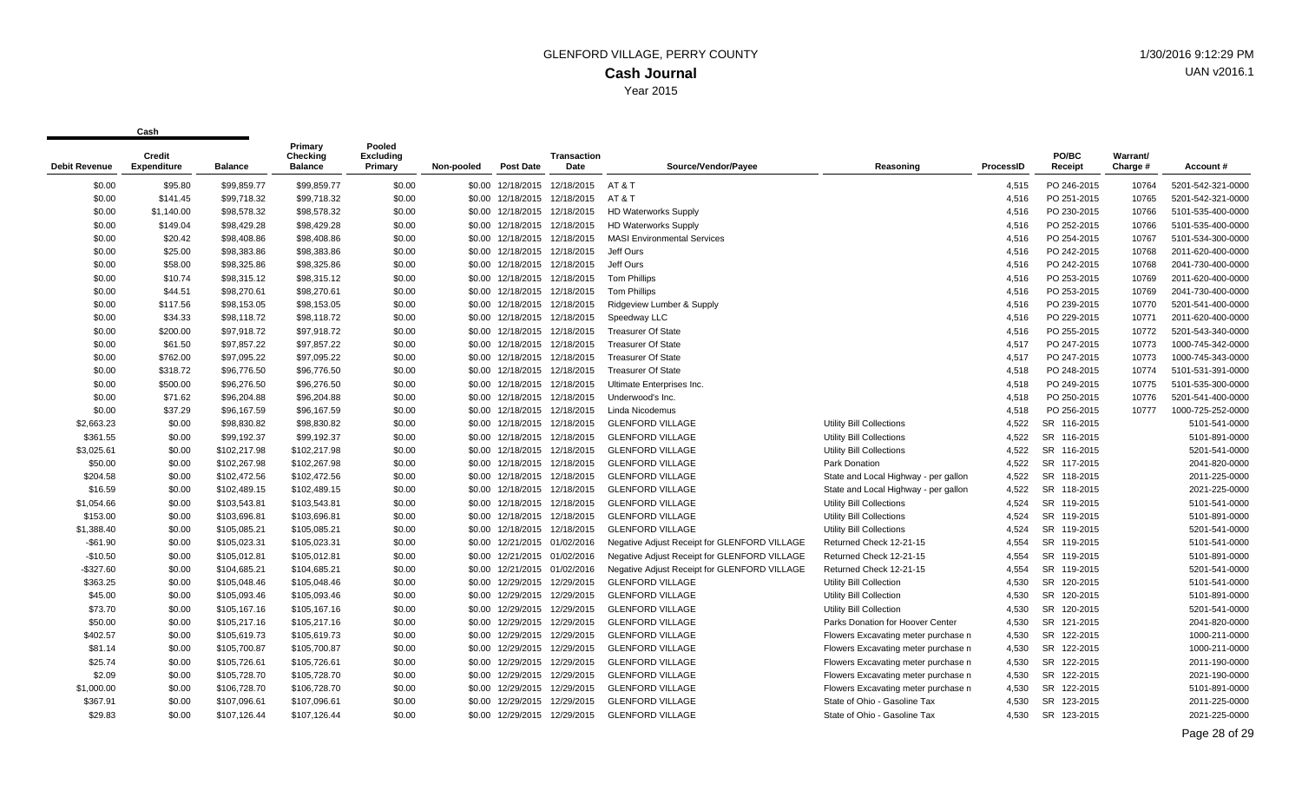| Debit Revenue | Credit<br><b>Expenditure</b> | Balance      | Primary<br>Checking<br><b>Balance</b> | Pooled<br><b>Excluding</b><br>Primary | Non-pooled | <b>Post Date</b>  | <b>Transaction</b><br>Date   | Source/Vendor/Payee                          | Reasoning                            | ProcessID | PO/BC<br>Receipt      | Warrant/<br>Charge # | Account #         |
|---------------|------------------------------|--------------|---------------------------------------|---------------------------------------|------------|-------------------|------------------------------|----------------------------------------------|--------------------------------------|-----------|-----------------------|----------------------|-------------------|
| \$0.00        | \$95.80                      | \$99,859.77  | \$99,859.77                           | \$0.00                                |            |                   | \$0.00 12/18/2015 12/18/2015 | AT & T                                       |                                      | 4,515     | PO 246-2015           | 10764                | 5201-542-321-0000 |
| \$0.00        | \$141.45                     | \$99,718.32  | \$99,718.32                           | \$0.00                                |            |                   | \$0.00 12/18/2015 12/18/2015 | AT & T                                       |                                      | 4,516     | PO 251-2015           | 10765                | 5201-542-321-0000 |
| \$0.00        | \$1,140.00                   | \$98,578.32  | \$98,578.32                           | \$0.00                                |            |                   | \$0.00 12/18/2015 12/18/2015 | <b>HD Waterworks Supply</b>                  |                                      | 4,516     | PO 230-2015           | 10766                | 5101-535-400-0000 |
| \$0.00        | \$149.04                     | \$98,429.28  | \$98,429.28                           | \$0.00                                |            |                   | \$0.00 12/18/2015 12/18/2015 | <b>HD Waterworks Supply</b>                  |                                      | 4,516     | PO 252-2015           | 10766                | 5101-535-400-0000 |
| \$0.00        | \$20.42                      | \$98,408.86  | \$98,408.86                           | \$0.00                                |            |                   | \$0.00 12/18/2015 12/18/2015 | <b>MASI Environmental Services</b>           |                                      | 4,516     | PO 254-2015           | 10767                | 5101-534-300-0000 |
| \$0.00        | \$25.00                      | \$98,383.86  | \$98,383.86                           | \$0.00                                |            |                   | \$0.00 12/18/2015 12/18/2015 | Jeff Ours                                    |                                      | 4,516     | PO 242-2015           | 10768                | 2011-620-400-0000 |
| \$0.00        | \$58.00                      | \$98,325.86  | \$98,325.86                           | \$0.00                                |            |                   | \$0.00 12/18/2015 12/18/2015 | Jeff Ours                                    |                                      | 4,516     | PO 242-2015           | 10768                | 2041-730-400-0000 |
| \$0.00        | \$10.74                      | \$98,315.12  | \$98,315.12                           | \$0.00                                |            |                   | \$0.00 12/18/2015 12/18/2015 | <b>Tom Phillips</b>                          |                                      | 4,516     | PO 253-2015           | 10769                | 2011-620-400-0000 |
| \$0.00        | \$44.51                      | \$98,270.61  | \$98,270.61                           | \$0.00                                |            |                   | \$0.00 12/18/2015 12/18/2015 | <b>Tom Phillips</b>                          |                                      | 4,516     | PO 253-2015           | 10769                | 2041-730-400-0000 |
| \$0.00        | \$117.56                     | \$98,153.05  | \$98,153.05                           | \$0.00                                |            |                   | \$0.00 12/18/2015 12/18/2015 | Ridgeview Lumber & Supply                    |                                      | 4,516     | PO 239-2015           | 10770                | 5201-541-400-0000 |
| \$0.00        | \$34.33                      | \$98,118.72  | \$98,118.72                           | \$0.00                                | \$0.00     |                   | 12/18/2015 12/18/2015        | Speedway LLC                                 |                                      | 4,516     | PO 229-2015           | 10771                | 2011-620-400-0000 |
| \$0.00        | \$200.00                     | \$97,918.72  | \$97,918.72                           | \$0.00                                |            |                   | \$0.00 12/18/2015 12/18/2015 | <b>Treasurer Of State</b>                    |                                      | 4,516     | PO 255-2015           | 10772                | 5201-543-340-0000 |
| \$0.00        | \$61.50                      | \$97,857.22  | \$97,857.22                           | \$0.00                                |            |                   | \$0.00 12/18/2015 12/18/2015 | <b>Treasurer Of State</b>                    |                                      | 4,517     | PO 247-2015           | 10773                | 1000-745-342-0000 |
| \$0.00        | \$762.00                     | \$97,095.22  | \$97,095.22                           | \$0.00                                |            |                   | \$0.00 12/18/2015 12/18/2015 | <b>Treasurer Of State</b>                    |                                      | 4,517     | PO 247-2015           | 10773                | 1000-745-343-0000 |
| \$0.00        | \$318.72                     | \$96,776.50  | \$96,776.50                           | \$0.00                                |            |                   | \$0.00 12/18/2015 12/18/2015 | <b>Treasurer Of State</b>                    |                                      | 4,518     | PO 248-2015           | 10774                | 5101-531-391-0000 |
| \$0.00        | \$500.00                     | \$96,276.50  | \$96,276.50                           | \$0.00                                |            |                   | \$0.00 12/18/2015 12/18/2015 | Ultimate Enterprises Inc.                    |                                      | 4,518     | PO 249-2015           | 10775                | 5101-535-300-0000 |
| \$0.00        | \$71.62                      | \$96,204.88  | \$96,204.88                           | \$0.00                                |            |                   | \$0.00 12/18/2015 12/18/2015 | Underwood's Inc.                             |                                      | 4,518     | PO 250-2015           | 10776                | 5201-541-400-0000 |
| \$0.00        | \$37.29                      | \$96,167.59  | \$96,167.59                           | \$0.00                                | \$0.00     | 12/18/2015        | 12/18/2015                   | Linda Nicodemus                              |                                      | 4,518     | PO 256-2015           | 10777                | 1000-725-252-0000 |
| \$2,663.23    | \$0.00                       | \$98,830.82  | \$98,830.82                           | \$0.00                                |            |                   | \$0.00 12/18/2015 12/18/2015 | <b>GLENFORD VILLAGE</b>                      | <b>Utility Bill Collections</b>      | 4,522     | SR 116-2015           |                      | 5101-541-0000     |
| \$361.55      | \$0.00                       | \$99,192.37  | \$99,192.37                           | \$0.00                                |            |                   | \$0.00 12/18/2015 12/18/2015 | <b>GLENFORD VILLAGE</b>                      | Utility Bill Collections             | 4,522     | SR 116-2015           |                      | 5101-891-0000     |
| \$3,025.61    | \$0.00                       | \$102,217.98 | \$102,217.98                          | \$0.00                                | \$0.00     |                   | 12/18/2015 12/18/2015        | <b>GLENFORD VILLAGE</b>                      | <b>Utility Bill Collections</b>      | 4,522     | SR 116-2015           |                      | 5201-541-0000     |
| \$50.00       | \$0.00                       | \$102,267.98 | \$102,267.98                          | \$0.00                                |            |                   | \$0.00 12/18/2015 12/18/2015 | <b>GLENFORD VILLAGE</b>                      | Park Donation                        | 4,522     | SR 117-2015           |                      | 2041-820-0000     |
| \$204.58      | \$0.00                       | \$102,472.56 | \$102,472.56                          | \$0.00                                |            |                   | \$0.00 12/18/2015 12/18/2015 | <b>GLENFORD VILLAGE</b>                      | State and Local Highway - per gallon | 4,522     | SR 118-2015           |                      | 2011-225-0000     |
| \$16.59       | \$0.00                       | \$102,489.15 | \$102,489.15                          | \$0.00                                |            |                   | \$0.00 12/18/2015 12/18/2015 | <b>GLENFORD VILLAGE</b>                      | State and Local Highway - per gallon | 4,522     | SR 118-2015           |                      | 2021-225-0000     |
| \$1,054.66    | \$0.00                       | \$103,543.81 | \$103,543.81                          | \$0.00                                | \$0.00     |                   | 12/18/2015 12/18/2015        | <b>GLENFORD VILLAGE</b>                      | Utility Bill Collections             | 4,524     | SR 119-2015           |                      | 5101-541-0000     |
| \$153.00      | \$0.00                       | \$103,696.81 | \$103,696.81                          | \$0.00                                |            |                   | \$0.00 12/18/2015 12/18/2015 | <b>GLENFORD VILLAGE</b>                      | <b>Utility Bill Collections</b>      | 4,524     | SR 119-2015           |                      | 5101-891-0000     |
| \$1,388.40    | \$0.00                       | \$105,085.21 | \$105,085.21                          | \$0.00                                |            |                   | \$0.00 12/18/2015 12/18/2015 | <b>GLENFORD VILLAGE</b>                      | <b>Utility Bill Collections</b>      | 4,524     | SR 119-2015           |                      | 5201-541-0000     |
| $-$61.90$     | \$0.00                       | \$105,023.31 | \$105,023.31                          | \$0.00                                | \$0.00     | 12/21/2015        | 01/02/2016                   | Negative Adjust Receipt for GLENFORD VILLAGE | Returned Check 12-21-15              | 4,554     | SR 119-2015           |                      | 5101-541-0000     |
| $-$10.50$     | \$0.00                       | \$105,012.81 | \$105,012.81                          | \$0.00                                |            |                   | \$0.00 12/21/2015 01/02/2016 | Negative Adjust Receipt for GLENFORD VILLAGE | Returned Check 12-21-15              | 4,554     | SR 119-2015           |                      | 5101-891-0000     |
| $-$327.60$    | \$0.00                       | \$104,685.21 | \$104,685.21                          | \$0.00                                |            |                   | \$0.00 12/21/2015 01/02/2016 | Negative Adjust Receipt for GLENFORD VILLAGE | Returned Check 12-21-15              | 4,554     | SR 119-2015           |                      | 5201-541-0000     |
| \$363.25      | \$0.00                       | \$105,048.46 | \$105,048.46                          | \$0.00                                |            |                   | \$0.00 12/29/2015 12/29/2015 | <b>GLENFORD VILLAGE</b>                      | Utility Bill Collection              | 4,530     | SR 120-2015           |                      | 5101-541-0000     |
| \$45.00       | \$0.00                       | \$105,093.46 | \$105,093.46                          | \$0.00                                |            |                   | \$0.00 12/29/2015 12/29/2015 | <b>GLENFORD VILLAGE</b>                      | <b>Utility Bill Collection</b>       | 4,530     | SR 120-2015           |                      | 5101-891-0000     |
| \$73.70       | \$0.00                       | \$105,167.16 | \$105,167.16                          | \$0.00                                |            | \$0.00 12/29/2015 | 12/29/2015                   | <b>GLENFORD VILLAGE</b>                      | Utility Bill Collection              | 4,530     | SR 120-2015           |                      | 5201-541-0000     |
| \$50.00       | \$0.00                       | \$105,217.16 | \$105,217.16                          | \$0.00                                |            | \$0.00 12/29/2015 | 12/29/2015                   | <b>GLENFORD VILLAGE</b>                      | Parks Donation for Hoover Center     | 4,530     | SR<br>121-2015        |                      | 2041-820-0000     |
| \$402.57      | \$0.00                       | \$105,619.73 | \$105,619.73                          | \$0.00                                | \$0.00     | 12/29/2015        | 12/29/2015                   | <b>GLENFORD VILLAGE</b>                      | Flowers Excavating meter purchase n  | 4,530     | SR<br>122-2015        |                      | 1000-211-0000     |
| \$81.14       | \$0.00                       | \$105,700.87 | \$105,700.87                          | \$0.00                                |            |                   | \$0.00 12/29/2015 12/29/2015 | <b>GLENFORD VILLAGE</b>                      | Flowers Excavating meter purchase n  | 4,530     | SR 122-2015           |                      | 1000-211-0000     |
| \$25.74       | \$0.00                       | \$105,726.61 | \$105,726.61                          | \$0.00                                |            |                   | \$0.00 12/29/2015 12/29/2015 | <b>GLENFORD VILLAGE</b>                      | Flowers Excavating meter purchase n  | 4,530     | SR 122-2015           |                      | 2011-190-0000     |
| \$2.09        | \$0.00                       | \$105,728.70 | \$105,728.70                          | \$0.00                                | \$0.00     | 12/29/2015        | 12/29/2015                   | <b>GLENFORD VILLAGE</b>                      | Flowers Excavating meter purchase n  | 4,530     | SR 122-2015           |                      | 2021-190-0000     |
| \$1,000.00    | \$0.00                       | \$106,728.70 | \$106,728.70                          | \$0.00                                |            | \$0.00 12/29/2015 | 12/29/2015                   | <b>GLENFORD VILLAGE</b>                      | Flowers Excavating meter purchase n  | 4,530     | <b>SR</b><br>122-2015 |                      | 5101-891-0000     |
| \$367.91      | \$0.00                       | \$107,096.61 | \$107,096.61                          | \$0.00                                | \$0.00     | 12/29/2015        | 12/29/2015                   | <b>GLENFORD VILLAGE</b>                      | State of Ohio - Gasoline Tax         | 4,530     | SR 123-2015           |                      | 2011-225-0000     |
| \$29.83       | \$0.00                       | \$107,126.44 | \$107,126.44                          | \$0.00                                |            | \$0.00 12/29/2015 | 12/29/2015                   | <b>GLENFORD VILLAGE</b>                      | State of Ohio - Gasoline Tax         | 4,530     | SR 123-2015           |                      | 2021-225-0000     |